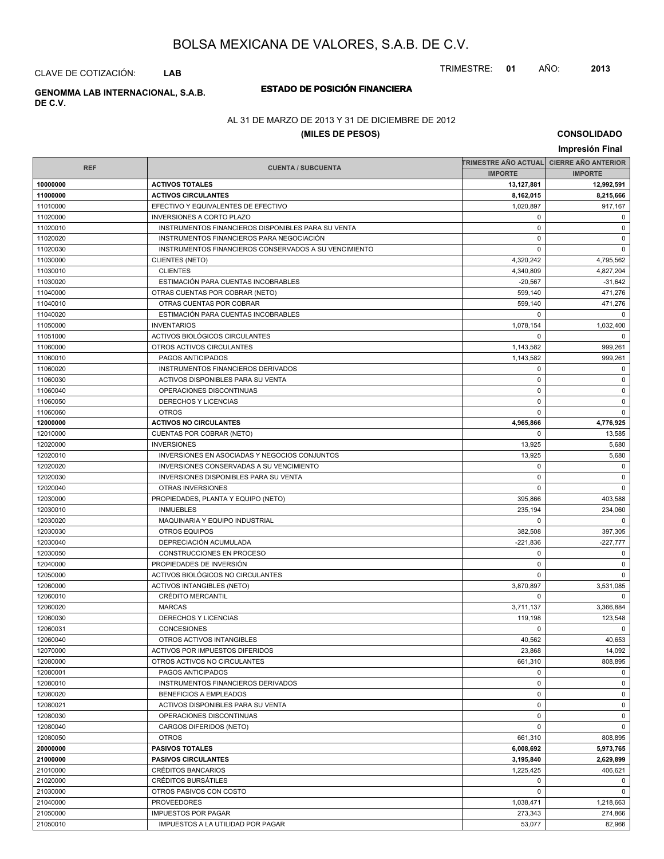TRIMESTRE: **01** AÑO: **2013**

CLAVE DE COTIZACIÓN: **LAB**

# **DE C.V.**

### **ESTADO DE POSICIÓN FINANCIERA GENOMMA LAB INTERNACIONAL, S.A.B.**

### AL 31 DE MARZO DE 2013 Y 31 DE DICIEMBRE DE 2012

### **(MILES DE PESOS)**

**CONSOLIDADO Impresión Final**

|            |                                                             |                | TRIMESTRE AÑO ACTUAL CIERRE AÑO ANTERIOR |  |
|------------|-------------------------------------------------------------|----------------|------------------------------------------|--|
| <b>REF</b> | <b>CUENTA / SUBCUENTA</b>                                   | <b>IMPORTE</b> | <b>IMPORTE</b>                           |  |
| 10000000   | <b>ACTIVOS TOTALES</b>                                      | 13,127,881     | 12,992,591                               |  |
| 11000000   | <b>ACTIVOS CIRCULANTES</b>                                  | 8,162,015      | 8,215,666                                |  |
| 11010000   | EFECTIVO Y EQUIVALENTES DE EFECTIVO                         | 1,020,897      | 917,167                                  |  |
| 11020000   | <b>INVERSIONES A CORTO PLAZO</b>                            | 0              | 0                                        |  |
| 11020010   | INSTRUMENTOS FINANCIEROS DISPONIBLES PARA SU VENTA          | $\mathbf 0$    | 0                                        |  |
| 11020020   | INSTRUMENTOS FINANCIEROS PARA NEGOCIACIÓN                   | $\mathbf 0$    | $\mathbf 0$                              |  |
| 11020030   | INSTRUMENTOS FINANCIEROS CONSERVADOS A SU VENCIMIENTO       | $\Omega$       | $\mathbf 0$                              |  |
| 11030000   | <b>CLIENTES (NETO)</b>                                      | 4,320,242      | 4,795,562                                |  |
| 11030010   | <b>CLIENTES</b>                                             | 4,340,809      | 4,827,204                                |  |
| 11030020   | ESTIMACIÓN PARA CUENTAS INCOBRABLES                         | $-20,567$      |                                          |  |
|            |                                                             | 599.140        | $-31,642$                                |  |
| 11040000   | OTRAS CUENTAS POR COBRAR (NETO)<br>OTRAS CUENTAS POR COBRAR |                | 471,276                                  |  |
| 11040010   |                                                             | 599,140        | 471,276                                  |  |
| 11040020   | ESTIMACIÓN PARA CUENTAS INCOBRABLES                         | 0              | $\mathbf 0$                              |  |
| 11050000   | <b>INVENTARIOS</b>                                          | 1,078,154      | 1,032,400                                |  |
| 11051000   | ACTIVOS BIOLÓGICOS CIRCULANTES                              | $\Omega$       | $\overline{0}$                           |  |
| 11060000   | OTROS ACTIVOS CIRCULANTES                                   | 1,143,582      | 999,261                                  |  |
| 11060010   | PAGOS ANTICIPADOS                                           | 1,143,582      | 999,261                                  |  |
| 11060020   | INSTRUMENTOS FINANCIEROS DERIVADOS                          | $\mathbf 0$    | 0                                        |  |
| 11060030   | ACTIVOS DISPONIBLES PARA SU VENTA                           | 0              | $\mathbf 0$                              |  |
| 11060040   | OPERACIONES DISCONTINUAS                                    | $\mathbf 0$    | $\mathbf 0$                              |  |
| 11060050   | <b>DERECHOS Y LICENCIAS</b>                                 | $\mathbf 0$    | $\mathbf 0$                              |  |
| 11060060   | <b>OTROS</b>                                                | 0              | $\mathbf 0$                              |  |
| 12000000   | <b>ACTIVOS NO CIRCULANTES</b>                               | 4,965,866      | 4,776,925                                |  |
| 12010000   | CUENTAS POR COBRAR (NETO)                                   | $\mathbf 0$    | 13,585                                   |  |
| 12020000   | <b>INVERSIONES</b>                                          | 13,925         | 5,680                                    |  |
| 12020010   | INVERSIONES EN ASOCIADAS Y NEGOCIOS CONJUNTOS               | 13,925         | 5,680                                    |  |
| 12020020   | INVERSIONES CONSERVADAS A SU VENCIMIENTO                    | $\mathbf 0$    | $\mathbf 0$                              |  |
| 12020030   | INVERSIONES DISPONIBLES PARA SU VENTA                       | $\Omega$       | $\mathbf 0$                              |  |
| 12020040   | OTRAS INVERSIONES                                           | 0              | $\overline{0}$                           |  |
| 12030000   | PROPIEDADES, PLANTA Y EQUIPO (NETO)                         | 395,866        | 403,588                                  |  |
| 12030010   | <b>INMUEBLES</b>                                            | 235,194        | 234,060                                  |  |
| 12030020   | MAQUINARIA Y EQUIPO INDUSTRIAL                              | $\mathbf 0$    | $\mathbf 0$                              |  |
| 12030030   | <b>OTROS EQUIPOS</b>                                        | 382,508        | 397,305                                  |  |
| 12030040   | DEPRECIACIÓN ACUMULADA                                      | $-221,836$     | -227,777                                 |  |
| 12030050   | CONSTRUCCIONES EN PROCESO                                   | $\mathbf 0$    | $\mathbf 0$                              |  |
| 12040000   | PROPIEDADES DE INVERSIÓN                                    | $\mathbf 0$    | 0                                        |  |
| 12050000   | ACTIVOS BIOLÓGICOS NO CIRCULANTES                           | $\Omega$       | $\mathbf 0$                              |  |
| 12060000   | <b>ACTIVOS INTANGIBLES (NETO)</b>                           | 3,870,897      | 3,531,085                                |  |
| 12060010   | <b>CRÉDITO MERCANTIL</b>                                    | $\mathbf 0$    | $\mathbf 0$                              |  |
| 12060020   | <b>MARCAS</b>                                               | 3,711,137      | 3,366,884                                |  |
| 12060030   | <b>DERECHOS Y LICENCIAS</b>                                 | 119,198        | 123,548                                  |  |
| 12060031   | <b>CONCESIONES</b>                                          | $\mathbf 0$    | $\mathbf 0$                              |  |
| 12060040   | OTROS ACTIVOS INTANGIBLES                                   | 40,562         | 40,653                                   |  |
| 12070000   | ACTIVOS POR IMPUESTOS DIFERIDOS                             | 23,868         | 14,092                                   |  |
| 12080000   | OTROS ACTIVOS NO CIRCULANTES                                | 661,310        | 808,895                                  |  |
| 12080001   | PAGOS ANTICIPADOS                                           | 0              | 0                                        |  |
| 12080010   | INSTRUMENTOS FINANCIEROS DERIVADOS                          | $\mathbf 0$    | $\mathbf 0$                              |  |
| 12080020   | BENEFICIOS A EMPLEADOS                                      | $\mathbf 0$    | 0                                        |  |
| 12080021   | ACTIVOS DISPONIBLES PARA SU VENTA                           | 0              | $\mathbf 0$                              |  |
| 12080030   | OPERACIONES DISCONTINUAS                                    | $\mathbf 0$    | $\mathbf 0$                              |  |
| 12080040   | CARGOS DIFERIDOS (NETO)                                     | $\mathbf 0$    | $\mathbf 0$                              |  |
| 12080050   | <b>OTROS</b>                                                | 661,310        | 808,895                                  |  |
| 20000000   | <b>PASIVOS TOTALES</b>                                      | 6,008,692      | 5,973,765                                |  |
| 21000000   | <b>PASIVOS CIRCULANTES</b>                                  | 3,195,840      | 2,629,899                                |  |
| 21010000   | CRÉDITOS BANCARIOS                                          | 1,225,425      | 406,621                                  |  |
| 21020000   | CRÉDITOS BURSÁTILES                                         | 0              | 0                                        |  |
| 21030000   | OTROS PASIVOS CON COSTO                                     | $\mathbf 0$    | $\mathbf 0$                              |  |
| 21040000   | <b>PROVEEDORES</b>                                          | 1,038,471      | 1,218,663                                |  |
| 21050000   | <b>IMPUESTOS POR PAGAR</b>                                  | 273,343        | 274,866                                  |  |
| 21050010   | IMPUESTOS A LA UTILIDAD POR PAGAR                           | 53,077         | 82,966                                   |  |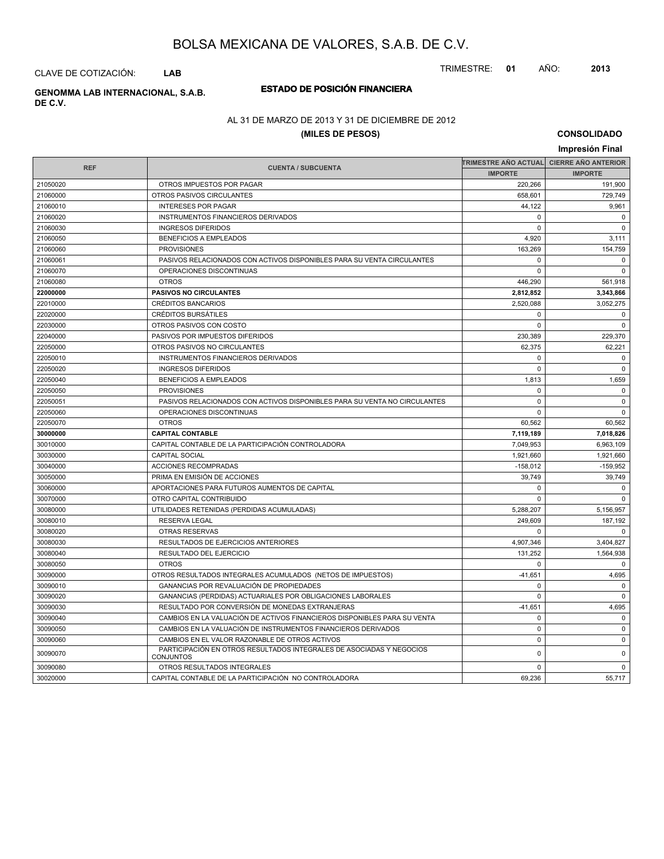TRIMESTRE: **01** AÑO: **2013**

CLAVE DE COTIZACIÓN: **LAB**

**DE C.V.**

### **ESTADO DE POSICIÓN FINANCIERA GENOMMA LAB INTERNACIONAL, S.A.B.**

### AL 31 DE MARZO DE 2013 Y 31 DE DICIEMBRE DE 2012

### **(MILES DE PESOS)**

**CONSOLIDADO**

|            |                                                                                          |                                          | Impresión Final |
|------------|------------------------------------------------------------------------------------------|------------------------------------------|-----------------|
|            |                                                                                          | TRIMESTRE AÑO ACTUAL CIERRE AÑO ANTERIOR |                 |
| <b>REF</b> | <b>CUENTA / SUBCUENTA</b>                                                                | <b>IMPORTE</b>                           | <b>IMPORTE</b>  |
| 21050020   | OTROS IMPUESTOS POR PAGAR                                                                | 220,266                                  | 191,900         |
| 21060000   | OTROS PASIVOS CIRCULANTES                                                                | 658,601                                  | 729,749         |
| 21060010   | <b>INTERESES POR PAGAR</b>                                                               | 44,122                                   | 9,961           |
| 21060020   | INSTRUMENTOS FINANCIEROS DERIVADOS                                                       | $\Omega$                                 | $\Omega$        |
| 21060030   | <b>INGRESOS DIFERIDOS</b>                                                                | $\Omega$                                 | $\Omega$        |
| 21060050   | <b>BENEFICIOS A EMPLEADOS</b>                                                            | 4,920                                    | 3,111           |
| 21060060   | <b>PROVISIONES</b>                                                                       | 163,269                                  | 154,759         |
| 21060061   | PASIVOS RELACIONADOS CON ACTIVOS DISPONIBLES PARA SU VENTA CIRCULANTES                   | $\mathbf 0$                              | $\mathbf 0$     |
| 21060070   | OPERACIONES DISCONTINUAS                                                                 | $\Omega$                                 | $\mathbf 0$     |
| 21060080   | <b>OTROS</b>                                                                             | 446,290                                  | 561,918         |
| 22000000   | <b>PASIVOS NO CIRCULANTES</b>                                                            | 2,812,852                                | 3,343,866       |
| 22010000   | <b>CRÉDITOS BANCARIOS</b>                                                                | 2,520,088                                | 3,052,275       |
| 22020000   | <b>CRÉDITOS BURSÁTILES</b>                                                               | $\Omega$                                 | $\mathbf 0$     |
| 22030000   | OTROS PASIVOS CON COSTO                                                                  | $\Omega$                                 | $\mathbf 0$     |
| 22040000   | PASIVOS POR IMPUESTOS DIFERIDOS                                                          | 230,389                                  | 229,370         |
| 22050000   | OTROS PASIVOS NO CIRCULANTES                                                             | 62,375                                   | 62,221          |
| 22050010   | INSTRUMENTOS FINANCIEROS DERIVADOS                                                       | $\mathbf 0$                              | $\mathbf 0$     |
| 22050020   | <b>INGRESOS DIFERIDOS</b>                                                                | $\mathbf 0$                              | $\mathbf 0$     |
| 22050040   | <b>BENEFICIOS A EMPLEADOS</b>                                                            | 1,813                                    | 1,659           |
| 22050050   | <b>PROVISIONES</b>                                                                       | $\mathbf 0$                              | $\mathbf 0$     |
| 22050051   | PASIVOS RELACIONADOS CON ACTIVOS DISPONIBLES PARA SU VENTA NO CIRCULANTES                | $\mathbf 0$                              | $\pmb{0}$       |
| 22050060   | OPERACIONES DISCONTINUAS                                                                 | $\Omega$                                 | $\mathbf 0$     |
| 22050070   | <b>OTROS</b>                                                                             | 60,562                                   | 60,562          |
| 30000000   | <b>CAPITAL CONTABLE</b>                                                                  | 7,119,189                                | 7,018,826       |
| 30010000   | CAPITAL CONTABLE DE LA PARTICIPACIÓN CONTROLADORA                                        | 7,049,953                                | 6,963,109       |
| 30030000   | <b>CAPITAL SOCIAL</b>                                                                    | 1,921,660                                | 1,921,660       |
| 30040000   | ACCIONES RECOMPRADAS                                                                     | $-158,012$                               | $-159,952$      |
| 30050000   | PRIMA EN EMISIÓN DE ACCIONES                                                             | 39,749                                   | 39,749          |
| 30060000   | APORTACIONES PARA FUTUROS AUMENTOS DE CAPITAL                                            | $\mathbf 0$                              | $\mathbf 0$     |
| 30070000   | OTRO CAPITAL CONTRIBUIDO                                                                 | $\mathbf 0$                              | $\mathbf 0$     |
| 30080000   | UTILIDADES RETENIDAS (PERDIDAS ACUMULADAS)                                               | 5,288,207                                | 5,156,957       |
| 30080010   | <b>RESERVA LEGAL</b>                                                                     | 249,609                                  | 187,192         |
| 30080020   | OTRAS RESERVAS                                                                           | $\mathbf 0$                              | $\mathbf 0$     |
| 30080030   | RESULTADOS DE EJERCICIOS ANTERIORES                                                      | 4,907,346                                | 3,404,827       |
| 30080040   | RESULTADO DEL EJERCICIO                                                                  | 131,252                                  | 1,564,938       |
| 30080050   | <b>OTROS</b>                                                                             | $\mathbf 0$                              | $\mathbf 0$     |
| 30090000   | OTROS RESULTADOS INTEGRALES ACUMULADOS (NETOS DE IMPUESTOS)                              | $-41,651$                                | 4,695           |
| 30090010   | GANANCIAS POR REVALUACIÓN DE PROPIEDADES                                                 | $\mathbf 0$                              | $\mathbf 0$     |
| 30090020   | GANANCIAS (PERDIDAS) ACTUARIALES POR OBLIGACIONES LABORALES                              | $\mathbf 0$                              | $\mathbf 0$     |
| 30090030   | RESULTADO POR CONVERSIÓN DE MONEDAS EXTRANJERAS                                          | $-41,651$                                | 4,695           |
| 30090040   | CAMBIOS EN LA VALUACIÓN DE ACTIVOS FINANCIEROS DISPONIBLES PARA SU VENTA                 | $\mathbf 0$                              | $\mathbf 0$     |
| 30090050   | CAMBIOS EN LA VALUACIÓN DE INSTRUMENTOS FINANCIEROS DERIVADOS                            | $\mathbf 0$                              | $\pmb{0}$       |
| 30090060   | CAMBIOS EN EL VALOR RAZONABLE DE OTROS ACTIVOS                                           | $\mathbf 0$                              | $\mathbf 0$     |
| 30090070   | PARTICIPACIÓN EN OTROS RESULTADOS INTEGRALES DE ASOCIADAS Y NEGOCIOS<br><b>CONJUNTOS</b> | $\mathbf 0$                              | $\mathbf 0$     |
| 30090080   | OTROS RESULTADOS INTEGRALES                                                              | $\mathbf 0$                              | $\mathbf 0$     |
| 30020000   | CAPITAL CONTABLE DE LA PARTICIPACIÓN NO CONTROLADORA                                     | 69,236                                   | 55,717          |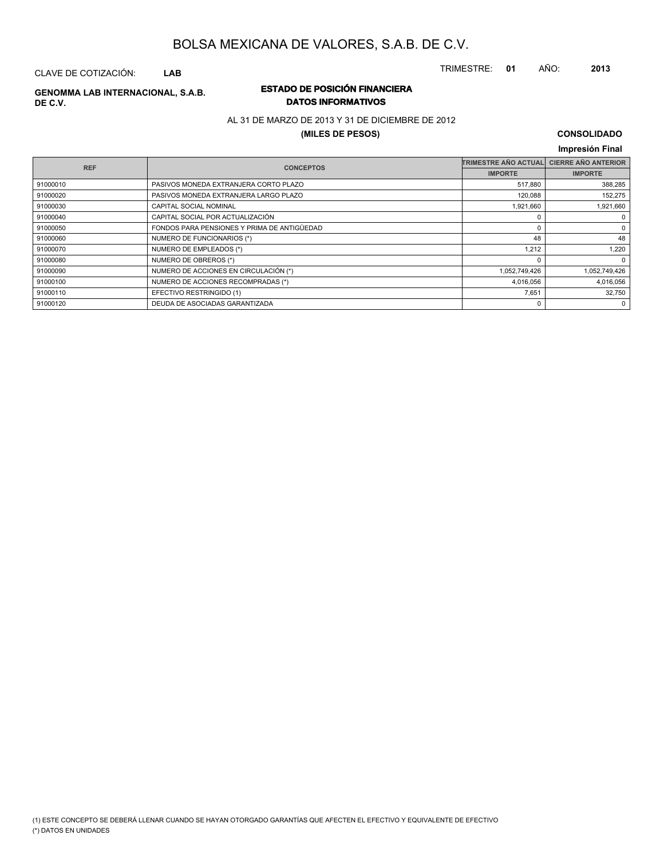CLAVE DE COTIZACIÓN: **LAB**

# **DE C.V.**

### **ESTADO DE POSICIÓN FINANCIERA GENOMMA LAB INTERNACIONAL, S.A.B. DATOS INFORMATIVOS**

### AL 31 DE MARZO DE 2013 Y 31 DE DICIEMBRE DE 2012

### **(MILES DE PESOS)**

### **CONSOLIDADO**

TRIMESTRE: **01** AÑO: **2013**

| <b>REF</b><br><b>CONCEPTOS</b> |                                             | <b>TRIMESTRE AÑO ACTUAL</b> | <b>CIERRE AÑO ANTERIOR</b> |
|--------------------------------|---------------------------------------------|-----------------------------|----------------------------|
|                                |                                             | <b>IMPORTE</b>              | <b>IMPORTE</b>             |
| 91000010                       | PASIVOS MONEDA EXTRANJERA CORTO PLAZO       | 517,880                     | 388,285                    |
| 91000020                       | PASIVOS MONEDA EXTRANJERA LARGO PLAZO       | 120,088                     | 152,275                    |
| 91000030                       | CAPITAL SOCIAL NOMINAL                      | 1,921,660                   | 1,921,660                  |
| 91000040                       | CAPITAL SOCIAL POR ACTUALIZACIÓN            |                             | 0                          |
| 91000050                       | FONDOS PARA PENSIONES Y PRIMA DE ANTIGÜEDAD |                             | 0                          |
| 91000060                       | NUMERO DE FUNCIONARIOS (*)                  | 48                          | 48                         |
| 91000070                       | NUMERO DE EMPLEADOS (*)                     | 1,212                       | 1.220                      |
| 91000080                       | NUMERO DE OBREROS (*)                       |                             | $\mathbf 0$                |
| 91000090                       | NUMERO DE ACCIONES EN CIRCULACIÓN (*)       | 1,052,749,426               | 1,052,749,426              |
| 91000100                       | NUMERO DE ACCIONES RECOMPRADAS (*)          | 4,016,056                   | 4,016,056                  |
| 91000110                       | EFECTIVO RESTRINGIDO (1)                    | 7,651                       | 32,750                     |
| 91000120                       | DEUDA DE ASOCIADAS GARANTIZADA              |                             | 0                          |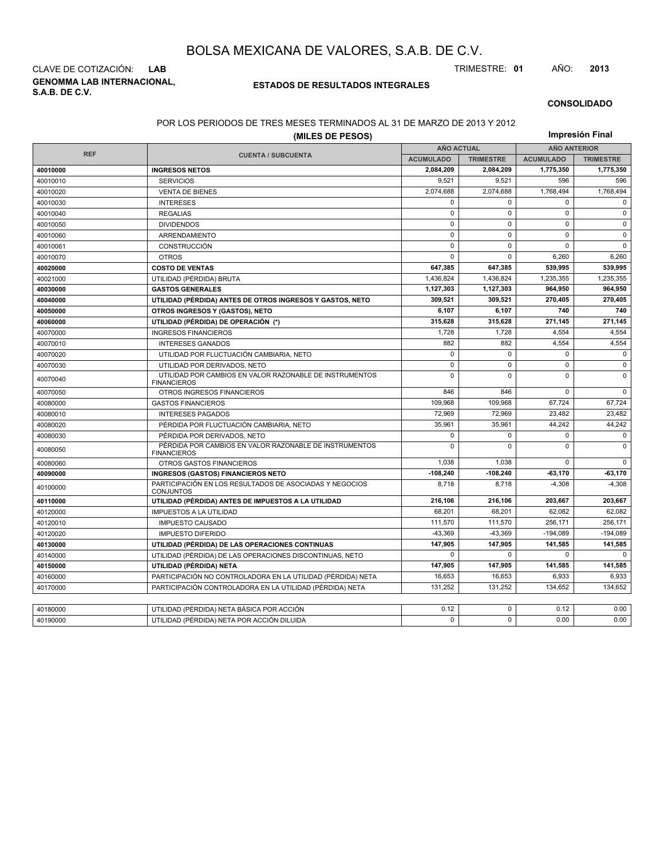**GENOMMA LAB INTERNACIONAL, S.A.B. DE C.V.** CLAVE DE COTIZACIÓN: **LAB** TRIMESTRE: **01** AÑO: **2013**

### **ESTADOS DE RESULTADOS INTEGRALES**

### **CONSOLIDADO**

#### POR LOS PERIODOS DE TRES MESES TERMINADOS AL 31 DE MARZO DE 2013 Y 2012

| (MILES DE PESOS) |                                                                                              |                      |                  |                     | Impresión Final  |  |  |
|------------------|----------------------------------------------------------------------------------------------|----------------------|------------------|---------------------|------------------|--|--|
|                  |                                                                                              | <b>AÑO ACTUAL</b>    |                  | <b>AÑO ANTERIOR</b> |                  |  |  |
| <b>REF</b>       | <b>CUENTA / SUBCUENTA</b>                                                                    | <b>ACUMULADO</b>     | <b>TRIMESTRE</b> | <b>ACUMULADO</b>    | <b>TRIMESTRE</b> |  |  |
| 40010000         | <b>INGRESOS NETOS</b>                                                                        | 2,084,209            | 2,084,209        | 1,775,350           | 1,775,350        |  |  |
| 40010010         | <b>SERVICIOS</b>                                                                             | 9,521                | 9,521            | 596                 | 596              |  |  |
| 40010020         | <b>VENTA DE BIENES</b>                                                                       | 2,074,688            | 2,074,688        | 1,768,494           | 1,768,494        |  |  |
| 40010030         | <b>INTERESES</b>                                                                             | $\mathbf 0$          | 0                | $\Omega$            | $\mathbf 0$      |  |  |
| 40010040         | <b>REGALIAS</b>                                                                              | $\mathbf 0$          | $\mathbf 0$      | $\mathbf 0$         | $\mathbf 0$      |  |  |
| 40010050         | <b>DIVIDENDOS</b>                                                                            | $\mathbf 0$          | 0                | $\mathbf 0$         | $\mathbf 0$      |  |  |
| 40010060         | ARRENDAMIENTO                                                                                | $\mathbf 0$          | $\Omega$         | $\Omega$            | $\mathbf 0$      |  |  |
| 40010061         | CONSTRUCCIÓN                                                                                 | $\mathbf 0$          | 0                | 0                   | $\mathbf 0$      |  |  |
| 40010070         | <b>OTROS</b>                                                                                 | $\Omega$             | $\mathbf 0$      | 6,260               | 6,260            |  |  |
| 40020000         | <b>COSTO DE VENTAS</b>                                                                       | 647,385              | 647,385          | 539,995             | 539,995          |  |  |
| 40021000         | UTILIDAD (PÉRDIDA) BRUTA                                                                     | 1,436,824            | 1,436,824        | 1,235,355           | 1,235,355        |  |  |
| 40030000         | <b>GASTOS GENERALES</b>                                                                      | 1,127,303            | 1,127,303        | 964,950             | 964,950          |  |  |
| 40040000         | UTILIDAD (PÉRDIDA) ANTES DE OTROS INGRESOS Y GASTOS, NETO                                    | 309.521              | 309.521          | 270,405             | 270,405          |  |  |
| 40050000         | OTROS INGRESOS Y (GASTOS), NETO                                                              | 6,107                | 6,107            | 740                 | 740              |  |  |
| 40060000         | UTILIDAD (PÉRDIDA) DE OPERACIÓN (*)                                                          | 315,628              | 315,628          | 271,145             | 271,145          |  |  |
| 40070000         | <b>INGRESOS FINANCIEROS</b>                                                                  | 1,728                | 1,728            | 4,554               | 4,554            |  |  |
| 40070010         | <b>INTERESES GANADOS</b>                                                                     | 882                  | 882              | 4,554               | 4,554            |  |  |
| 40070020         | UTILIDAD POR FLUCTUACIÓN CAMBIARIA, NETO                                                     |                      | $\mathbf 0$      | $\mathbf 0$         | $\mathbf 0$      |  |  |
| 40070030         | UTILIDAD POR DERIVADOS, NETO                                                                 | $\mathbf 0$          | 0                | 0                   | $\mathbf 0$      |  |  |
| 40070040         | UTILIDAD POR CAMBIOS EN VALOR RAZONABLE DE INSTRUMENTOS<br><b>FINANCIEROS</b>                | $\mathbf 0$          | $\mathbf 0$      | $\mathbf 0$         | $\mathbf 0$      |  |  |
| 40070050         | OTROS INGRESOS FINANCIEROS                                                                   | 846                  | 846              | $\Omega$            | $\Omega$         |  |  |
| 40080000         | <b>GASTOS FINANCIEROS</b>                                                                    | 109,968              | 109,968          | 67,724              | 67,724           |  |  |
| 40080010         | <b>INTERESES PAGADOS</b>                                                                     | 72,969               | 72,969           | 23,482              | 23,482           |  |  |
| 40080020         | PÉRDIDA POR FLUCTUACIÓN CAMBIARIA, NETO                                                      | 35,961               | 35,961           | 44,242              | 44,242           |  |  |
| 40080030         | PÉRDIDA POR DERIVADOS, NETO                                                                  | $\mathbf 0$          | $\Omega$         | $\mathbf 0$         | $\mathbf 0$      |  |  |
| 40080050         | PÉRDIDA POR CAMBIOS EN VALOR RAZONABLE DE INSTRUMENTOS<br>$\mathbf{0}$<br><b>FINANCIEROS</b> |                      | $\Omega$         | $\overline{0}$      | $\mathbf 0$      |  |  |
| 40080060         | OTROS GASTOS FINANCIEROS                                                                     | 1.038                | 1.038            | $\Omega$            | $\Omega$         |  |  |
| 40090000         | <b>INGRESOS (GASTOS) FINANCIEROS NETO</b>                                                    | $-108,240$           | $-108,240$       | $-63,170$           | 63,170           |  |  |
| 40100000         | PARTICIPACIÓN EN LOS RESULTADOS DE ASOCIADAS Y NEGOCIOS<br>8,718<br><b>CONJUNTOS</b>         |                      | 8,718            | $-4,308$            | $-4,308$         |  |  |
| 40110000         | UTILIDAD (PÉRDIDA) ANTES DE IMPUESTOS A LA UTILIDAD                                          | 216,106              | 216,106          | 203,667             | 203,667          |  |  |
| 40120000         | <b>IMPUESTOS A LA UTILIDAD</b>                                                               | 68,201               | 68,201           | 62,082              | 62,082           |  |  |
| 40120010         | <b>IMPUESTO CAUSADO</b>                                                                      | 111,570<br>$-43,369$ | 111,570          | 256,171             | 256,171          |  |  |
| 40120020         | <b>IMPUESTO DIFERIDO</b>                                                                     |                      | $-43,369$        | $-194,089$          | $-194,089$       |  |  |
| 40130000         | UTILIDAD (PÉRDIDA) DE LAS OPERACIONES CONTINUAS                                              |                      | 147,905          | 141,585             | 141,585          |  |  |
| 40140000         | UTILIDAD (PÉRDIDA) DE LAS OPERACIONES DISCONTINUAS, NETO                                     | $\Omega$             | $\Omega$         | $\mathbf 0$         | $\Omega$         |  |  |
| 40150000         | UTILIDAD (PÉRDIDA) NETA                                                                      | 147,905              | 147,905          | 141,585             | 141,585          |  |  |
| 40160000         | PARTICIPACIÓN NO CONTROLADORA EN LA UTILIDAD (PÉRDIDA) NETA                                  | 16,653               | 16,653           | 6.933               | 6,933            |  |  |
| 40170000         | PARTICIPACIÓN CONTROLADORA EN LA UTILIDAD (PÉRDIDA) NETA                                     | 131,252              | 131,252          | 134,652             | 134,652          |  |  |
|                  |                                                                                              |                      |                  |                     |                  |  |  |
| 40180000         | UTILIDAD (PÉRDIDA) NETA BÁSICA POR ACCIÓN                                                    | 0.12                 | 0                | 0.12                | 0.00             |  |  |
| 40190000         | UTILIDAD (PÉRDIDA) NETA POR ACCIÓN DILUIDA                                                   | $\Omega$             | $\Omega$         | 0.00                | 0.00             |  |  |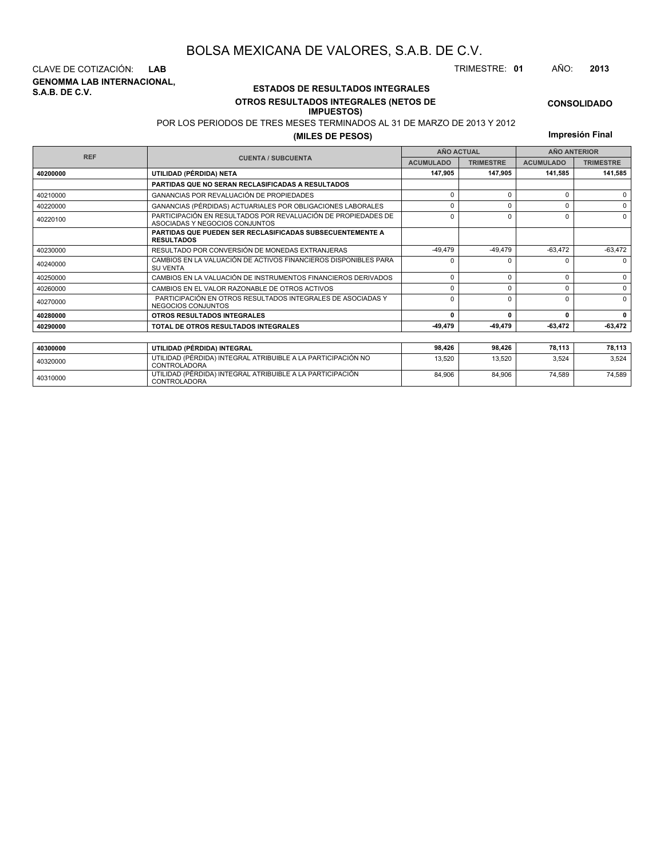**GENOMMA LAB INTERNACIONAL, S.A.B. DE C.V.** CLAVE DE COTIZACIÓN: **LAB** TRIMESTRE: **01** AÑO: **2013**

<sup>40310000</sup> UTILIDAD (PÉRDIDA) INTEGRAL ATRIBUIBLE A LA PARTICIPACIÓN CONTROLADORA

### **ESTADOS DE RESULTADOS INTEGRALES OTROS RESULTADOS INTEGRALES (NETOS DE**

### **IMPUESTOS)**

POR LOS PERIODOS DE TRES MESES TERMINADOS AL 31 DE MARZO DE 2013 Y 2012

**(MILES DE PESOS)**

**Impresión Final**

**CONSOLIDADO**

| <b>REF</b> |                                                                                                 | <b>ANO ACTUAL</b> |                  | <b>ANO ANTERIOR</b> |                  |  |
|------------|-------------------------------------------------------------------------------------------------|-------------------|------------------|---------------------|------------------|--|
|            | <b>CUENTA / SUBCUENTA</b>                                                                       | <b>ACUMULADO</b>  | <b>TRIMESTRE</b> | <b>ACUMULADO</b>    | <b>TRIMESTRE</b> |  |
| 40200000   | UTILIDAD (PÉRDIDA) NETA                                                                         | 147,905           | 147.905          | 141,585             | 141,585          |  |
|            | <b>PARTIDAS QUE NO SERAN RECLASIFICADAS A RESULTADOS</b>                                        |                   |                  |                     |                  |  |
| 40210000   | <b>GANANCIAS POR REVALUACIÓN DE PROPIEDADES</b>                                                 | 0                 | $\Omega$         | 0                   | $\Omega$         |  |
| 40220000   | GANANCIAS (PÉRDIDAS) ACTUARIALES POR OBLIGACIONES LABORALES                                     | 0                 | $\Omega$         | $\Omega$            | $\Omega$         |  |
| 40220100   | PARTICIPACIÓN EN RESULTADOS POR REVALUACIÓN DE PROPIEDADES DE<br>ASOCIADAS Y NEGOCIOS CONJUNTOS | 0                 | 0                | 0                   | $\Omega$         |  |
|            | <b>PARTIDAS QUE PUEDEN SER RECLASIFICADAS SUBSECUENTEMENTE A</b><br><b>RESULTADOS</b>           |                   |                  |                     |                  |  |
| 40230000   | RESULTADO POR CONVERSIÓN DE MONEDAS EXTRANJERAS                                                 |                   |                  |                     | $-63,472$        |  |
| 40240000   | CAMBIOS EN LA VALUACIÓN DE ACTIVOS FINANCIEROS DISPONIBLES PARA<br>$\Omega$<br><b>SU VENTA</b>  |                   | n                | O                   | $\Omega$         |  |
| 40250000   | CAMBIOS EN LA VALUACIÓN DE INSTRUMENTOS FINANCIEROS DERIVADOS                                   | $\Omega$          | $\Omega$         | 0                   | 0                |  |
| 40260000   | CAMBIOS EN EL VALOR RAZONABLE DE OTROS ACTIVOS                                                  | $\Omega$          | $\Omega$         | $\Omega$            | $\Omega$         |  |
| 40270000   | PARTICIPACIÓN EN OTROS RESULTADOS INTEGRALES DE ASOCIADAS Y<br>NEGOCIOS CONJUNTOS               | $\Omega$          | $\Omega$         | $\Omega$            | $\Omega$         |  |
| 40280000   | OTROS RESULTADOS INTEGRALES                                                                     | 0                 | $\mathbf{0}$     | 0                   | 0                |  |
| 40290000   | TOTAL DE OTROS RESULTADOS INTEGRALES                                                            | -49.479           | -49.479          | $-63,472$           | $-63,472$        |  |
|            |                                                                                                 |                   |                  |                     |                  |  |
| 40300000   | UTILIDAD (PÉRDIDA) INTEGRAL                                                                     | 98,426            | 98,426           | 78,113              | 78,113           |  |
| 40320000   | UTILIDAD (PÉRDIDA) INTEGRAL ATRIBUIBLE A LA PARTICIPACIÓN NO<br><b>CONTROLADORA</b>             | 13.520            | 13.520           | 3.524               | 3,524            |  |
| 40310000   | UTILIDAD (PÉRDIDA) INTEGRAL ATRIBUIBLE A LA PARTICIPACIÓN                                       | 84.906            | 84,906           | 74,589              | 74,589           |  |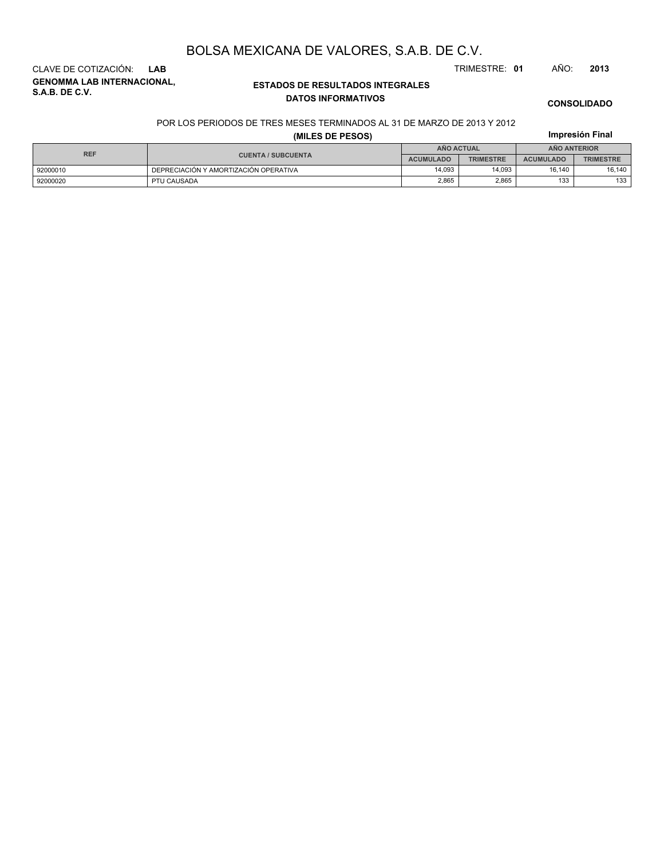**GENOMMA LAB INTERNACIONAL, S.A.B. DE C.V.** CLAVE DE COTIZACIÓN: **LAB** TRIMESTRE: **01** AÑO: **2013**

### **ESTADOS DE RESULTADOS INTEGRALES DATOS INFORMATIVOS**

#### **CONSOLIDADO**

**Impresión Final**

#### POR LOS PERIODOS DE TRES MESES TERMINADOS AL 31 DE MARZO DE 2013 Y 2012

### **(MILES DE PESOS)**

| <b>REF</b> |                                       |                  | AÑO ACTUAL       | <b>ANO ANTERIOR</b> |                  |  |
|------------|---------------------------------------|------------------|------------------|---------------------|------------------|--|
|            | <b>CUENTA / SUBCUENTA</b>             | <b>ACUMULADO</b> | <b>TRIMESTRE</b> | <b>ACUMULADO</b>    | <b>TRIMESTRE</b> |  |
| 92000010   | DEPRECIACIÓN Y AMORTIZACIÓN OPERATIVA | 14.093           | 14.093           | 16.140              | 16.140           |  |
| 92000020   | PTU CAUSADA                           | 2,865            | 2,865            | 133                 | 133              |  |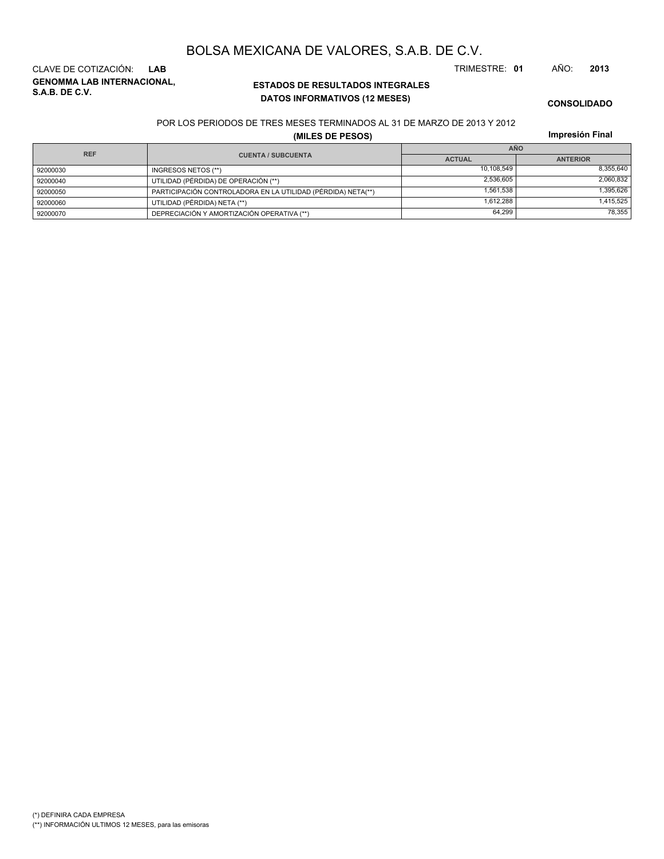CLAVE DE COTIZACIÓN: **LAB** TRIMESTRE: **01** AÑO: **2013**

**GENOMMA LAB INTERNACIONAL, S.A.B. DE C.V.**

## BOLSA MEXICANA DE VALORES, S.A.B. DE C.V.

**ESTADOS DE RESULTADOS INTEGRALES DATOS INFORMATIVOS (12 MESES)**

**CONSOLIDADO**

### POR LOS PERIODOS DE TRES MESES TERMINADOS AL 31 DE MARZO DE 2013 Y 2012

**Impresión Final**

| Impresión Final<br>(MILES DE PESOS) |                                                              |               |                 |  |  |
|-------------------------------------|--------------------------------------------------------------|---------------|-----------------|--|--|
| <b>REF</b>                          |                                                              | <b>AÑO</b>    |                 |  |  |
|                                     | <b>CUENTA / SUBCUENTA</b>                                    | <b>ACTUAL</b> | <b>ANTERIOR</b> |  |  |
| 92000030                            | INGRESOS NETOS (**)                                          | 10.108.549    | 8,355,640       |  |  |
| 92000040                            | UTILIDAD (PÉRDIDA) DE OPERACIÓN (**)                         | 2,536,605     | 2,060,832       |  |  |
| 92000050                            | PARTICIPACIÓN CONTROLADORA EN LA UTILIDAD (PÉRDIDA) NETA(**) | 1.561.538     | 1,395,626       |  |  |
| 92000060                            | UTILIDAD (PÉRDIDA) NETA (**)                                 | 1.612.288     | 1,415,525       |  |  |
| 92000070                            | DEPRECIACIÓN Y AMORTIZACIÓN OPERATIVA (**)                   | 64,299        | 78,355          |  |  |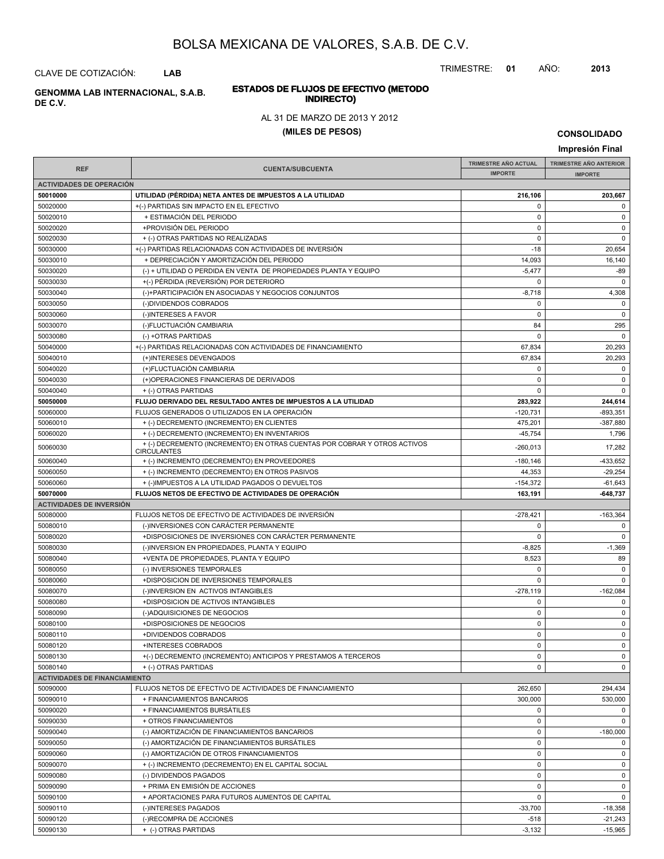TRIMESTRE: **01** AÑO: **2013**

# **ESTADOS DE FLUJOS DE EFECTIVO (METODO**

### AL 31 DE MARZO DE 2013 Y 2012

#### **(MILES DE PESOS)**

**CONSOLIDADO**

**Impresión Final IMPRESIÓN FINAL AND SUBCUENTA**<br> **IMPORTE TRIMESTRE AÑO ACTUAL IMPORTE IMPORTE REF TRIMESTRE AÑO ANTERIOR IMPORTE ACTIVIDADES DE OPERACIÓN 50010000 UTILIDAD (PÉRDIDA) NETA ANTES DE IMPUESTOS A LA UTILIDAD 216,106 203,667** 50020000 +(-) PARTIDAS SIN IMPACTO EN EL EFECTIVO 0 0 50020010 + ESTIMACIÓN DEL PERIODO 0 0 50020020 +PROVISIÓN DEL PERIODO 0 0 50020030 + (-) OTRAS PARTIDAS NO REALIZADAS 0 0 50030000 +(-) PARTIDAS RELACIONADAS CON ACTIVIDADES DE INVERSIÓN -18 - 18 20,654 50030010 + DEPRECIACIÓN Y AMORTIZACIÓN DEL PERIODO 14,093 16,140 50030020 (-) + UTILIDAD O PERDIDA EN VENTA DE PROPIEDADES PLANTA Y EQUIPO -5,477 -5,477 -5,477 -5,477 -599 -89 50030030 +(-) PÉRDIDA (REVERSIÓN) POR DETERIORO 0 0 50030040 (-)+PARTICIPACIÓN EN ASOCIADAS Y NEGOCIOS CONJUNTOS -8,718 -8,718 -8,718 4,308 50030050 (-)DIVIDENDOS COBRADOS 0 0 50030060 (-)INTERESES A FAVOR 0 0 50030070 (-)FLUCTUACIÓN CAMBIARIA 84 295 50030080 (-) +OTRAS PARTIDAS 0 0 50040000 +(-) PARTIDAS RELACIONADAS CON ACTIVIDADES DE FINANCIAMIENTO 67,834 20,293 50040010 (+)INTERESES DEVENGADOS 67,834 20,293 50040020 (+)FLUCTUACIÓN CAMBIARIA 0 0 50040030 (+)OPERACIONES FINANCIERAS DE DERIVADOS 0 0 50040040 + (-) OTRAS PARTIDAS 0 0 **50050000 FLUJO DERIVADO DEL RESULTADO ANTES DE IMPUESTOS A LA UTILIDAD 283,922 244,614** 50060000 FLUJOS GENERADOS O UTILIZADOS EN LA OPERACIÓN -120,731 -893,351 50060010 + (-) DECREMENTO (INCREMENTO) EN CLIENTES 475,201 -387,880  $50060020$  + (-) DECREMENTO (INCREMENTO) EN INVENTARIOS 45.754 45.754 1,796  $+(-)$ DECREMENTO (INCREMENTO) EN OTRAS CUENTAS POR COBRAR Y OTROS ACTIVOS 40000030 4260,013 47,282 **CIRCULANTES** 50060040 + (-) INCREMENTO (DECREMENTO) EN PROVEEDORES -180,146 -180,146 -433,652 50060050 + (-) INCREMENTO (DECREMENTO) EN OTROS PASIVOS + + (-) INCREMENTO (DECREMENTO) EN OTROS PASIVOS 50060060 + (-)IMPUESTOS A LA UTILIDAD PAGADOS O DEVUELTOS + + (-)IMPUESTOS A LA UTILIDAD PAGADOS O DEVUELTOS +  $-154.372$  -61.643 **50070000 FLUJOS NETOS DE EFECTIVO DE ACTIVIDADES DE OPERACIÓN 163,191 -648,737 ACTIVIDADES DE INVERSIÓN** 50080000 FLUJOS NETOS DE EFECTIVO DE ACTIVIDADES DE INVERSIÓN CONTENTENTE EN EL ENTRE EN 163.364 EL EL EL ESTA 50080010 (-)INVERSIONES CON CARÁCTER PERMANENTE 0 0 50080020 +DISPOSICIONES DE INVERSIONES CON CARÁCTER PERMANENTE 0 0 50080030 (-)INVERSION EN PROPIEDADES, PLANTA Y EQUIPO -1,369 -1,369 -1,369 -1,369 -1,369 50080040 +VENTA DE PROPIEDADES, PLANTA Y EQUIPO 8,523 89 50080050 (-) INVERSIONES TEMPORALES 0 0 50080060 +DISPOSICION DE INVERSIONES TEMPORALES 0 0 50080070 (-)INVERSION EN ACTIVOS INTANGIBLES -278,119 -162,084 50080080 +DISPOSICION DE ACTIVOS INTANGIBLES 0 0 50080090 (-)ADQUISICIONES DE NEGOCIOS 0 0 50080100 +DISPOSICIONES DE NEGOCIOS 0 0 50080110 +DIVIDENDOS COBRADOS 0 0 50080120 +INTERESES COBRADOS 0 0 50080130 +(-) DECREMENTO (INCREMENTO) ANTICIPOS Y PRESTAMOS A TERCEROS 0 0 50080140 + (-) OTRAS PARTIDAS 0 0 **ACTIVIDADES DE FINANCIAMIENTO** 50090000 FLUJOS NETOS DE EFECTIVO DE ACTIVIDADES DE FINANCIAMIENTO 262,650 294,434 50090010 + FINANCIAMIENTOS BANCARIOS 300,000 530,000 50090020 + FINANCIAMIENTOS BURSÁTILES 0 0 50090030 + OTROS FINANCIAMIENTOS 0 0 50090040 (-) AMORTIZACIÓN DE FINANCIAMIENTOS BANCARIOS (2000) (-180,000 -180,000 -180,000 50090050 (-) AMORTIZACIÓN DE FINANCIAMIENTOS BURSÁTILES 0 0 50090060 (-) AMORTIZACIÓN DE OTROS FINANCIAMIENTOS 0 0 50090070 + (-) INCREMENTO (DECREMENTO) EN EL CAPITAL SOCIAL 0 0 50090080 (-) DIVIDENDOS PAGADOS 0 0 50090090 + PRIMA EN EMISIÓN DE ACCIONES de la componentación de la componentación de la componentación de la c 50090100 + APORTACIONES PARA FUTUROS AUMENTOS DE CAPITAL 0 0 50090110 | (-)INTERESES PAGADOS -33,700 | -18,358 50090120 (-)RECOMPRA DE ACCIONES -518 -21,243

50090130 + (-) OTRAS PARTIDAS -3,132 -15,965

**INDIRECTO) GENOMMA LAB INTERNACIONAL, S.A.B.**

CLAVE DE COTIZACIÓN: **LAB**

**DE C.V.**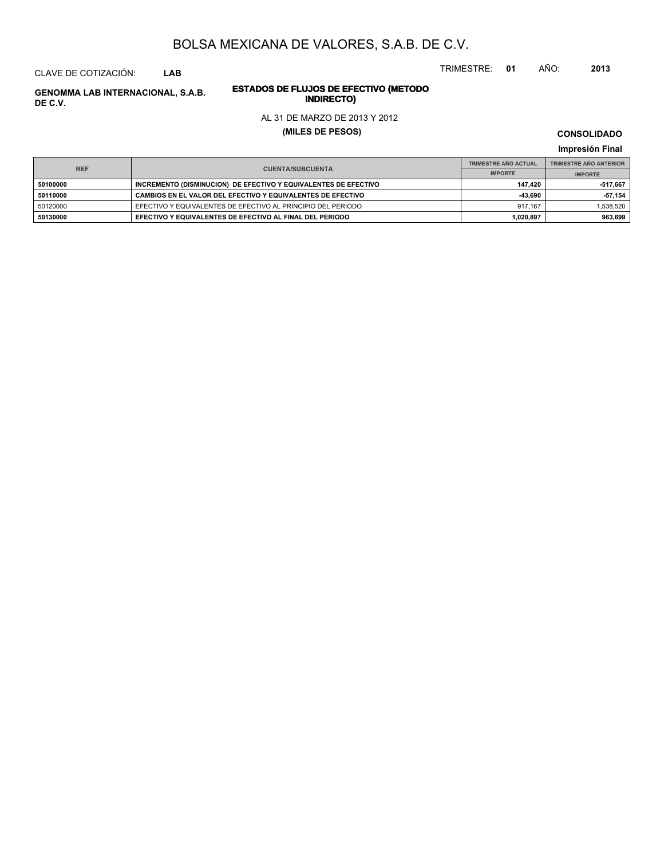CLAVE DE COTIZACIÓN: **LAB**

# **INDIRECTO) GENOMMA LAB INTERNACIONAL, S.A.B. DE C.V.**

# **ESTADOS DE FLUJOS DE EFECTIVO (METODO**

### AL 31 DE MARZO DE 2013 Y 2012

### **(MILES DE PESOS)**

**CONSOLIDADO**

TRIMESTRE: **01** AÑO: **2013**

**Impresión Final**

|            |                                                                 |                | <b>TRIMESTRE AÑO ANTERIOR</b> |
|------------|-----------------------------------------------------------------|----------------|-------------------------------|
| <b>REF</b> | <b>CUENTA/SUBCUENTA</b>                                         | <b>IMPORTE</b> | <b>IMPORTE</b>                |
| 50100000   | INCREMENTO (DISMINUCION) DE EFECTIVO Y EQUIVALENTES DE EFECTIVO | 147.420        | -517.667                      |
| 50110000   | CAMBIOS EN EL VALOR DEL EFECTIVO Y EQUIVALENTES DE EFECTIVO     | -43.690        | $-57,154$                     |
| 50120000   | EFECTIVO Y EQUIVALENTES DE EFECTIVO AL PRINCIPIO DEL PERIODO    | 917.167        | 1.538.520                     |
| 50130000   | EFECTIVO Y EQUIVALENTES DE EFECTIVO AL FINAL DEL PERIODO        | 1.020.897      | 963.699                       |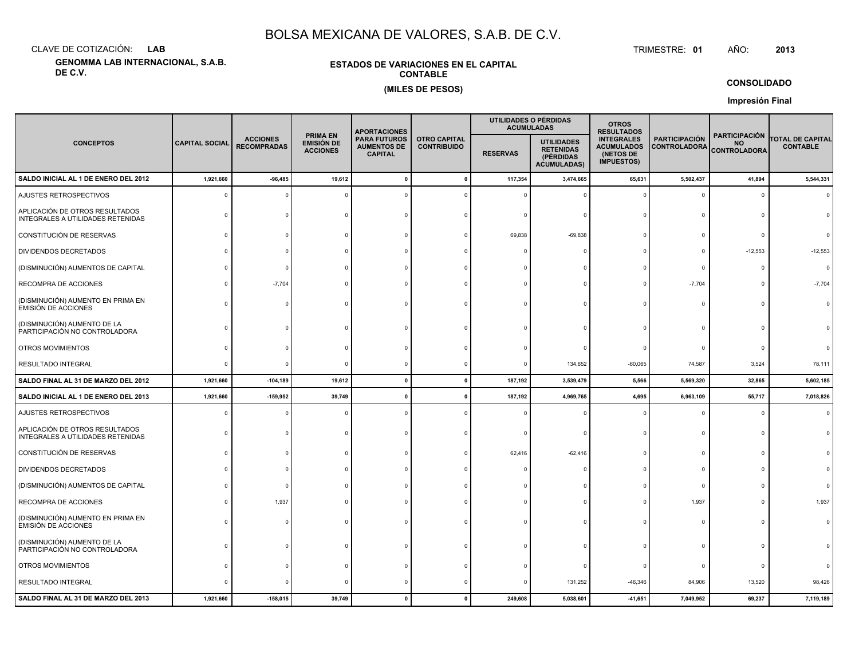CLAVE DE COTIZACIÓN:**LAB**

**GENOMMA LAB INTERNACIONAL, S.A.B. DE C.V.**

### **ESTADOS DE VARIACIONES EN EL CAPITALCONTABLE(MILES DE PESOS)**

 TRIMESTRE:TRIMESTRE: 01 AÑO: **<sup>2013</sup>**

**CONSOLIDADO**

**Impresión Final**

|                                                                     |                       |                                       |                                                         | <b>APORTACIONES</b>                                         |                                           |                 | UTILIDADES O PÉRDIDAS<br><b>ACUMULADAS</b>                               | <b>OTROS</b><br><b>RESULTADOS</b>                                        |                                      |                                                          |                                            |
|---------------------------------------------------------------------|-----------------------|---------------------------------------|---------------------------------------------------------|-------------------------------------------------------------|-------------------------------------------|-----------------|--------------------------------------------------------------------------|--------------------------------------------------------------------------|--------------------------------------|----------------------------------------------------------|--------------------------------------------|
| <b>CONCEPTOS</b>                                                    | <b>CAPITAL SOCIAL</b> | <b>ACCIONES</b><br><b>RECOMPRADAS</b> | <b>PRIMA EN</b><br><b>EMISIÓN DE</b><br><b>ACCIONES</b> | <b>PARA FUTUROS</b><br><b>AUMENTOS DE</b><br><b>CAPITAL</b> | <b>OTRO CAPITAL</b><br><b>CONTRIBUIDO</b> | <b>RESERVAS</b> | <b>UTILIDADES</b><br><b>RETENIDAS</b><br>(PÉRDIDAS<br><b>ACUMULADAS)</b> | <b>INTEGRALES</b><br><b>ACUMULADOS</b><br>(NETOS DE<br><b>IMPUESTOS)</b> | <b>PARTICIPACIÓN</b><br>CONTROLADORA | <b>PARTICIPACIÓN</b><br><b>NO</b><br><b>CONTROLADORA</b> | <b>TOTAL DE CAPITAL</b><br><b>CONTABLE</b> |
| SALDO INICIAL AL 1 DE ENERO DEL 2012                                | 1,921,660             | $-96,485$                             | 19,612                                                  |                                                             |                                           | 117,354         | 3,474,665                                                                | 65,631                                                                   | 5,502,437                            | 41,894                                                   | 5,544,331                                  |
| AJUSTES RETROSPECTIVOS                                              | $\Omega$              |                                       |                                                         |                                                             |                                           |                 |                                                                          |                                                                          | $\Omega$                             | $\Omega$                                                 | $\Omega$                                   |
| APLICACIÓN DE OTROS RESULTADOS<br>INTEGRALES A UTILIDADES RETENIDAS |                       |                                       |                                                         |                                                             |                                           |                 |                                                                          |                                                                          | $\Omega$                             | $\Omega$                                                 |                                            |
| CONSTITUCIÓN DE RESERVAS                                            |                       |                                       |                                                         |                                                             |                                           | 69,838          | $-69,838$                                                                |                                                                          |                                      | $\Omega$                                                 |                                            |
| DIVIDENDOS DECRETADOS                                               |                       |                                       |                                                         |                                                             |                                           |                 |                                                                          |                                                                          | $\Omega$                             | $-12,553$                                                | $-12,553$                                  |
| (DISMINUCIÓN) AUMENTOS DE CAPITAL                                   |                       |                                       |                                                         |                                                             |                                           |                 |                                                                          |                                                                          | $\mathbf 0$                          | $\Omega$                                                 | $\Omega$                                   |
| RECOMPRA DE ACCIONES                                                |                       | $-7,704$                              |                                                         |                                                             |                                           |                 |                                                                          |                                                                          | $-7,704$                             | $\Omega$                                                 | $-7,704$                                   |
| (DISMINUCIÓN) AUMENTO EN PRIMA EN<br><b>EMISIÓN DE ACCIONES</b>     |                       |                                       |                                                         |                                                             |                                           |                 |                                                                          |                                                                          | $\Omega$                             | $\Omega$                                                 |                                            |
| (DISMINUCIÓN) AUMENTO DE LA<br>PARTICIPACIÓN NO CONTROLADORA        |                       |                                       |                                                         |                                                             |                                           |                 |                                                                          |                                                                          |                                      |                                                          |                                            |
| OTROS MOVIMIENTOS                                                   |                       |                                       |                                                         |                                                             |                                           |                 |                                                                          |                                                                          | $\Omega$                             | $\Omega$                                                 |                                            |
| RESULTADO INTEGRAL                                                  |                       |                                       |                                                         |                                                             |                                           |                 | 134,652                                                                  | $-60,065$                                                                | 74,587                               | 3,524                                                    | 78,111                                     |
| SALDO FINAL AL 31 DE MARZO DEL 2012                                 | 1,921,660             | $-104, 189$                           | 19,612                                                  | $\Omega$                                                    |                                           | 187,192         | 3,539,479                                                                | 5,566                                                                    | 5,569,320                            | 32,865                                                   | 5,602,185                                  |
| SALDO INICIAL AL 1 DE ENERO DEL 2013                                | 1,921,660             | $-159,952$                            | 39,749                                                  |                                                             |                                           | 187,192         | 4,969,765                                                                | 4,695                                                                    | 6,963,109                            | 55,717                                                   | 7,018,826                                  |
| AJUSTES RETROSPECTIVOS                                              |                       |                                       |                                                         |                                                             |                                           |                 |                                                                          |                                                                          | $\Omega$                             | $\Omega$                                                 |                                            |
| APLICACIÓN DE OTROS RESULTADOS<br>INTEGRALES A UTILIDADES RETENIDAS |                       |                                       |                                                         |                                                             |                                           |                 |                                                                          |                                                                          | $\Omega$                             | $\Omega$                                                 |                                            |
| CONSTITUCIÓN DE RESERVAS                                            |                       |                                       |                                                         |                                                             |                                           | 62,416          | $-62,416$                                                                |                                                                          | $\mathbf 0$                          |                                                          |                                            |
| DIVIDENDOS DECRETADOS                                               |                       |                                       |                                                         |                                                             |                                           |                 |                                                                          |                                                                          | $\Omega$                             |                                                          |                                            |
| (DISMINUCIÓN) AUMENTOS DE CAPITAL                                   |                       |                                       |                                                         |                                                             |                                           |                 |                                                                          |                                                                          | $^{\circ}$                           |                                                          |                                            |
| RECOMPRA DE ACCIONES                                                |                       | 1,937                                 |                                                         |                                                             |                                           |                 |                                                                          |                                                                          | 1,937                                | $\Omega$                                                 | 1,937                                      |
| (DISMINUCIÓN) AUMENTO EN PRIMA EN<br><b>EMISIÓN DE ACCIONES</b>     |                       |                                       |                                                         |                                                             |                                           |                 |                                                                          |                                                                          | $\Omega$                             | $\Omega$                                                 |                                            |
| (DISMINUCIÓN) AUMENTO DE LA<br>PARTICIPACIÓN NO CONTROLADORA        |                       |                                       |                                                         |                                                             |                                           |                 |                                                                          |                                                                          | $\Omega$                             | $\Omega$                                                 |                                            |
| OTROS MOVIMIENTOS                                                   |                       |                                       |                                                         |                                                             |                                           |                 |                                                                          |                                                                          | $^{\circ}$                           | $\Omega$                                                 |                                            |
| RESULTADO INTEGRAL                                                  |                       |                                       |                                                         |                                                             |                                           |                 | 131,252                                                                  | $-46,346$                                                                | 84,906                               | 13,520                                                   | 98,426                                     |
| SALDO FINAL AL 31 DE MARZO DEL 2013                                 | 1,921,660             | $-158,015$                            | 39,749                                                  |                                                             |                                           | 249,608         | 5,038,601                                                                | $-41,651$                                                                | 7,049,952                            | 69,237                                                   | 7,119,189                                  |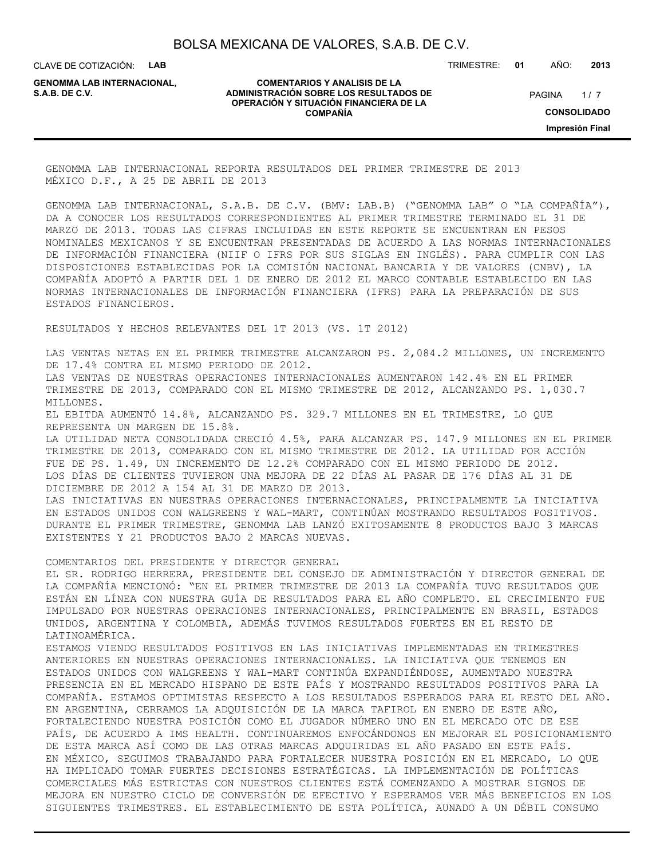CLAVE DE COTIZACIÓN: **LAB**

**GENOMMA LAB INTERNACIONAL,**

#### **COMENTARIOS Y ANALISIS DE LA ADMINISTRACIÓN SOBRE LOS RESULTADOS DE PAGINA 1/7 OPERACIÓN Y SITUACIÓN FINANCIERA DE LA COMPAÑÍA**

TRIMESTRE: **01** AÑO: **2013**

 $1/7$ **CONSOLIDADO Impresión Final**

GENOMMA LAB INTERNACIONAL REPORTA RESULTADOS DEL PRIMER TRIMESTRE DE 2013 MÉXICO D.F., A 25 DE ABRIL DE 2013

GENOMMA LAB INTERNACIONAL, S.A.B. DE C.V. (BMV: LAB.B) ("GENOMMA LAB" O "LA COMPAÑÍA"), DA A CONOCER LOS RESULTADOS CORRESPONDIENTES AL PRIMER TRIMESTRE TERMINADO EL 31 DE MARZO DE 2013. TODAS LAS CIFRAS INCLUIDAS EN ESTE REPORTE SE ENCUENTRAN EN PESOS NOMINALES MEXICANOS Y SE ENCUENTRAN PRESENTADAS DE ACUERDO A LAS NORMAS INTERNACIONALES DE INFORMACIÓN FINANCIERA (NIIF O IFRS POR SUS SIGLAS EN INGLÉS). PARA CUMPLIR CON LAS DISPOSICIONES ESTABLECIDAS POR LA COMISIÓN NACIONAL BANCARIA Y DE VALORES (CNBV), LA COMPAÑÍA ADOPTÓ A PARTIR DEL 1 DE ENERO DE 2012 EL MARCO CONTABLE ESTABLECIDO EN LAS NORMAS INTERNACIONALES DE INFORMACIÓN FINANCIERA (IFRS) PARA LA PREPARACIÓN DE SUS ESTADOS FINANCIEROS.

RESULTADOS Y HECHOS RELEVANTES DEL 1T 2013 (VS. 1T 2012)

LAS VENTAS NETAS EN EL PRIMER TRIMESTRE ALCANZARON PS. 2,084.2 MILLONES, UN INCREMENTO DE 17.4% CONTRA EL MISMO PERIODO DE 2012. LAS VENTAS DE NUESTRAS OPERACIONES INTERNACIONALES AUMENTARON 142.4% EN EL PRIMER TRIMESTRE DE 2013, COMPARADO CON EL MISMO TRIMESTRE DE 2012, ALCANZANDO PS. 1,030.7 MILLONES. EL EBITDA AUMENTÓ 14.8%, ALCANZANDO PS. 329.7 MILLONES EN EL TRIMESTRE, LO QUE REPRESENTA UN MARGEN DE 15.8%. LA UTILIDAD NETA CONSOLIDADA CRECIÓ 4.5%, PARA ALCANZAR PS. 147.9 MILLONES EN EL PRIMER TRIMESTRE DE 2013, COMPARADO CON EL MISMO TRIMESTRE DE 2012. LA UTILIDAD POR ACCIÓN FUE DE PS. 1.49, UN INCREMENTO DE 12.2% COMPARADO CON EL MISMO PERIODO DE 2012. LOS DÍAS DE CLIENTES TUVIERON UNA MEJORA DE 22 DÍAS AL PASAR DE 176 DÍAS AL 31 DE DICIEMBRE DE 2012 A 154 AL 31 DE MARZO DE 2013. LAS INICIATIVAS EN NUESTRAS OPERACIONES INTERNACIONALES, PRINCIPALMENTE LA INICIATIVA EN ESTADOS UNIDOS CON WALGREENS Y WAL-MART, CONTINÚAN MOSTRANDO RESULTADOS POSITIVOS. DURANTE EL PRIMER TRIMESTRE, GENOMMA LAB LANZÓ EXITOSAMENTE 8 PRODUCTOS BAJO 3 MARCAS EXISTENTES Y 21 PRODUCTOS BAJO 2 MARCAS NUEVAS.

COMENTARIOS DEL PRESIDENTE Y DIRECTOR GENERAL

EL SR. RODRIGO HERRERA, PRESIDENTE DEL CONSEJO DE ADMINISTRACIÓN Y DIRECTOR GENERAL DE LA COMPAÑÍA MENCIONÓ: "EN EL PRIMER TRIMESTRE DE 2013 LA COMPAÑÍA TUVO RESULTADOS QUE ESTÁN EN LÍNEA CON NUESTRA GUÍA DE RESULTADOS PARA EL AÑO COMPLETO. EL CRECIMIENTO FUE IMPULSADO POR NUESTRAS OPERACIONES INTERNACIONALES, PRINCIPALMENTE EN BRASIL, ESTADOS UNIDOS, ARGENTINA Y COLOMBIA, ADEMÁS TUVIMOS RESULTADOS FUERTES EN EL RESTO DE LATINOAMÉRICA.

ESTAMOS VIENDO RESULTADOS POSITIVOS EN LAS INICIATIVAS IMPLEMENTADAS EN TRIMESTRES ANTERIORES EN NUESTRAS OPERACIONES INTERNACIONALES. LA INICIATIVA QUE TENEMOS EN ESTADOS UNIDOS CON WALGREENS Y WAL-MART CONTINÚA EXPANDIÉNDOSE, AUMENTADO NUESTRA PRESENCIA EN EL MERCADO HISPANO DE ESTE PAÍS Y MOSTRANDO RESULTADOS POSITIVOS PARA LA COMPAÑÍA. ESTAMOS OPTIMISTAS RESPECTO A LOS RESULTADOS ESPERADOS PARA EL RESTO DEL AÑO. EN ARGENTINA, CERRAMOS LA ADQUISICIÓN DE LA MARCA TAFIROL EN ENERO DE ESTE AÑO, FORTALECIENDO NUESTRA POSICIÓN COMO EL JUGADOR NÚMERO UNO EN EL MERCADO OTC DE ESE PAÍS, DE ACUERDO A IMS HEALTH. CONTINUAREMOS ENFOCÁNDONOS EN MEJORAR EL POSICIONAMIENTO DE ESTA MARCA ASÍ COMO DE LAS OTRAS MARCAS ADQUIRIDAS EL AÑO PASADO EN ESTE PAÍS. EN MÉXICO, SEGUIMOS TRABAJANDO PARA FORTALECER NUESTRA POSICIÓN EN EL MERCADO, LO QUE HA IMPLICADO TOMAR FUERTES DECISIONES ESTRATÉGICAS. LA IMPLEMENTACIÓN DE POLÍTICAS COMERCIALES MÁS ESTRICTAS CON NUESTROS CLIENTES ESTÁ COMENZANDO A MOSTRAR SIGNOS DE MEJORA EN NUESTRO CICLO DE CONVERSIÓN DE EFECTIVO Y ESPERAMOS VER MÁS BENEFICIOS EN LOS SIGUIENTES TRIMESTRES. EL ESTABLECIMIENTO DE ESTA POLÍTICA, AUNADO A UN DÉBIL CONSUMO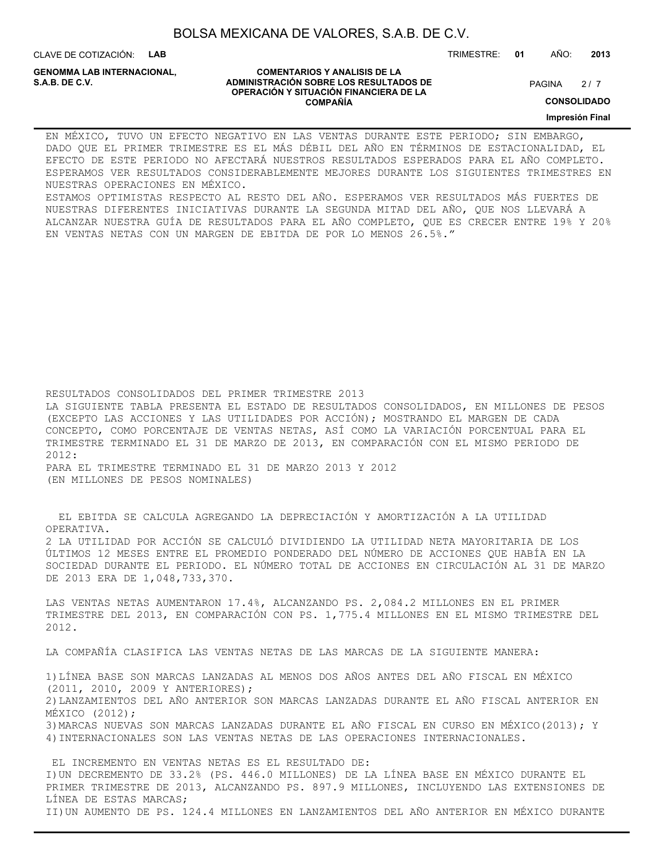CLAVE DE COTIZACIÓN: **LAB**

**GENOMMA LAB INTERNACIONAL,**

#### **COMENTARIOS Y ANALISIS DE LA ADMINISTRACIÓN SOBRE LOS RESULTADOS DE PAGINA 2/7 PAGINA 2/7 OPERACIÓN Y SITUACIÓN FINANCIERA DE LA COMPAÑÍA**

 $2/7$ 

TRIMESTRE: **01** AÑO: **2013**

**CONSOLIDADO**

**Impresión Final**

EN MÉXICO, TUVO UN EFECTO NEGATIVO EN LAS VENTAS DURANTE ESTE PERIODO; SIN EMBARGO, DADO QUE EL PRIMER TRIMESTRE ES EL MÁS DÉBIL DEL AÑO EN TÉRMINOS DE ESTACIONALIDAD, EL EFECTO DE ESTE PERIODO NO AFECTARÁ NUESTROS RESULTADOS ESPERADOS PARA EL AÑO COMPLETO. ESPERAMOS VER RESULTADOS CONSIDERABLEMENTE MEJORES DURANTE LOS SIGUIENTES TRIMESTRES EN NUESTRAS OPERACIONES EN MÉXICO.

ESTAMOS OPTIMISTAS RESPECTO AL RESTO DEL AÑO. ESPERAMOS VER RESULTADOS MÁS FUERTES DE NUESTRAS DIFERENTES INICIATIVAS DURANTE LA SEGUNDA MITAD DEL AÑO, QUE NOS LLEVARÁ A ALCANZAR NUESTRA GUÍA DE RESULTADOS PARA EL AÑO COMPLETO, QUE ES CRECER ENTRE 19% Y 20% EN VENTAS NETAS CON UN MARGEN DE EBITDA DE POR LO MENOS 26.5%."

RESULTADOS CONSOLIDADOS DEL PRIMER TRIMESTRE 2013

LA SIGUIENTE TABLA PRESENTA EL ESTADO DE RESULTADOS CONSOLIDADOS, EN MILLONES DE PESOS (EXCEPTO LAS ACCIONES Y LAS UTILIDADES POR ACCIÓN); MOSTRANDO EL MARGEN DE CADA CONCEPTO, COMO PORCENTAJE DE VENTAS NETAS, ASÍ COMO LA VARIACIÓN PORCENTUAL PARA EL TRIMESTRE TERMINADO EL 31 DE MARZO DE 2013, EN COMPARACIÓN CON EL MISMO PERIODO DE 2012: PARA EL TRIMESTRE TERMINADO EL 31 DE MARZO 2013 Y 2012

(EN MILLONES DE PESOS NOMINALES)

 EL EBITDA SE CALCULA AGREGANDO LA DEPRECIACIÓN Y AMORTIZACIÓN A LA UTILIDAD OPERATIVA.

2 LA UTILIDAD POR ACCIÓN SE CALCULÓ DIVIDIENDO LA UTILIDAD NETA MAYORITARIA DE LOS ÚLTIMOS 12 MESES ENTRE EL PROMEDIO PONDERADO DEL NÚMERO DE ACCIONES QUE HABÍA EN LA SOCIEDAD DURANTE EL PERIODO. EL NÚMERO TOTAL DE ACCIONES EN CIRCULACIÓN AL 31 DE MARZO DE 2013 ERA DE 1,048,733,370.

LAS VENTAS NETAS AUMENTARON 17.4%, ALCANZANDO PS. 2,084.2 MILLONES EN EL PRIMER TRIMESTRE DEL 2013, EN COMPARACIÓN CON PS. 1,775.4 MILLONES EN EL MISMO TRIMESTRE DEL 2012.

LA COMPAÑÍA CLASIFICA LAS VENTAS NETAS DE LAS MARCAS DE LA SIGUIENTE MANERA:

1)LÍNEA BASE SON MARCAS LANZADAS AL MENOS DOS AÑOS ANTES DEL AÑO FISCAL EN MÉXICO (2011, 2010, 2009 Y ANTERIORES); 2)LANZAMIENTOS DEL AÑO ANTERIOR SON MARCAS LANZADAS DURANTE EL AÑO FISCAL ANTERIOR EN MÉXICO (2012); 3)MARCAS NUEVAS SON MARCAS LANZADAS DURANTE EL AÑO FISCAL EN CURSO EN MÉXICO(2013); Y 4)INTERNACIONALES SON LAS VENTAS NETAS DE LAS OPERACIONES INTERNACIONALES.

 EL INCREMENTO EN VENTAS NETAS ES EL RESULTADO DE: I)UN DECREMENTO DE 33.2% (PS. 446.0 MILLONES) DE LA LÍNEA BASE EN MÉXICO DURANTE EL PRIMER TRIMESTRE DE 2013, ALCANZANDO PS. 897.9 MILLONES, INCLUYENDO LAS EXTENSIONES DE LÍNEA DE ESTAS MARCAS; II)UN AUMENTO DE PS. 124.4 MILLONES EN LANZAMIENTOS DEL AÑO ANTERIOR EN MÉXICO DURANTE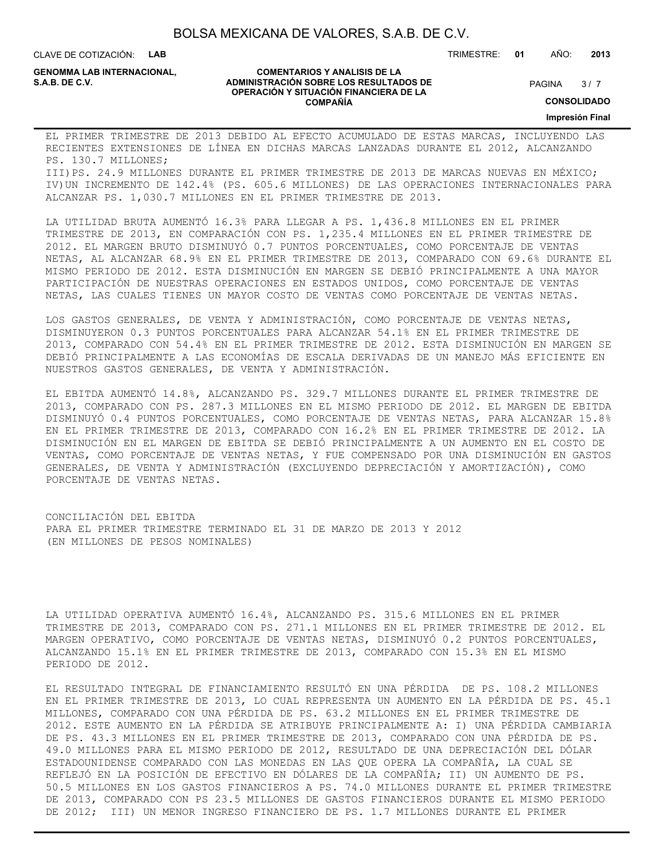CLAVE DE COTIZACIÓN: **LAB**

**GENOMMA LAB INTERNACIONAL,**

#### **COMENTARIOS Y ANALISIS DE LA ADMINISTRACIÓN SOBRE LOS RESULTADOS DE S.A.B. DE C.V.** PAGINA / 7 **OPERACIÓN Y SITUACIÓN FINANCIERA DE LA COMPAÑÍA**

 $3/7$ 

**CONSOLIDADO**

**Impresión Final**

EL PRIMER TRIMESTRE DE 2013 DEBIDO AL EFECTO ACUMULADO DE ESTAS MARCAS, INCLUYENDO LAS RECIENTES EXTENSIONES DE LÍNEA EN DICHAS MARCAS LANZADAS DURANTE EL 2012, ALCANZANDO PS. 130.7 MILLONES;

III)PS. 24.9 MILLONES DURANTE EL PRIMER TRIMESTRE DE 2013 DE MARCAS NUEVAS EN MÉXICO; IV)UN INCREMENTO DE 142.4% (PS. 605.6 MILLONES) DE LAS OPERACIONES INTERNACIONALES PARA ALCANZAR PS. 1,030.7 MILLONES EN EL PRIMER TRIMESTRE DE 2013.

LA UTILIDAD BRUTA AUMENTÓ 16.3% PARA LLEGAR A PS. 1,436.8 MILLONES EN EL PRIMER TRIMESTRE DE 2013, EN COMPARACIÓN CON PS. 1,235.4 MILLONES EN EL PRIMER TRIMESTRE DE 2012. EL MARGEN BRUTO DISMINUYÓ 0.7 PUNTOS PORCENTUALES, COMO PORCENTAJE DE VENTAS NETAS, AL ALCANZAR 68.9% EN EL PRIMER TRIMESTRE DE 2013, COMPARADO CON 69.6% DURANTE EL MISMO PERIODO DE 2012. ESTA DISMINUCIÓN EN MARGEN SE DEBIÓ PRINCIPALMENTE A UNA MAYOR PARTICIPACIÓN DE NUESTRAS OPERACIONES EN ESTADOS UNIDOS, COMO PORCENTAJE DE VENTAS NETAS, LAS CUALES TIENES UN MAYOR COSTO DE VENTAS COMO PORCENTAJE DE VENTAS NETAS.

LOS GASTOS GENERALES, DE VENTA Y ADMINISTRACIÓN, COMO PORCENTAJE DE VENTAS NETAS, DISMINUYERON 0.3 PUNTOS PORCENTUALES PARA ALCANZAR 54.1% EN EL PRIMER TRIMESTRE DE 2013, COMPARADO CON 54.4% EN EL PRIMER TRIMESTRE DE 2012. ESTA DISMINUCIÓN EN MARGEN SE DEBIÓ PRINCIPALMENTE A LAS ECONOMÍAS DE ESCALA DERIVADAS DE UN MANEJO MÁS EFICIENTE EN NUESTROS GASTOS GENERALES, DE VENTA Y ADMINISTRACIÓN.

EL EBITDA AUMENTÓ 14.8%, ALCANZANDO PS. 329.7 MILLONES DURANTE EL PRIMER TRIMESTRE DE 2013, COMPARADO CON PS. 287.3 MILLONES EN EL MISMO PERIODO DE 2012. EL MARGEN DE EBITDA DISMINUYÓ 0.4 PUNTOS PORCENTUALES, COMO PORCENTAJE DE VENTAS NETAS, PARA ALCANZAR 15.8% EN EL PRIMER TRIMESTRE DE 2013, COMPARADO CON 16.2% EN EL PRIMER TRIMESTRE DE 2012. LA DISMINUCIÓN EN EL MARGEN DE EBITDA SE DEBIÓ PRINCIPALMENTE A UN AUMENTO EN EL COSTO DE VENTAS, COMO PORCENTAJE DE VENTAS NETAS, Y FUE COMPENSADO POR UNA DISMINUCIÓN EN GASTOS GENERALES, DE VENTA Y ADMINISTRACIÓN (EXCLUYENDO DEPRECIACIÓN Y AMORTIZACIÓN), COMO PORCENTAJE DE VENTAS NETAS.

CONCILIACIÓN DEL EBITDA PARA EL PRIMER TRIMESTRE TERMINADO EL 31 DE MARZO DE 2013 Y 2012 (EN MILLONES DE PESOS NOMINALES)

LA UTILIDAD OPERATIVA AUMENTÓ 16.4%, ALCANZANDO PS. 315.6 MILLONES EN EL PRIMER TRIMESTRE DE 2013, COMPARADO CON PS. 271.1 MILLONES EN EL PRIMER TRIMESTRE DE 2012. EL MARGEN OPERATIVO, COMO PORCENTAJE DE VENTAS NETAS, DISMINUYÓ 0.2 PUNTOS PORCENTUALES, ALCANZANDO 15.1% EN EL PRIMER TRIMESTRE DE 2013, COMPARADO CON 15.3% EN EL MISMO PERIODO DE 2012.

EL RESULTADO INTEGRAL DE FINANCIAMIENTO RESULTÓ EN UNA PÉRDIDA DE PS. 108.2 MILLONES EN EL PRIMER TRIMESTRE DE 2013, LO CUAL REPRESENTA UN AUMENTO EN LA PÉRDIDA DE PS. 45.1 MILLONES, COMPARADO CON UNA PÉRDIDA DE PS. 63.2 MILLONES EN EL PRIMER TRIMESTRE DE 2012. ESTE AUMENTO EN LA PÉRDIDA SE ATRIBUYE PRINCIPALMENTE A: I) UNA PÉRDIDA CAMBIARIA DE PS. 43.3 MILLONES EN EL PRIMER TRIMESTRE DE 2013, COMPARADO CON UNA PÉRDIDA DE PS. 49.0 MILLONES PARA EL MISMO PERIODO DE 2012, RESULTADO DE UNA DEPRECIACIÓN DEL DÓLAR ESTADOUNIDENSE COMPARADO CON LAS MONEDAS EN LAS QUE OPERA LA COMPAÑÍA, LA CUAL SE REFLEJÓ EN LA POSICIÓN DE EFECTIVO EN DÓLARES DE LA COMPAÑÍA; II) UN AUMENTO DE PS. 50.5 MILLONES EN LOS GASTOS FINANCIEROS A PS. 74.0 MILLONES DURANTE EL PRIMER TRIMESTRE DE 2013, COMPARADO CON PS 23.5 MILLONES DE GASTOS FINANCIEROS DURANTE EL MISMO PERIODO DE 2012; III) UN MENOR INGRESO FINANCIERO DE PS. 1.7 MILLONES DURANTE EL PRIMER

TRIMESTRE: **01** AÑO: **2013**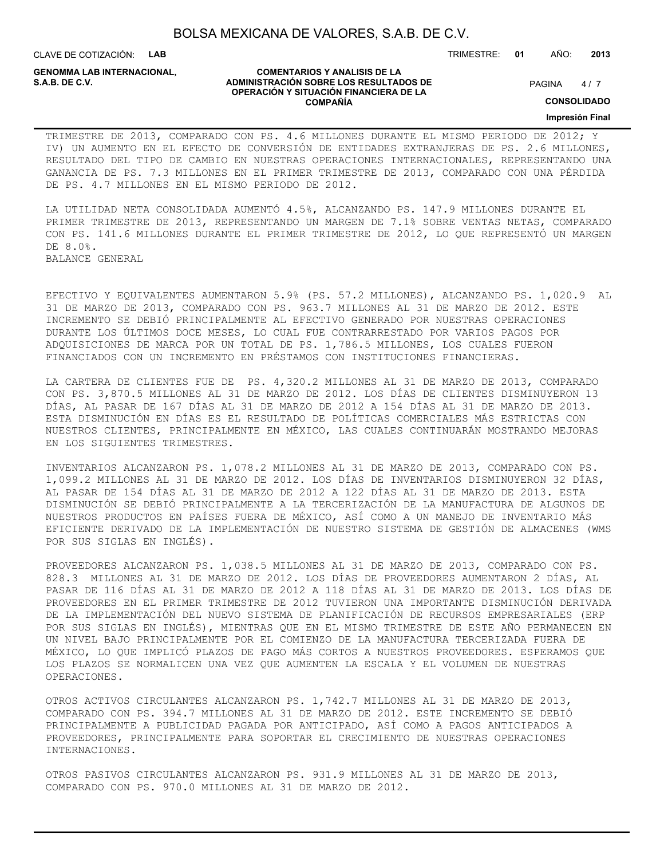CLAVE DE COTIZACIÓN: **LAB**

**GENOMMA LAB INTERNACIONAL,**

#### **COMENTARIOS Y ANALISIS DE LA ADMINISTRACIÓN SOBRE LOS RESULTADOS DE PAGINA 1997 E PAGINA 2018 OPERACIÓN Y SITUACIÓN FINANCIERA DE LA COMPAÑÍA**

 $4/7$ 

TRIMESTRE: **01** AÑO: **2013**

**CONSOLIDADO**

**Impresión Final**

TRIMESTRE DE 2013, COMPARADO CON PS. 4.6 MILLONES DURANTE EL MISMO PERIODO DE 2012; Y IV) UN AUMENTO EN EL EFECTO DE CONVERSIÓN DE ENTIDADES EXTRANJERAS DE PS. 2.6 MILLONES, RESULTADO DEL TIPO DE CAMBIO EN NUESTRAS OPERACIONES INTERNACIONALES, REPRESENTANDO UNA GANANCIA DE PS. 7.3 MILLONES EN EL PRIMER TRIMESTRE DE 2013, COMPARADO CON UNA PÉRDIDA DE PS. 4.7 MILLONES EN EL MISMO PERIODO DE 2012.

LA UTILIDAD NETA CONSOLIDADA AUMENTÓ 4.5%, ALCANZANDO PS. 147.9 MILLONES DURANTE EL PRIMER TRIMESTRE DE 2013, REPRESENTANDO UN MARGEN DE 7.1% SOBRE VENTAS NETAS, COMPARADO CON PS. 141.6 MILLONES DURANTE EL PRIMER TRIMESTRE DE 2012, LO QUE REPRESENTÓ UN MARGEN DE 8.0%. BALANCE GENERAL

EFECTIVO Y EQUIVALENTES AUMENTARON 5.9% (PS. 57.2 MILLONES), ALCANZANDO PS. 1,020.9 AL 31 DE MARZO DE 2013, COMPARADO CON PS. 963.7 MILLONES AL 31 DE MARZO DE 2012. ESTE INCREMENTO SE DEBIÓ PRINCIPALMENTE AL EFECTIVO GENERADO POR NUESTRAS OPERACIONES DURANTE LOS ÚLTIMOS DOCE MESES, LO CUAL FUE CONTRARRESTADO POR VARIOS PAGOS POR ADQUISICIONES DE MARCA POR UN TOTAL DE PS. 1,786.5 MILLONES, LOS CUALES FUERON FINANCIADOS CON UN INCREMENTO EN PRÉSTAMOS CON INSTITUCIONES FINANCIERAS.

LA CARTERA DE CLIENTES FUE DE PS. 4,320.2 MILLONES AL 31 DE MARZO DE 2013, COMPARADO CON PS. 3,870.5 MILLONES AL 31 DE MARZO DE 2012. LOS DÍAS DE CLIENTES DISMINUYERON 13 DÍAS, AL PASAR DE 167 DÍAS AL 31 DE MARZO DE 2012 A 154 DÍAS AL 31 DE MARZO DE 2013. ESTA DISMINUCIÓN EN DÍAS ES EL RESULTADO DE POLÍTICAS COMERCIALES MÁS ESTRICTAS CON NUESTROS CLIENTES, PRINCIPALMENTE EN MÉXICO, LAS CUALES CONTINUARÁN MOSTRANDO MEJORAS EN LOS SIGUIENTES TRIMESTRES.

INVENTARIOS ALCANZARON PS. 1,078.2 MILLONES AL 31 DE MARZO DE 2013, COMPARADO CON PS. 1,099.2 MILLONES AL 31 DE MARZO DE 2012. LOS DÍAS DE INVENTARIOS DISMINUYERON 32 DÍAS, AL PASAR DE 154 DÍAS AL 31 DE MARZO DE 2012 A 122 DÍAS AL 31 DE MARZO DE 2013. ESTA DISMINUCIÓN SE DEBIÓ PRINCIPALMENTE A LA TERCERIZACIÓN DE LA MANUFACTURA DE ALGUNOS DE NUESTROS PRODUCTOS EN PAÍSES FUERA DE MÉXICO, ASÍ COMO A UN MANEJO DE INVENTARIO MÁS EFICIENTE DERIVADO DE LA IMPLEMENTACIÓN DE NUESTRO SISTEMA DE GESTIÓN DE ALMACENES (WMS POR SUS SIGLAS EN INGLÉS).

PROVEEDORES ALCANZARON PS. 1,038.5 MILLONES AL 31 DE MARZO DE 2013, COMPARADO CON PS. 828.3 MILLONES AL 31 DE MARZO DE 2012. LOS DÍAS DE PROVEEDORES AUMENTARON 2 DÍAS, AL PASAR DE 116 DÍAS AL 31 DE MARZO DE 2012 A 118 DÍAS AL 31 DE MARZO DE 2013. LOS DÍAS DE PROVEEDORES EN EL PRIMER TRIMESTRE DE 2012 TUVIERON UNA IMPORTANTE DISMINUCIÓN DERIVADA DE LA IMPLEMENTACIÓN DEL NUEVO SISTEMA DE PLANIFICACIÓN DE RECURSOS EMPRESARIALES (ERP POR SUS SIGLAS EN INGLÉS), MIENTRAS QUE EN EL MISMO TRIMESTRE DE ESTE AÑO PERMANECEN EN UN NIVEL BAJO PRINCIPALMENTE POR EL COMIENZO DE LA MANUFACTURA TERCERIZADA FUERA DE MÉXICO, LO QUE IMPLICÓ PLAZOS DE PAGO MÁS CORTOS A NUESTROS PROVEEDORES. ESPERAMOS QUE LOS PLAZOS SE NORMALICEN UNA VEZ QUE AUMENTEN LA ESCALA Y EL VOLUMEN DE NUESTRAS OPERACIONES.

OTROS ACTIVOS CIRCULANTES ALCANZARON PS. 1,742.7 MILLONES AL 31 DE MARZO DE 2013, COMPARADO CON PS. 394.7 MILLONES AL 31 DE MARZO DE 2012. ESTE INCREMENTO SE DEBIÓ PRINCIPALMENTE A PUBLICIDAD PAGADA POR ANTICIPADO, ASÍ COMO A PAGOS ANTICIPADOS A PROVEEDORES, PRINCIPALMENTE PARA SOPORTAR EL CRECIMIENTO DE NUESTRAS OPERACIONES INTERNACIONES.

OTROS PASIVOS CIRCULANTES ALCANZARON PS. 931.9 MILLONES AL 31 DE MARZO DE 2013, COMPARADO CON PS. 970.0 MILLONES AL 31 DE MARZO DE 2012.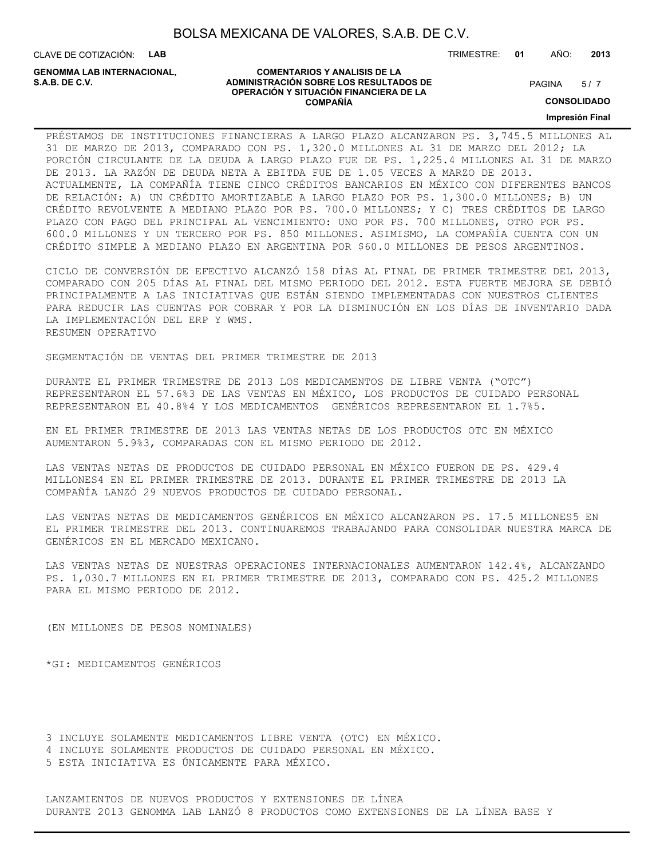CLAVE DE COTIZACIÓN: **LAB**

**GENOMMA LAB INTERNACIONAL,**

#### **COMENTARIOS Y ANALISIS DE LA ADMINISTRACIÓN SOBRE LOS RESULTADOS DE S.A.B. DE C.V.** PAGINA / 7 **OPERACIÓN Y SITUACIÓN FINANCIERA DE LA COMPAÑÍA**

 $5/7$ 

TRIMESTRE: **01** AÑO: **2013**

**CONSOLIDADO**

**Impresión Final**

PRÉSTAMOS DE INSTITUCIONES FINANCIERAS A LARGO PLAZO ALCANZARON PS. 3,745.5 MILLONES AL 31 DE MARZO DE 2013, COMPARADO CON PS. 1,320.0 MILLONES AL 31 DE MARZO DEL 2012; LA PORCIÓN CIRCULANTE DE LA DEUDA A LARGO PLAZO FUE DE PS. 1,225.4 MILLONES AL 31 DE MARZO DE 2013. LA RAZÓN DE DEUDA NETA A EBITDA FUE DE 1.05 VECES A MARZO DE 2013. ACTUALMENTE, LA COMPAÑÍA TIENE CINCO CRÉDITOS BANCARIOS EN MÉXICO CON DIFERENTES BANCOS DE RELACIÓN: A) UN CRÉDITO AMORTIZABLE A LARGO PLAZO POR PS. 1,300.0 MILLONES; B) UN CRÉDITO REVOLVENTE A MEDIANO PLAZO POR PS. 700.0 MILLONES; Y C) TRES CRÉDITOS DE LARGO PLAZO CON PAGO DEL PRINCIPAL AL VENCIMIENTO: UNO POR PS. 700 MILLONES, OTRO POR PS. 600.0 MILLONES Y UN TERCERO POR PS. 850 MILLONES. ASIMISMO, LA COMPAÑÍA CUENTA CON UN CRÉDITO SIMPLE A MEDIANO PLAZO EN ARGENTINA POR \$60.0 MILLONES DE PESOS ARGENTINOS.

CICLO DE CONVERSIÓN DE EFECTIVO ALCANZÓ 158 DÍAS AL FINAL DE PRIMER TRIMESTRE DEL 2013, COMPARADO CON 205 DÍAS AL FINAL DEL MISMO PERIODO DEL 2012. ESTA FUERTE MEJORA SE DEBIÓ PRINCIPALMENTE A LAS INICIATIVAS QUE ESTÁN SIENDO IMPLEMENTADAS CON NUESTROS CLIENTES PARA REDUCIR LAS CUENTAS POR COBRAR Y POR LA DISMINUCIÓN EN LOS DÍAS DE INVENTARIO DADA LA IMPLEMENTACIÓN DEL ERP Y WMS. RESUMEN OPERATIVO

SEGMENTACIÓN DE VENTAS DEL PRIMER TRIMESTRE DE 2013

DURANTE EL PRIMER TRIMESTRE DE 2013 LOS MEDICAMENTOS DE LIBRE VENTA ("OTC") REPRESENTARON EL 57.6%3 DE LAS VENTAS EN MÉXICO, LOS PRODUCTOS DE CUIDADO PERSONAL REPRESENTARON EL 40.8%4 Y LOS MEDICAMENTOS GENÉRICOS REPRESENTARON EL 1.7%5.

EN EL PRIMER TRIMESTRE DE 2013 LAS VENTAS NETAS DE LOS PRODUCTOS OTC EN MÉXICO AUMENTARON 5.9%3, COMPARADAS CON EL MISMO PERIODO DE 2012.

LAS VENTAS NETAS DE PRODUCTOS DE CUIDADO PERSONAL EN MÉXICO FUERON DE PS. 429.4 MILLONES4 EN EL PRIMER TRIMESTRE DE 2013. DURANTE EL PRIMER TRIMESTRE DE 2013 LA COMPAÑÍA LANZÓ 29 NUEVOS PRODUCTOS DE CUIDADO PERSONAL.

LAS VENTAS NETAS DE MEDICAMENTOS GENÉRICOS EN MÉXICO ALCANZARON PS. 17.5 MILLONES5 EN EL PRIMER TRIMESTRE DEL 2013. CONTINUAREMOS TRABAJANDO PARA CONSOLIDAR NUESTRA MARCA DE GENÉRICOS EN EL MERCADO MEXICANO.

LAS VENTAS NETAS DE NUESTRAS OPERACIONES INTERNACIONALES AUMENTARON 142.4%, ALCANZANDO PS. 1,030.7 MILLONES EN EL PRIMER TRIMESTRE DE 2013, COMPARADO CON PS. 425.2 MILLONES PARA EL MISMO PERIODO DE 2012.

(EN MILLONES DE PESOS NOMINALES)

\*GI: MEDICAMENTOS GENÉRICOS

3 INCLUYE SOLAMENTE MEDICAMENTOS LIBRE VENTA (OTC) EN MÉXICO. 4 INCLUYE SOLAMENTE PRODUCTOS DE CUIDADO PERSONAL EN MÉXICO. 5 ESTA INICIATIVA ES ÚNICAMENTE PARA MÉXICO.

LANZAMIENTOS DE NUEVOS PRODUCTOS Y EXTENSIONES DE LÍNEA DURANTE 2013 GENOMMA LAB LANZÓ 8 PRODUCTOS COMO EXTENSIONES DE LA LÍNEA BASE Y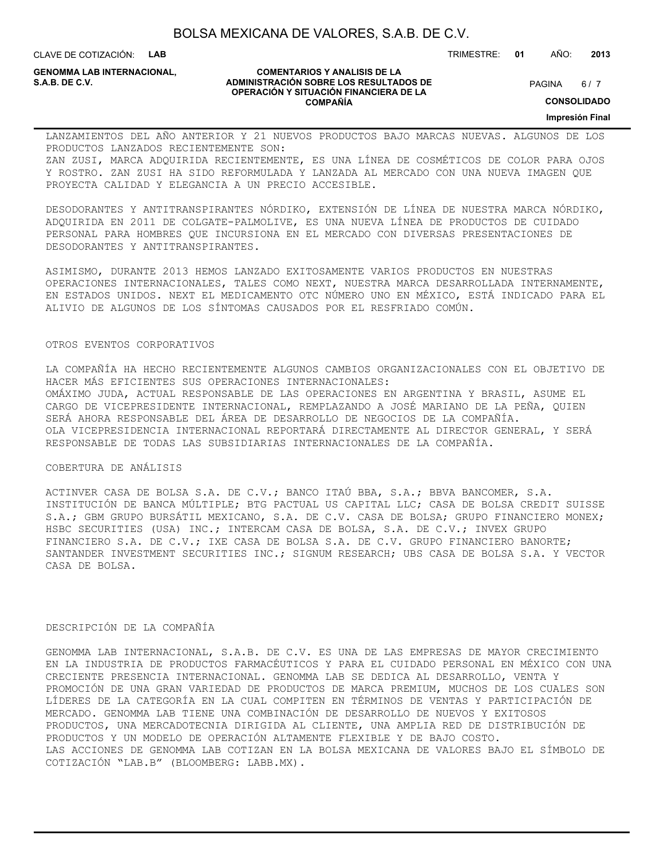CLAVE DE COTIZACIÓN: **LAB**

**GENOMMA LAB INTERNACIONAL,**

#### **COMENTARIOS Y ANALISIS DE LA ADMINISTRACIÓN SOBRE LOS RESULTADOS DE S.A.B. DE C.V.** PAGINA / 7 **OPERACIÓN Y SITUACIÓN FINANCIERA DE LA COMPAÑÍA**

 $6/7$ 

**CONSOLIDADO**

**Impresión Final**

LANZAMIENTOS DEL AÑO ANTERIOR Y 21 NUEVOS PRODUCTOS BAJO MARCAS NUEVAS. ALGUNOS DE LOS PRODUCTOS LANZADOS RECIENTEMENTE SON: ZAN ZUSI, MARCA ADQUIRIDA RECIENTEMENTE, ES UNA LÍNEA DE COSMÉTICOS DE COLOR PARA OJOS Y ROSTRO. ZAN ZUSI HA SIDO REFORMULADA Y LANZADA AL MERCADO CON UNA NUEVA IMAGEN QUE PROYECTA CALIDAD Y ELEGANCIA A UN PRECIO ACCESIBLE.

DESODORANTES Y ANTITRANSPIRANTES NÓRDIKO, EXTENSIÓN DE LÍNEA DE NUESTRA MARCA NÓRDIKO, ADQUIRIDA EN 2011 DE COLGATE-PALMOLIVE, ES UNA NUEVA LÍNEA DE PRODUCTOS DE CUIDADO PERSONAL PARA HOMBRES QUE INCURSIONA EN EL MERCADO CON DIVERSAS PRESENTACIONES DE DESODORANTES Y ANTITRANSPIRANTES.

ASIMISMO, DURANTE 2013 HEMOS LANZADO EXITOSAMENTE VARIOS PRODUCTOS EN NUESTRAS OPERACIONES INTERNACIONALES, TALES COMO NEXT, NUESTRA MARCA DESARROLLADA INTERNAMENTE, EN ESTADOS UNIDOS. NEXT EL MEDICAMENTO OTC NÚMERO UNO EN MÉXICO, ESTÁ INDICADO PARA EL ALIVIO DE ALGUNOS DE LOS SÍNTOMAS CAUSADOS POR EL RESFRIADO COMÚN.

### OTROS EVENTOS CORPORATIVOS

LA COMPAÑÍA HA HECHO RECIENTEMENTE ALGUNOS CAMBIOS ORGANIZACIONALES CON EL OBJETIVO DE HACER MÁS EFICIENTES SUS OPERACIONES INTERNACIONALES: OMÁXIMO JUDA, ACTUAL RESPONSABLE DE LAS OPERACIONES EN ARGENTINA Y BRASIL, ASUME EL CARGO DE VICEPRESIDENTE INTERNACIONAL, REMPLAZANDO A JOSÉ MARIANO DE LA PEÑA, QUIEN SERÁ AHORA RESPONSABLE DEL ÁREA DE DESARROLLO DE NEGOCIOS DE LA COMPAÑÍA. OLA VICEPRESIDENCIA INTERNACIONAL REPORTARÁ DIRECTAMENTE AL DIRECTOR GENERAL, Y SERÁ RESPONSABLE DE TODAS LAS SUBSIDIARIAS INTERNACIONALES DE LA COMPAÑÍA.

### COBERTURA DE ANÁLISIS

ACTINVER CASA DE BOLSA S.A. DE C.V.; BANCO ITAÚ BBA, S.A.; BBVA BANCOMER, S.A. INSTITUCIÓN DE BANCA MÚLTIPLE; BTG PACTUAL US CAPITAL LLC; CASA DE BOLSA CREDIT SUISSE S.A.; GBM GRUPO BURSÁTIL MEXICANO, S.A. DE C.V. CASA DE BOLSA; GRUPO FINANCIERO MONEX; HSBC SECURITIES (USA) INC.; INTERCAM CASA DE BOLSA, S.A. DE C.V.; INVEX GRUPO FINANCIERO S.A. DE C.V.; IXE CASA DE BOLSA S.A. DE C.V. GRUPO FINANCIERO BANORTE; SANTANDER INVESTMENT SECURITIES INC.; SIGNUM RESEARCH; UBS CASA DE BOLSA S.A. Y VECTOR CASA DE BOLSA.

### DESCRIPCIÓN DE LA COMPAÑÍA

GENOMMA LAB INTERNACIONAL, S.A.B. DE C.V. ES UNA DE LAS EMPRESAS DE MAYOR CRECIMIENTO EN LA INDUSTRIA DE PRODUCTOS FARMACÉUTICOS Y PARA EL CUIDADO PERSONAL EN MÉXICO CON UNA CRECIENTE PRESENCIA INTERNACIONAL. GENOMMA LAB SE DEDICA AL DESARROLLO, VENTA Y PROMOCIÓN DE UNA GRAN VARIEDAD DE PRODUCTOS DE MARCA PREMIUM, MUCHOS DE LOS CUALES SON LÍDERES DE LA CATEGORÍA EN LA CUAL COMPITEN EN TÉRMINOS DE VENTAS Y PARTICIPACIÓN DE MERCADO. GENOMMA LAB TIENE UNA COMBINACIÓN DE DESARROLLO DE NUEVOS Y EXITOSOS PRODUCTOS, UNA MERCADOTECNIA DIRIGIDA AL CLIENTE, UNA AMPLIA RED DE DISTRIBUCIÓN DE PRODUCTOS Y UN MODELO DE OPERACIÓN ALTAMENTE FLEXIBLE Y DE BAJO COSTO. LAS ACCIONES DE GENOMMA LAB COTIZAN EN LA BOLSA MEXICANA DE VALORES BAJO EL SÍMBOLO DE COTIZACIÓN "LAB.B" (BLOOMBERG: LABB.MX).

#### TRIMESTRE: **01** AÑO: **2013**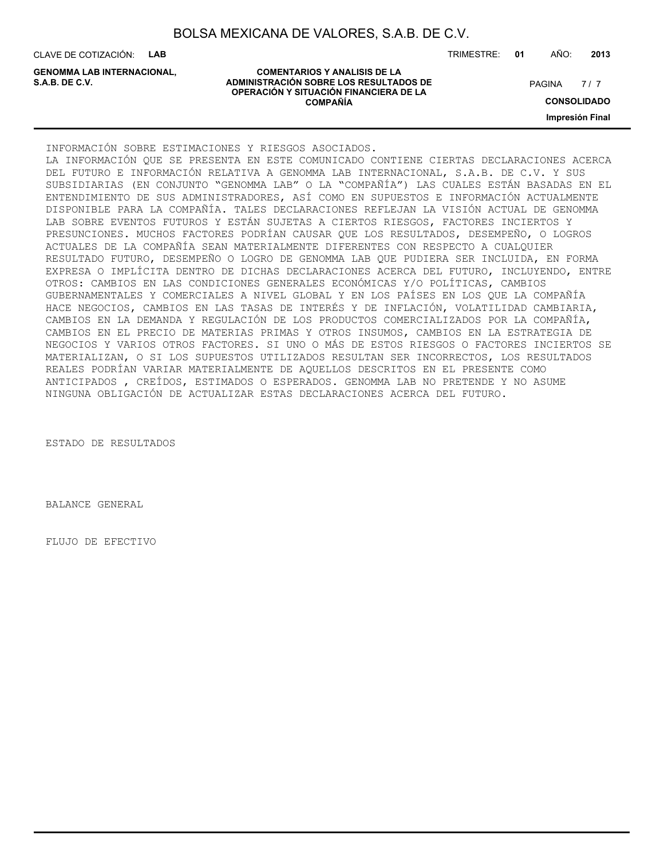| BOLSA MEXICANA DE VALORES, S.A.B. DE C.V. |  |  |
|-------------------------------------------|--|--|
|-------------------------------------------|--|--|

CLAVE DE COTIZACIÓN: **LAB**

TRIMESTRE: **01** AÑO: **2013**

 $7/7$ 

**CONSOLIDADO**

**Impresión Final**

**GENOMMA LAB INTERNACIONAL,**

**COMENTARIOS Y ANALISIS DE LA ADMINISTRACIÓN SOBRE LOS RESULTADOS DE PAGINA 1997 EN 1998 EL CONTRACIÓN SOBRE LOS RESULTADOS DE OPERACIÓN Y SITUACIÓN FINANCIERA DE LA COMPAÑÍA**

INFORMACIÓN SOBRE ESTIMACIONES Y RIESGOS ASOCIADOS.

LA INFORMACIÓN QUE SE PRESENTA EN ESTE COMUNICADO CONTIENE CIERTAS DECLARACIONES ACERCA DEL FUTURO E INFORMACIÓN RELATIVA A GENOMMA LAB INTERNACIONAL, S.A.B. DE C.V. Y SUS SUBSIDIARIAS (EN CONJUNTO "GENOMMA LAB" O LA "COMPAÑÍA") LAS CUALES ESTÁN BASADAS EN EL ENTENDIMIENTO DE SUS ADMINISTRADORES, ASÍ COMO EN SUPUESTOS E INFORMACIÓN ACTUALMENTE DISPONIBLE PARA LA COMPAÑÍA. TALES DECLARACIONES REFLEJAN LA VISIÓN ACTUAL DE GENOMMA LAB SOBRE EVENTOS FUTUROS Y ESTÁN SUJETAS A CIERTOS RIESGOS, FACTORES INCIERTOS Y PRESUNCIONES. MUCHOS FACTORES PODRÍAN CAUSAR QUE LOS RESULTADOS, DESEMPEÑO, O LOGROS ACTUALES DE LA COMPAÑÍA SEAN MATERIALMENTE DIFERENTES CON RESPECTO A CUALQUIER RESULTADO FUTURO, DESEMPEÑO O LOGRO DE GENOMMA LAB QUE PUDIERA SER INCLUIDA, EN FORMA EXPRESA O IMPLÍCITA DENTRO DE DICHAS DECLARACIONES ACERCA DEL FUTURO, INCLUYENDO, ENTRE OTROS: CAMBIOS EN LAS CONDICIONES GENERALES ECONÓMICAS Y/O POLÍTICAS, CAMBIOS GUBERNAMENTALES Y COMERCIALES A NIVEL GLOBAL Y EN LOS PAÍSES EN LOS QUE LA COMPAÑÍA HACE NEGOCIOS, CAMBIOS EN LAS TASAS DE INTERÉS Y DE INFLACIÓN, VOLATILIDAD CAMBIARIA, CAMBIOS EN LA DEMANDA Y REGULACIÓN DE LOS PRODUCTOS COMERCIALIZADOS POR LA COMPAÑÍA, CAMBIOS EN EL PRECIO DE MATERIAS PRIMAS Y OTROS INSUMOS, CAMBIOS EN LA ESTRATEGIA DE NEGOCIOS Y VARIOS OTROS FACTORES. SI UNO O MÁS DE ESTOS RIESGOS O FACTORES INCIERTOS SE MATERIALIZAN, O SI LOS SUPUESTOS UTILIZADOS RESULTAN SER INCORRECTOS, LOS RESULTADOS REALES PODRÍAN VARIAR MATERIALMENTE DE AQUELLOS DESCRITOS EN EL PRESENTE COMO ANTICIPADOS , CREÍDOS, ESTIMADOS O ESPERADOS. GENOMMA LAB NO PRETENDE Y NO ASUME NINGUNA OBLIGACIÓN DE ACTUALIZAR ESTAS DECLARACIONES ACERCA DEL FUTURO.

ESTADO DE RESULTADOS

BALANCE GENERAL

FLUJO DE EFECTIVO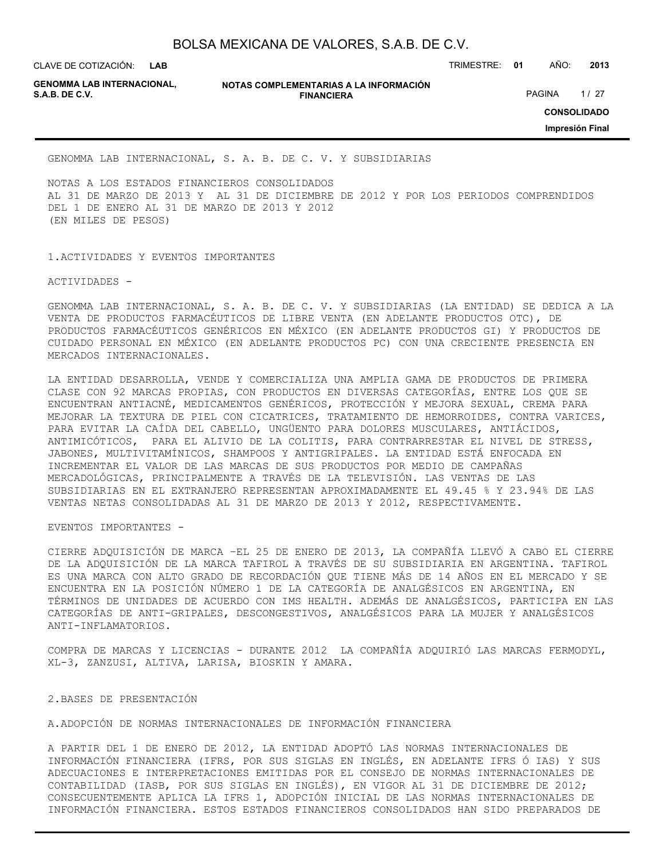**LAB GENOMMA LAB INTERNACIONAL,**

**NOTAS COMPLEMENTARIAS A LA INFORMACIÓN FINANCIERA S.A.B. DE C.V.** PAGINA 1 / 27

CLAVE DE COTIZACIÓN: TRIMESTRE: **01** AÑO: **2013**

**CONSOLIDADO**

**Impresión Final**

GENOMMA LAB INTERNACIONAL, S. A. B. DE C. V. Y SUBSIDIARIAS

NOTAS A LOS ESTADOS FINANCIEROS CONSOLIDADOS AL 31 DE MARZO DE 2013 Y AL 31 DE DICIEMBRE DE 2012 Y POR LOS PERIODOS COMPRENDIDOS DEL 1 DE ENERO AL 31 DE MARZO DE 2013 Y 2012 (EN MILES DE PESOS)

1.ACTIVIDADES Y EVENTOS IMPORTANTES

ACTIVIDADES -

GENOMMA LAB INTERNACIONAL, S. A. B. DE C. V. Y SUBSIDIARIAS (LA ENTIDAD) SE DEDICA A LA VENTA DE PRODUCTOS FARMACÉUTICOS DE LIBRE VENTA (EN ADELANTE PRODUCTOS OTC), DE PRODUCTOS FARMACÉUTICOS GENÉRICOS EN MÉXICO (EN ADELANTE PRODUCTOS GI) Y PRODUCTOS DE CUIDADO PERSONAL EN MÉXICO (EN ADELANTE PRODUCTOS PC) CON UNA CRECIENTE PRESENCIA EN MERCADOS INTERNACIONALES.

LA ENTIDAD DESARROLLA, VENDE Y COMERCIALIZA UNA AMPLIA GAMA DE PRODUCTOS DE PRIMERA CLASE CON 92 MARCAS PROPIAS, CON PRODUCTOS EN DIVERSAS CATEGORÍAS, ENTRE LOS QUE SE ENCUENTRAN ANTIACNÉ, MEDICAMENTOS GENÉRICOS, PROTECCIÓN Y MEJORA SEXUAL, CREMA PARA MEJORAR LA TEXTURA DE PIEL CON CICATRICES, TRATAMIENTO DE HEMORROIDES, CONTRA VARICES, PARA EVITAR LA CAÍDA DEL CABELLO, UNGÜENTO PARA DOLORES MUSCULARES, ANTIÁCIDOS, ANTIMICÓTICOS, PARA EL ALIVIO DE LA COLITIS, PARA CONTRARRESTAR EL NIVEL DE STRESS, JABONES, MULTIVITAMÍNICOS, SHAMPOOS Y ANTIGRIPALES. LA ENTIDAD ESTÁ ENFOCADA EN INCREMENTAR EL VALOR DE LAS MARCAS DE SUS PRODUCTOS POR MEDIO DE CAMPAÑAS MERCADOLÓGICAS, PRINCIPALMENTE A TRAVÉS DE LA TELEVISIÓN. LAS VENTAS DE LAS SUBSIDIARIAS EN EL EXTRANJERO REPRESENTAN APROXIMADAMENTE EL 49.45 % Y 23.94% DE LAS VENTAS NETAS CONSOLIDADAS AL 31 DE MARZO DE 2013 Y 2012, RESPECTIVAMENTE.

EVENTOS IMPORTANTES -

CIERRE ADQUISICIÓN DE MARCA –EL 25 DE ENERO DE 2013, LA COMPAÑÍA LLEVÓ A CABO EL CIERRE DE LA ADQUISICIÓN DE LA MARCA TAFIROL A TRAVÉS DE SU SUBSIDIARIA EN ARGENTINA. TAFIROL ES UNA MARCA CON ALTO GRADO DE RECORDACIÓN QUE TIENE MÁS DE 14 AÑOS EN EL MERCADO Y SE ENCUENTRA EN LA POSICIÓN NÚMERO 1 DE LA CATEGORÍA DE ANALGÉSICOS EN ARGENTINA, EN TÉRMINOS DE UNIDADES DE ACUERDO CON IMS HEALTH. ADEMÁS DE ANALGÉSICOS, PARTICIPA EN LAS CATEGORÍAS DE ANTI-GRIPALES, DESCONGESTIVOS, ANALGÉSICOS PARA LA MUJER Y ANALGÉSICOS ANTI-INFLAMATORIOS.

COMPRA DE MARCAS Y LICENCIAS - DURANTE 2012 LA COMPAÑÍA ADQUIRIÓ LAS MARCAS FERMODYL, XL-3, ZANZUSI, ALTIVA, LARISA, BIOSKIN Y AMARA.

2.BASES DE PRESENTACIÓN

A.ADOPCIÓN DE NORMAS INTERNACIONALES DE INFORMACIÓN FINANCIERA

A PARTIR DEL 1 DE ENERO DE 2012, LA ENTIDAD ADOPTÓ LAS NORMAS INTERNACIONALES DE INFORMACIÓN FINANCIERA (IFRS, POR SUS SIGLAS EN INGLÉS, EN ADELANTE IFRS Ó IAS) Y SUS ADECUACIONES E INTERPRETACIONES EMITIDAS POR EL CONSEJO DE NORMAS INTERNACIONALES DE CONTABILIDAD (IASB, POR SUS SIGLAS EN INGLÉS), EN VIGOR AL 31 DE DICIEMBRE DE 2012; CONSECUENTEMENTE APLICA LA IFRS 1, ADOPCIÓN INICIAL DE LAS NORMAS INTERNACIONALES DE INFORMACIÓN FINANCIERA. ESTOS ESTADOS FINANCIEROS CONSOLIDADOS HAN SIDO PREPARADOS DE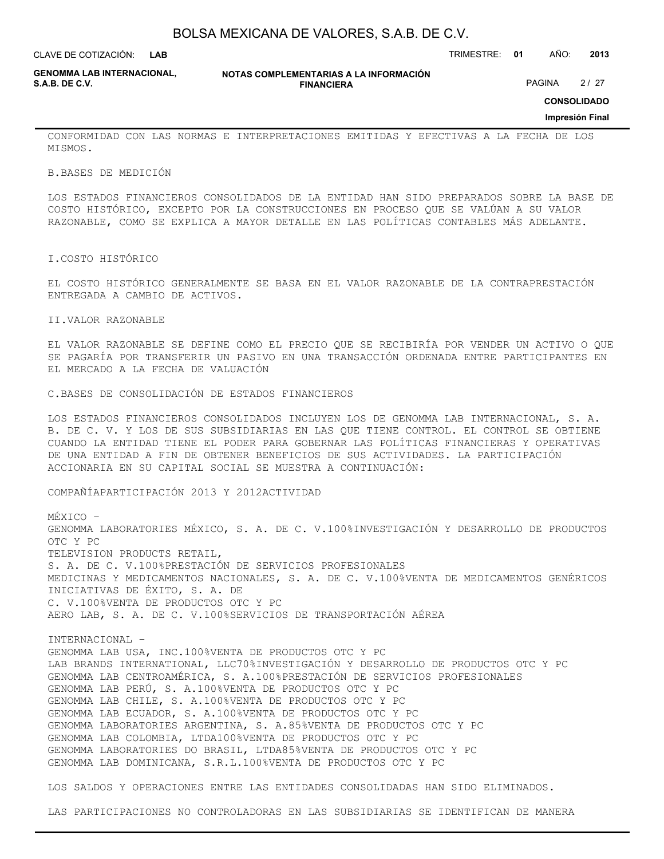**LAB**

CLAVE DE COTIZACIÓN: TRIMESTRE: **01** AÑO: **2013**

**GENOMMA LAB INTERNACIONAL,**

**NOTAS COMPLEMENTARIAS A LA INFORMACIÓN FINANCIERA S.A.B. DE C.V.** PAGINA 2 / 27

**CONSOLIDADO**

#### **Impresión Final**

CONFORMIDAD CON LAS NORMAS E INTERPRETACIONES EMITIDAS Y EFECTIVAS A LA FECHA DE LOS MISMOS.

B.BASES DE MEDICIÓN

LOS ESTADOS FINANCIEROS CONSOLIDADOS DE LA ENTIDAD HAN SIDO PREPARADOS SOBRE LA BASE DE COSTO HISTÓRICO, EXCEPTO POR LA CONSTRUCCIONES EN PROCESO QUE SE VALÚAN A SU VALOR RAZONABLE, COMO SE EXPLICA A MAYOR DETALLE EN LAS POLÍTICAS CONTABLES MÁS ADELANTE.

I.COSTO HISTÓRICO

EL COSTO HISTÓRICO GENERALMENTE SE BASA EN EL VALOR RAZONABLE DE LA CONTRAPRESTACIÓN ENTREGADA A CAMBIO DE ACTIVOS.

II.VALOR RAZONABLE

EL VALOR RAZONABLE SE DEFINE COMO EL PRECIO QUE SE RECIBIRÍA POR VENDER UN ACTIVO O QUE SE PAGARÍA POR TRANSFERIR UN PASIVO EN UNA TRANSACCIÓN ORDENADA ENTRE PARTICIPANTES EN EL MERCADO A LA FECHA DE VALUACIÓN

C.BASES DE CONSOLIDACIÓN DE ESTADOS FINANCIEROS

LOS ESTADOS FINANCIEROS CONSOLIDADOS INCLUYEN LOS DE GENOMMA LAB INTERNACIONAL, S. A. B. DE C. V. Y LOS DE SUS SUBSIDIARIAS EN LAS QUE TIENE CONTROL. EL CONTROL SE OBTIENE CUANDO LA ENTIDAD TIENE EL PODER PARA GOBERNAR LAS POLÍTICAS FINANCIERAS Y OPERATIVAS DE UNA ENTIDAD A FIN DE OBTENER BENEFICIOS DE SUS ACTIVIDADES. LA PARTICIPACIÓN ACCIONARIA EN SU CAPITAL SOCIAL SE MUESTRA A CONTINUACIÓN:

COMPAÑÍAPARTICIPACIÓN 2013 Y 2012ACTIVIDAD

MÉXICO – GENOMMA LABORATORIES MÉXICO, S. A. DE C. V.100%INVESTIGACIÓN Y DESARROLLO DE PRODUCTOS OTC Y PC TELEVISION PRODUCTS RETAIL, S. A. DE C. V.100%PRESTACIÓN DE SERVICIOS PROFESIONALES MEDICINAS Y MEDICAMENTOS NACIONALES, S. A. DE C. V.100%VENTA DE MEDICAMENTOS GENÉRICOS INICIATIVAS DE ÉXITO, S. A. DE C. V.100%VENTA DE PRODUCTOS OTC Y PC AERO LAB, S. A. DE C. V.100%SERVICIOS DE TRANSPORTACIÓN AÉREA

INTERNACIONAL – GENOMMA LAB USA, INC.100%VENTA DE PRODUCTOS OTC Y PC LAB BRANDS INTERNATIONAL, LLC70%INVESTIGACIÓN Y DESARROLLO DE PRODUCTOS OTC Y PC GENOMMA LAB CENTROAMÉRICA, S. A.100%PRESTACIÓN DE SERVICIOS PROFESIONALES GENOMMA LAB PERÚ, S. A.100%VENTA DE PRODUCTOS OTC Y PC GENOMMA LAB CHILE, S. A.100%VENTA DE PRODUCTOS OTC Y PC GENOMMA LAB ECUADOR, S. A.100%VENTA DE PRODUCTOS OTC Y PC GENOMMA LABORATORIES ARGENTINA, S. A.85%VENTA DE PRODUCTOS OTC Y PC GENOMMA LAB COLOMBIA, LTDA100%VENTA DE PRODUCTOS OTC Y PC GENOMMA LABORATORIES DO BRASIL, LTDA85%VENTA DE PRODUCTOS OTC Y PC GENOMMA LAB DOMINICANA, S.R.L.100%VENTA DE PRODUCTOS OTC Y PC

LOS SALDOS Y OPERACIONES ENTRE LAS ENTIDADES CONSOLIDADAS HAN SIDO ELIMINADOS.

LAS PARTICIPACIONES NO CONTROLADORAS EN LAS SUBSIDIARIAS SE IDENTIFICAN DE MANERA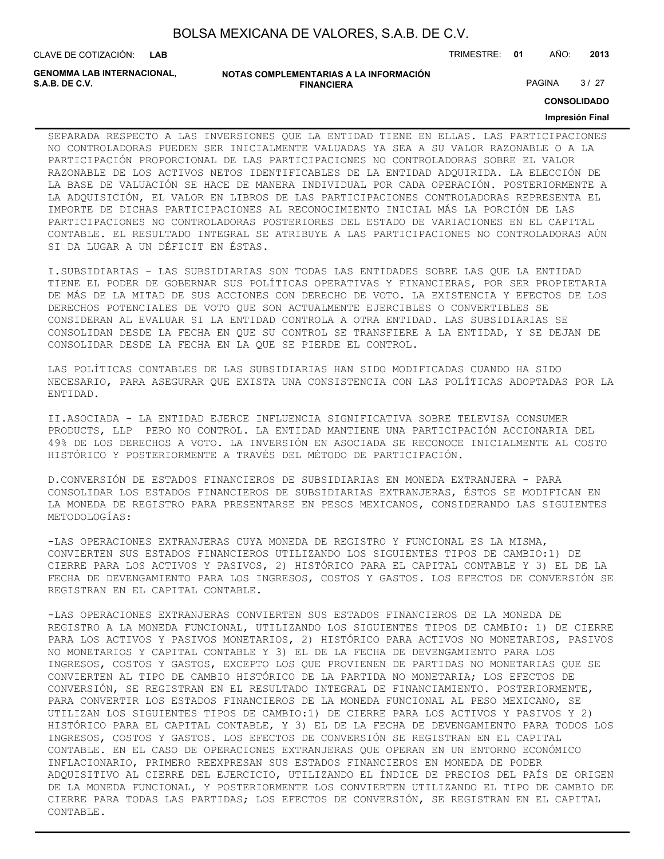| BOLSA MEXICANA DE VALORES, S.A.B. DE C.V. |  |  |
|-------------------------------------------|--|--|
|-------------------------------------------|--|--|

**GENOMMA LAB INTERNACIONAL,**

**NOTAS COMPLEMENTARIAS A LA INFORMACIÓN FINANCIERA S.A.B. DE C.V.** PAGINA 27 27

**CONSOLIDADO**

#### **Impresión Final**

SEPARADA RESPECTO A LAS INVERSIONES QUE LA ENTIDAD TIENE EN ELLAS. LAS PARTICIPACIONES NO CONTROLADORAS PUEDEN SER INICIALMENTE VALUADAS YA SEA A SU VALOR RAZONABLE O A LA PARTICIPACIÓN PROPORCIONAL DE LAS PARTICIPACIONES NO CONTROLADORAS SOBRE EL VALOR RAZONABLE DE LOS ACTIVOS NETOS IDENTIFICABLES DE LA ENTIDAD ADQUIRIDA. LA ELECCIÓN DE LA BASE DE VALUACIÓN SE HACE DE MANERA INDIVIDUAL POR CADA OPERACIÓN. POSTERIORMENTE A LA ADQUISICIÓN, EL VALOR EN LIBROS DE LAS PARTICIPACIONES CONTROLADORAS REPRESENTA EL IMPORTE DE DICHAS PARTICIPACIONES AL RECONOCIMIENTO INICIAL MÁS LA PORCIÓN DE LAS PARTICIPACIONES NO CONTROLADORAS POSTERIORES DEL ESTADO DE VARIACIONES EN EL CAPITAL CONTABLE. EL RESULTADO INTEGRAL SE ATRIBUYE A LAS PARTICIPACIONES NO CONTROLADORAS AÚN SI DA LUGAR A UN DÉFICIT EN ÉSTAS.

I.SUBSIDIARIAS - LAS SUBSIDIARIAS SON TODAS LAS ENTIDADES SOBRE LAS QUE LA ENTIDAD TIENE EL PODER DE GOBERNAR SUS POLÍTICAS OPERATIVAS Y FINANCIERAS, POR SER PROPIETARIA DE MÁS DE LA MITAD DE SUS ACCIONES CON DERECHO DE VOTO. LA EXISTENCIA Y EFECTOS DE LOS DERECHOS POTENCIALES DE VOTO QUE SON ACTUALMENTE EJERCIBLES O CONVERTIBLES SE CONSIDERAN AL EVALUAR SI LA ENTIDAD CONTROLA A OTRA ENTIDAD. LAS SUBSIDIARIAS SE CONSOLIDAN DESDE LA FECHA EN QUE SU CONTROL SE TRANSFIERE A LA ENTIDAD, Y SE DEJAN DE CONSOLIDAR DESDE LA FECHA EN LA QUE SE PIERDE EL CONTROL.

LAS POLÍTICAS CONTABLES DE LAS SUBSIDIARIAS HAN SIDO MODIFICADAS CUANDO HA SIDO NECESARIO, PARA ASEGURAR QUE EXISTA UNA CONSISTENCIA CON LAS POLÍTICAS ADOPTADAS POR LA ENTIDAD.

II.ASOCIADA - LA ENTIDAD EJERCE INFLUENCIA SIGNIFICATIVA SOBRE TELEVISA CONSUMER PRODUCTS, LLP PERO NO CONTROL. LA ENTIDAD MANTIENE UNA PARTICIPACIÓN ACCIONARIA DEL 49% DE LOS DERECHOS A VOTO. LA INVERSIÓN EN ASOCIADA SE RECONOCE INICIALMENTE AL COSTO HISTÓRICO Y POSTERIORMENTE A TRAVÉS DEL MÉTODO DE PARTICIPACIÓN.

D.CONVERSIÓN DE ESTADOS FINANCIEROS DE SUBSIDIARIAS EN MONEDA EXTRANJERA - PARA CONSOLIDAR LOS ESTADOS FINANCIEROS DE SUBSIDIARIAS EXTRANJERAS, ÉSTOS SE MODIFICAN EN LA MONEDA DE REGISTRO PARA PRESENTARSE EN PESOS MEXICANOS, CONSIDERANDO LAS SIGUIENTES METODOLOGÍAS:

-LAS OPERACIONES EXTRANJERAS CUYA MONEDA DE REGISTRO Y FUNCIONAL ES LA MISMA, CONVIERTEN SUS ESTADOS FINANCIEROS UTILIZANDO LOS SIGUIENTES TIPOS DE CAMBIO:1) DE CIERRE PARA LOS ACTIVOS Y PASIVOS, 2) HISTÓRICO PARA EL CAPITAL CONTABLE Y 3) EL DE LA FECHA DE DEVENGAMIENTO PARA LOS INGRESOS, COSTOS Y GASTOS. LOS EFECTOS DE CONVERSIÓN SE REGISTRAN EN EL CAPITAL CONTABLE.

-LAS OPERACIONES EXTRANJERAS CONVIERTEN SUS ESTADOS FINANCIEROS DE LA MONEDA DE REGISTRO A LA MONEDA FUNCIONAL, UTILIZANDO LOS SIGUIENTES TIPOS DE CAMBIO: 1) DE CIERRE PARA LOS ACTIVOS Y PASIVOS MONETARIOS, 2) HISTÓRICO PARA ACTIVOS NO MONETARIOS, PASIVOS NO MONETARIOS Y CAPITAL CONTABLE Y 3) EL DE LA FECHA DE DEVENGAMIENTO PARA LOS INGRESOS, COSTOS Y GASTOS, EXCEPTO LOS QUE PROVIENEN DE PARTIDAS NO MONETARIAS QUE SE CONVIERTEN AL TIPO DE CAMBIO HISTÓRICO DE LA PARTIDA NO MONETARIA; LOS EFECTOS DE CONVERSIÓN, SE REGISTRAN EN EL RESULTADO INTEGRAL DE FINANCIAMIENTO. POSTERIORMENTE, PARA CONVERTIR LOS ESTADOS FINANCIEROS DE LA MONEDA FUNCIONAL AL PESO MEXICANO, SE UTILIZAN LOS SIGUIENTES TIPOS DE CAMBIO:1) DE CIERRE PARA LOS ACTIVOS Y PASIVOS Y 2) HISTÓRICO PARA EL CAPITAL CONTABLE, Y 3) EL DE LA FECHA DE DEVENGAMIENTO PARA TODOS LOS INGRESOS, COSTOS Y GASTOS. LOS EFECTOS DE CONVERSIÓN SE REGISTRAN EN EL CAPITAL CONTABLE. EN EL CASO DE OPERACIONES EXTRANJERAS QUE OPERAN EN UN ENTORNO ECONÓMICO INFLACIONARIO, PRIMERO REEXPRESAN SUS ESTADOS FINANCIEROS EN MONEDA DE PODER ADQUISITIVO AL CIERRE DEL EJERCICIO, UTILIZANDO EL ÍNDICE DE PRECIOS DEL PAÍS DE ORIGEN DE LA MONEDA FUNCIONAL, Y POSTERIORMENTE LOS CONVIERTEN UTILIZANDO EL TIPO DE CAMBIO DE CIERRE PARA TODAS LAS PARTIDAS; LOS EFECTOS DE CONVERSIÓN, SE REGISTRAN EN EL CAPITAL CONTABLE.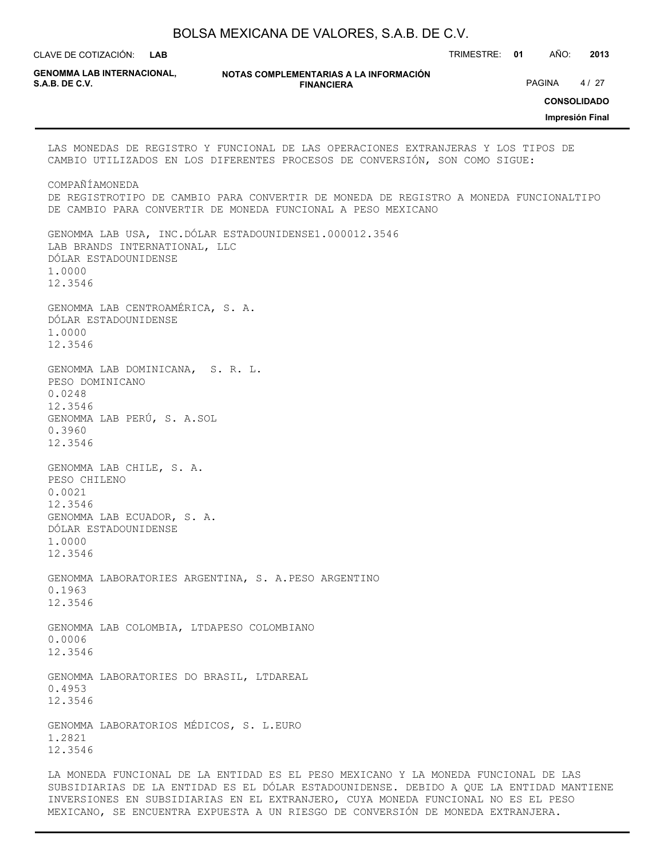| BOLSA MEXICANA DE VALORES, S.A.B. DE C.V. |  |  |
|-------------------------------------------|--|--|
|-------------------------------------------|--|--|

CLAVE DE COTIZACIÓN: TRIMESTRE: **01** AÑO: **2013**

**GENOMMA LAB INTERNACIONAL,**

**NOTAS COMPLEMENTARIAS A LA INFORMACIÓN FINANCIERA S.A.B. DE C.V.** PAGINA 4 / 27

**CONSOLIDADO**

**Impresión Final**

### LAS MONEDAS DE REGISTRO Y FUNCIONAL DE LAS OPERACIONES EXTRANJERAS Y LOS TIPOS DE CAMBIO UTILIZADOS EN LOS DIFERENTES PROCESOS DE CONVERSIÓN, SON COMO SIGUE: COMPAÑÍAMONEDA DE REGISTROTIPO DE CAMBIO PARA CONVERTIR DE MONEDA DE REGISTRO A MONEDA FUNCIONALTIPO DE CAMBIO PARA CONVERTIR DE MONEDA FUNCIONAL A PESO MEXICANO GENOMMA LAB USA, INC.DÓLAR ESTADOUNIDENSE1.000012.3546 LAB BRANDS INTERNATIONAL, LLC DÓLAR ESTADOUNIDENSE 1.0000 12.3546 GENOMMA LAB CENTROAMÉRICA, S. A. DÓLAR ESTADOUNIDENSE 1.0000 12.3546 GENOMMA LAB DOMINICANA, S. R. L. PESO DOMINICANO 0.0248 12.3546 GENOMMA LAB PERÚ, S. A.SOL 0.3960 12.3546 GENOMMA LAB CHILE, S. A. PESO CHILENO 0.0021 12.3546 GENOMMA LAB ECUADOR, S. A. DÓLAR ESTADOUNIDENSE 1.0000 12.3546 GENOMMA LABORATORIES ARGENTINA, S. A.PESO ARGENTINO 0.1963 12.3546 GENOMMA LAB COLOMBIA, LTDAPESO COLOMBIANO 0.0006 12.3546 GENOMMA LABORATORIES DO BRASIL, LTDAREAL 0.4953 12.3546 GENOMMA LABORATORIOS MÉDICOS, S. L.EURO 1.2821 12.3546

LA MONEDA FUNCIONAL DE LA ENTIDAD ES EL PESO MEXICANO Y LA MONEDA FUNCIONAL DE LAS SUBSIDIARIAS DE LA ENTIDAD ES EL DÓLAR ESTADOUNIDENSE. DEBIDO A QUE LA ENTIDAD MANTIENE INVERSIONES EN SUBSIDIARIAS EN EL EXTRANJERO, CUYA MONEDA FUNCIONAL NO ES EL PESO MEXICANO, SE ENCUENTRA EXPUESTA A UN RIESGO DE CONVERSIÓN DE MONEDA EXTRANJERA.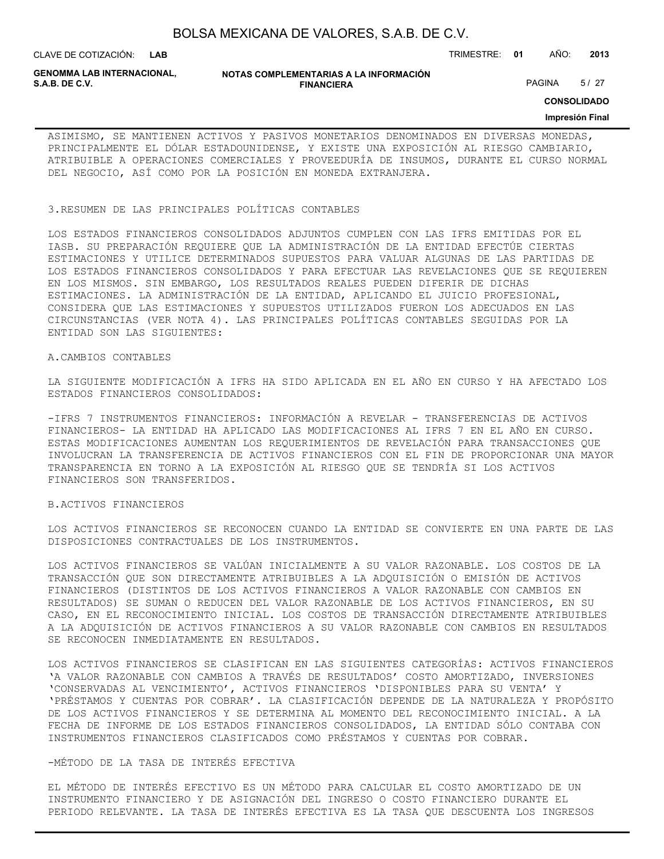CLAVE DE COTIZACIÓN: TRIMESTRE: **01** AÑO: **2013 LAB**

**GENOMMA LAB INTERNACIONAL,**

**NOTAS COMPLEMENTARIAS A LA INFORMACIÓN FINANCIERA S.A.B. DE C.V.** PAGINA 5/27

**CONSOLIDADO**

#### **Impresión Final**

ASIMISMO, SE MANTIENEN ACTIVOS Y PASIVOS MONETARIOS DENOMINADOS EN DIVERSAS MONEDAS, PRINCIPALMENTE EL DÓLAR ESTADOUNIDENSE, Y EXISTE UNA EXPOSICIÓN AL RIESGO CAMBIARIO, ATRIBUIBLE A OPERACIONES COMERCIALES Y PROVEEDURÍA DE INSUMOS, DURANTE EL CURSO NORMAL DEL NEGOCIO, ASÍ COMO POR LA POSICIÓN EN MONEDA EXTRANJERA.

### 3.RESUMEN DE LAS PRINCIPALES POLÍTICAS CONTABLES

LOS ESTADOS FINANCIEROS CONSOLIDADOS ADJUNTOS CUMPLEN CON LAS IFRS EMITIDAS POR EL IASB. SU PREPARACIÓN REQUIERE QUE LA ADMINISTRACIÓN DE LA ENTIDAD EFECTÚE CIERTAS ESTIMACIONES Y UTILICE DETERMINADOS SUPUESTOS PARA VALUAR ALGUNAS DE LAS PARTIDAS DE LOS ESTADOS FINANCIEROS CONSOLIDADOS Y PARA EFECTUAR LAS REVELACIONES QUE SE REQUIEREN EN LOS MISMOS. SIN EMBARGO, LOS RESULTADOS REALES PUEDEN DIFERIR DE DICHAS ESTIMACIONES. LA ADMINISTRACIÓN DE LA ENTIDAD, APLICANDO EL JUICIO PROFESIONAL, CONSIDERA QUE LAS ESTIMACIONES Y SUPUESTOS UTILIZADOS FUERON LOS ADECUADOS EN LAS CIRCUNSTANCIAS (VER NOTA 4). LAS PRINCIPALES POLÍTICAS CONTABLES SEGUIDAS POR LA ENTIDAD SON LAS SIGUIENTES:

#### A.CAMBIOS CONTABLES

LA SIGUIENTE MODIFICACIÓN A IFRS HA SIDO APLICADA EN EL AÑO EN CURSO Y HA AFECTADO LOS ESTADOS FINANCIEROS CONSOLIDADOS:

-IFRS 7 INSTRUMENTOS FINANCIEROS: INFORMACIÓN A REVELAR - TRANSFERENCIAS DE ACTIVOS FINANCIEROS- LA ENTIDAD HA APLICADO LAS MODIFICACIONES AL IFRS 7 EN EL AÑO EN CURSO. ESTAS MODIFICACIONES AUMENTAN LOS REQUERIMIENTOS DE REVELACIÓN PARA TRANSACCIONES QUE INVOLUCRAN LA TRANSFERENCIA DE ACTIVOS FINANCIEROS CON EL FIN DE PROPORCIONAR UNA MAYOR TRANSPARENCIA EN TORNO A LA EXPOSICIÓN AL RIESGO QUE SE TENDRÍA SI LOS ACTIVOS FINANCIEROS SON TRANSFERIDOS.

#### B.ACTIVOS FINANCIEROS

LOS ACTIVOS FINANCIEROS SE RECONOCEN CUANDO LA ENTIDAD SE CONVIERTE EN UNA PARTE DE LAS DISPOSICIONES CONTRACTUALES DE LOS INSTRUMENTOS.

LOS ACTIVOS FINANCIEROS SE VALÚAN INICIALMENTE A SU VALOR RAZONABLE. LOS COSTOS DE LA TRANSACCIÓN QUE SON DIRECTAMENTE ATRIBUIBLES A LA ADQUISICIÓN O EMISIÓN DE ACTIVOS FINANCIEROS (DISTINTOS DE LOS ACTIVOS FINANCIEROS A VALOR RAZONABLE CON CAMBIOS EN RESULTADOS) SE SUMAN O REDUCEN DEL VALOR RAZONABLE DE LOS ACTIVOS FINANCIEROS, EN SU CASO, EN EL RECONOCIMIENTO INICIAL. LOS COSTOS DE TRANSACCIÓN DIRECTAMENTE ATRIBUIBLES A LA ADQUISICIÓN DE ACTIVOS FINANCIEROS A SU VALOR RAZONABLE CON CAMBIOS EN RESULTADOS SE RECONOCEN INMEDIATAMENTE EN RESULTADOS.

LOS ACTIVOS FINANCIEROS SE CLASIFICAN EN LAS SIGUIENTES CATEGORÍAS: ACTIVOS FINANCIEROS 'A VALOR RAZONABLE CON CAMBIOS A TRAVÉS DE RESULTADOS' COSTO AMORTIZADO, INVERSIONES 'CONSERVADAS AL VENCIMIENTO', ACTIVOS FINANCIEROS 'DISPONIBLES PARA SU VENTA' Y 'PRÉSTAMOS Y CUENTAS POR COBRAR'. LA CLASIFICACIÓN DEPENDE DE LA NATURALEZA Y PROPÓSITO DE LOS ACTIVOS FINANCIEROS Y SE DETERMINA AL MOMENTO DEL RECONOCIMIENTO INICIAL. A LA FECHA DE INFORME DE LOS ESTADOS FINANCIEROS CONSOLIDADOS, LA ENTIDAD SÓLO CONTABA CON INSTRUMENTOS FINANCIEROS CLASIFICADOS COMO PRÉSTAMOS Y CUENTAS POR COBRAR.

### -MÉTODO DE LA TASA DE INTERÉS EFECTIVA

EL MÉTODO DE INTERÉS EFECTIVO ES UN MÉTODO PARA CALCULAR EL COSTO AMORTIZADO DE UN INSTRUMENTO FINANCIERO Y DE ASIGNACIÓN DEL INGRESO O COSTO FINANCIERO DURANTE EL PERIODO RELEVANTE. LA TASA DE INTERÉS EFECTIVA ES LA TASA QUE DESCUENTA LOS INGRESOS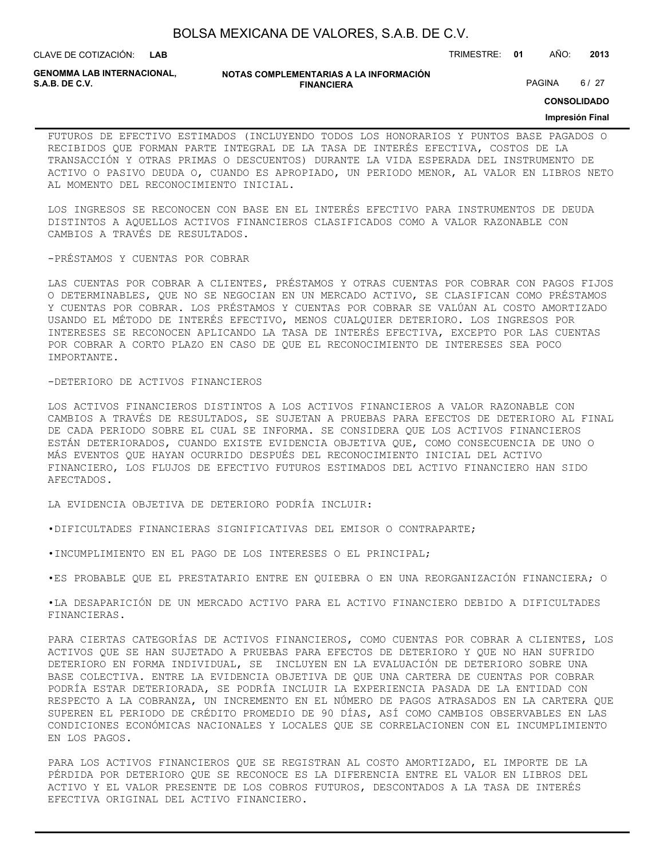| BOLSA MEXICANA DE VALORES, S.A.B. DE C.V. |  |  |
|-------------------------------------------|--|--|
|-------------------------------------------|--|--|

CLAVE DE COTIZACIÓN: TRIMESTRE: **01** AÑO: **2013**

**GENOMMA LAB INTERNACIONAL,**

#### **NOTAS COMPLEMENTARIAS A LA INFORMACIÓN FINANCIERA S.A.B. DE C.V.** PAGINA 6 / 27

**CONSOLIDADO**

### **Impresión Final**

FUTUROS DE EFECTIVO ESTIMADOS (INCLUYENDO TODOS LOS HONORARIOS Y PUNTOS BASE PAGADOS O RECIBIDOS QUE FORMAN PARTE INTEGRAL DE LA TASA DE INTERÉS EFECTIVA, COSTOS DE LA TRANSACCIÓN Y OTRAS PRIMAS O DESCUENTOS) DURANTE LA VIDA ESPERADA DEL INSTRUMENTO DE ACTIVO O PASIVO DEUDA O, CUANDO ES APROPIADO, UN PERIODO MENOR, AL VALOR EN LIBROS NETO AL MOMENTO DEL RECONOCIMIENTO INICIAL.

LOS INGRESOS SE RECONOCEN CON BASE EN EL INTERÉS EFECTIVO PARA INSTRUMENTOS DE DEUDA DISTINTOS A AQUELLOS ACTIVOS FINANCIEROS CLASIFICADOS COMO A VALOR RAZONABLE CON CAMBIOS A TRAVÉS DE RESULTADOS.

-PRÉSTAMOS Y CUENTAS POR COBRAR

LAS CUENTAS POR COBRAR A CLIENTES, PRÉSTAMOS Y OTRAS CUENTAS POR COBRAR CON PAGOS FIJOS O DETERMINABLES, QUE NO SE NEGOCIAN EN UN MERCADO ACTIVO, SE CLASIFICAN COMO PRÉSTAMOS Y CUENTAS POR COBRAR. LOS PRÉSTAMOS Y CUENTAS POR COBRAR SE VALÚAN AL COSTO AMORTIZADO USANDO EL MÉTODO DE INTERÉS EFECTIVO, MENOS CUALQUIER DETERIORO. LOS INGRESOS POR INTERESES SE RECONOCEN APLICANDO LA TASA DE INTERÉS EFECTIVA, EXCEPTO POR LAS CUENTAS POR COBRAR A CORTO PLAZO EN CASO DE QUE EL RECONOCIMIENTO DE INTERESES SEA POCO IMPORTANTE.

### -DETERIORO DE ACTIVOS FINANCIEROS

LOS ACTIVOS FINANCIEROS DISTINTOS A LOS ACTIVOS FINANCIEROS A VALOR RAZONABLE CON CAMBIOS A TRAVÉS DE RESULTADOS, SE SUJETAN A PRUEBAS PARA EFECTOS DE DETERIORO AL FINAL DE CADA PERIODO SOBRE EL CUAL SE INFORMA. SE CONSIDERA QUE LOS ACTIVOS FINANCIEROS ESTÁN DETERIORADOS, CUANDO EXISTE EVIDENCIA OBJETIVA QUE, COMO CONSECUENCIA DE UNO O MÁS EVENTOS QUE HAYAN OCURRIDO DESPUÉS DEL RECONOCIMIENTO INICIAL DEL ACTIVO FINANCIERO, LOS FLUJOS DE EFECTIVO FUTUROS ESTIMADOS DEL ACTIVO FINANCIERO HAN SIDO AFECTADOS.

LA EVIDENCIA OBJETIVA DE DETERIORO PODRÍA INCLUIR:

•DIFICULTADES FINANCIERAS SIGNIFICATIVAS DEL EMISOR O CONTRAPARTE;

•INCUMPLIMIENTO EN EL PAGO DE LOS INTERESES O EL PRINCIPAL;

•ES PROBABLE QUE EL PRESTATARIO ENTRE EN QUIEBRA O EN UNA REORGANIZACIÓN FINANCIERA; O

•LA DESAPARICIÓN DE UN MERCADO ACTIVO PARA EL ACTIVO FINANCIERO DEBIDO A DIFICULTADES FINANCIERAS.

PARA CIERTAS CATEGORÍAS DE ACTIVOS FINANCIEROS, COMO CUENTAS POR COBRAR A CLIENTES, LOS ACTIVOS QUE SE HAN SUJETADO A PRUEBAS PARA EFECTOS DE DETERIORO Y QUE NO HAN SUFRIDO DETERIORO EN FORMA INDIVIDUAL, SE INCLUYEN EN LA EVALUACIÓN DE DETERIORO SOBRE UNA BASE COLECTIVA. ENTRE LA EVIDENCIA OBJETIVA DE QUE UNA CARTERA DE CUENTAS POR COBRAR PODRÍA ESTAR DETERIORADA, SE PODRÍA INCLUIR LA EXPERIENCIA PASADA DE LA ENTIDAD CON RESPECTO A LA COBRANZA, UN INCREMENTO EN EL NÚMERO DE PAGOS ATRASADOS EN LA CARTERA QUE SUPEREN EL PERIODO DE CRÉDITO PROMEDIO DE 90 DÍAS, ASÍ COMO CAMBIOS OBSERVABLES EN LAS CONDICIONES ECONÓMICAS NACIONALES Y LOCALES QUE SE CORRELACIONEN CON EL INCUMPLIMIENTO EN LOS PAGOS.

PARA LOS ACTIVOS FINANCIEROS QUE SE REGISTRAN AL COSTO AMORTIZADO, EL IMPORTE DE LA PÉRDIDA POR DETERIORO QUE SE RECONOCE ES LA DIFERENCIA ENTRE EL VALOR EN LIBROS DEL ACTIVO Y EL VALOR PRESENTE DE LOS COBROS FUTUROS, DESCONTADOS A LA TASA DE INTERÉS EFECTIVA ORIGINAL DEL ACTIVO FINANCIERO.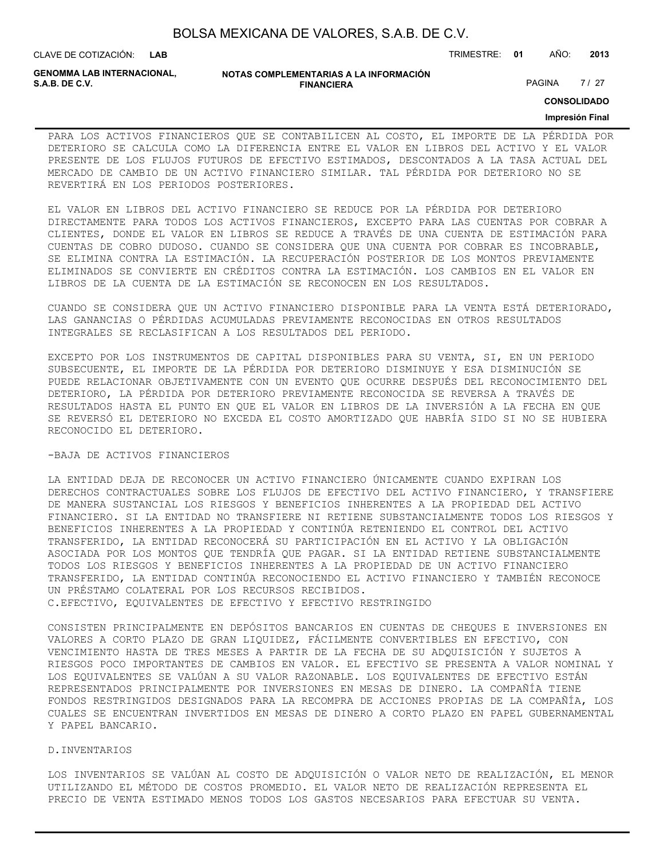**GENOMMA LAB INTERNACIONAL,**

#### **NOTAS COMPLEMENTARIAS A LA INFORMACIÓN FINANCIERA S.A.B. DE C.V.** PAGINA 27 / 27

**CONSOLIDADO**

#### **Impresión Final**

PARA LOS ACTIVOS FINANCIEROS QUE SE CONTABILICEN AL COSTO, EL IMPORTE DE LA PÉRDIDA POR DETERIORO SE CALCULA COMO LA DIFERENCIA ENTRE EL VALOR EN LIBROS DEL ACTIVO Y EL VALOR PRESENTE DE LOS FLUJOS FUTUROS DE EFECTIVO ESTIMADOS, DESCONTADOS A LA TASA ACTUAL DEL MERCADO DE CAMBIO DE UN ACTIVO FINANCIERO SIMILAR. TAL PÉRDIDA POR DETERIORO NO SE REVERTIRÁ EN LOS PERIODOS POSTERIORES.

EL VALOR EN LIBROS DEL ACTIVO FINANCIERO SE REDUCE POR LA PÉRDIDA POR DETERIORO DIRECTAMENTE PARA TODOS LOS ACTIVOS FINANCIEROS, EXCEPTO PARA LAS CUENTAS POR COBRAR A CLIENTES, DONDE EL VALOR EN LIBROS SE REDUCE A TRAVÉS DE UNA CUENTA DE ESTIMACIÓN PARA CUENTAS DE COBRO DUDOSO. CUANDO SE CONSIDERA QUE UNA CUENTA POR COBRAR ES INCOBRABLE, SE ELIMINA CONTRA LA ESTIMACIÓN. LA RECUPERACIÓN POSTERIOR DE LOS MONTOS PREVIAMENTE ELIMINADOS SE CONVIERTE EN CRÉDITOS CONTRA LA ESTIMACIÓN. LOS CAMBIOS EN EL VALOR EN LIBROS DE LA CUENTA DE LA ESTIMACIÓN SE RECONOCEN EN LOS RESULTADOS.

CUANDO SE CONSIDERA QUE UN ACTIVO FINANCIERO DISPONIBLE PARA LA VENTA ESTÁ DETERIORADO, LAS GANANCIAS O PÉRDIDAS ACUMULADAS PREVIAMENTE RECONOCIDAS EN OTROS RESULTADOS INTEGRALES SE RECLASIFICAN A LOS RESULTADOS DEL PERIODO.

EXCEPTO POR LOS INSTRUMENTOS DE CAPITAL DISPONIBLES PARA SU VENTA, SI, EN UN PERIODO SUBSECUENTE, EL IMPORTE DE LA PÉRDIDA POR DETERIORO DISMINUYE Y ESA DISMINUCIÓN SE PUEDE RELACIONAR OBJETIVAMENTE CON UN EVENTO QUE OCURRE DESPUÉS DEL RECONOCIMIENTO DEL DETERIORO, LA PÉRDIDA POR DETERIORO PREVIAMENTE RECONOCIDA SE REVERSA A TRAVÉS DE RESULTADOS HASTA EL PUNTO EN QUE EL VALOR EN LIBROS DE LA INVERSIÓN A LA FECHA EN QUE SE REVERSÓ EL DETERIORO NO EXCEDA EL COSTO AMORTIZADO QUE HABRÍA SIDO SI NO SE HUBIERA RECONOCIDO EL DETERIORO.

### -BAJA DE ACTIVOS FINANCIEROS

LA ENTIDAD DEJA DE RECONOCER UN ACTIVO FINANCIERO ÚNICAMENTE CUANDO EXPIRAN LOS DERECHOS CONTRACTUALES SOBRE LOS FLUJOS DE EFECTIVO DEL ACTIVO FINANCIERO, Y TRANSFIERE DE MANERA SUSTANCIAL LOS RIESGOS Y BENEFICIOS INHERENTES A LA PROPIEDAD DEL ACTIVO FINANCIERO. SI LA ENTIDAD NO TRANSFIERE NI RETIENE SUBSTANCIALMENTE TODOS LOS RIESGOS Y BENEFICIOS INHERENTES A LA PROPIEDAD Y CONTINÚA RETENIENDO EL CONTROL DEL ACTIVO TRANSFERIDO, LA ENTIDAD RECONOCERÁ SU PARTICIPACIÓN EN EL ACTIVO Y LA OBLIGACIÓN ASOCIADA POR LOS MONTOS QUE TENDRÍA QUE PAGAR. SI LA ENTIDAD RETIENE SUBSTANCIALMENTE TODOS LOS RIESGOS Y BENEFICIOS INHERENTES A LA PROPIEDAD DE UN ACTIVO FINANCIERO TRANSFERIDO, LA ENTIDAD CONTINÚA RECONOCIENDO EL ACTIVO FINANCIERO Y TAMBIÉN RECONOCE UN PRÉSTAMO COLATERAL POR LOS RECURSOS RECIBIDOS.

C.EFECTIVO, EQUIVALENTES DE EFECTIVO Y EFECTIVO RESTRINGIDO

CONSISTEN PRINCIPALMENTE EN DEPÓSITOS BANCARIOS EN CUENTAS DE CHEQUES E INVERSIONES EN VALORES A CORTO PLAZO DE GRAN LIQUIDEZ, FÁCILMENTE CONVERTIBLES EN EFECTIVO, CON VENCIMIENTO HASTA DE TRES MESES A PARTIR DE LA FECHA DE SU ADQUISICIÓN Y SUJETOS A RIESGOS POCO IMPORTANTES DE CAMBIOS EN VALOR. EL EFECTIVO SE PRESENTA A VALOR NOMINAL Y LOS EQUIVALENTES SE VALÚAN A SU VALOR RAZONABLE. LOS EQUIVALENTES DE EFECTIVO ESTÁN REPRESENTADOS PRINCIPALMENTE POR INVERSIONES EN MESAS DE DINERO. LA COMPAÑÍA TIENE FONDOS RESTRINGIDOS DESIGNADOS PARA LA RECOMPRA DE ACCIONES PROPIAS DE LA COMPAÑÍA, LOS CUALES SE ENCUENTRAN INVERTIDOS EN MESAS DE DINERO A CORTO PLAZO EN PAPEL GUBERNAMENTAL Y PAPEL BANCARIO.

### D.INVENTARIOS

LOS INVENTARIOS SE VALÚAN AL COSTO DE ADQUISICIÓN O VALOR NETO DE REALIZACIÓN, EL MENOR UTILIZANDO EL MÉTODO DE COSTOS PROMEDIO. EL VALOR NETO DE REALIZACIÓN REPRESENTA EL PRECIO DE VENTA ESTIMADO MENOS TODOS LOS GASTOS NECESARIOS PARA EFECTUAR SU VENTA.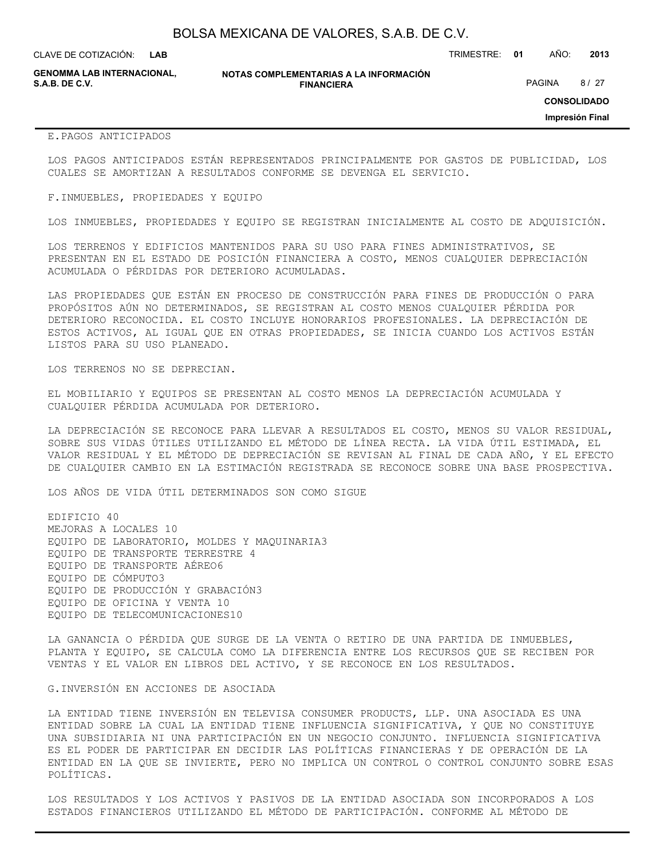**GENOMMA LAB INTERNACIONAL,**

**NOTAS COMPLEMENTARIAS A LA INFORMACIÓN FINANCIERA S.A.B. DE C.V.** PAGINA 8 / 27

**CONSOLIDADO**

**Impresión Final**

### E.PAGOS ANTICIPADOS

LOS PAGOS ANTICIPADOS ESTÁN REPRESENTADOS PRINCIPALMENTE POR GASTOS DE PUBLICIDAD, LOS CUALES SE AMORTIZAN A RESULTADOS CONFORME SE DEVENGA EL SERVICIO.

#### F.INMUEBLES, PROPIEDADES Y EQUIPO

LOS INMUEBLES, PROPIEDADES Y EQUIPO SE REGISTRAN INICIALMENTE AL COSTO DE ADQUISICIÓN.

LOS TERRENOS Y EDIFICIOS MANTENIDOS PARA SU USO PARA FINES ADMINISTRATIVOS, SE PRESENTAN EN EL ESTADO DE POSICIÓN FINANCIERA A COSTO, MENOS CUALQUIER DEPRECIACIÓN ACUMULADA O PÉRDIDAS POR DETERIORO ACUMULADAS.

LAS PROPIEDADES QUE ESTÁN EN PROCESO DE CONSTRUCCIÓN PARA FINES DE PRODUCCIÓN O PARA PROPÓSITOS AÚN NO DETERMINADOS, SE REGISTRAN AL COSTO MENOS CUALQUIER PÉRDIDA POR DETERIORO RECONOCIDA. EL COSTO INCLUYE HONORARIOS PROFESIONALES. LA DEPRECIACIÓN DE ESTOS ACTIVOS, AL IGUAL QUE EN OTRAS PROPIEDADES, SE INICIA CUANDO LOS ACTIVOS ESTÁN LISTOS PARA SU USO PLANEADO.

LOS TERRENOS NO SE DEPRECIAN.

EL MOBILIARIO Y EQUIPOS SE PRESENTAN AL COSTO MENOS LA DEPRECIACIÓN ACUMULADA Y CUALQUIER PÉRDIDA ACUMULADA POR DETERIORO.

LA DEPRECIACIÓN SE RECONOCE PARA LLEVAR A RESULTADOS EL COSTO, MENOS SU VALOR RESIDUAL, SOBRE SUS VIDAS ÚTILES UTILIZANDO EL MÉTODO DE LÍNEA RECTA. LA VIDA ÚTIL ESTIMADA, EL VALOR RESIDUAL Y EL MÉTODO DE DEPRECIACIÓN SE REVISAN AL FINAL DE CADA AÑO, Y EL EFECTO DE CUALQUIER CAMBIO EN LA ESTIMACIÓN REGISTRADA SE RECONOCE SOBRE UNA BASE PROSPECTIVA.

LOS AÑOS DE VIDA ÚTIL DETERMINADOS SON COMO SIGUE

EDIFICIO 40 MEJORAS A LOCALES 10 EQUIPO DE LABORATORIO, MOLDES Y MAQUINARIA3 EQUIPO DE TRANSPORTE TERRESTRE 4 EQUIPO DE TRANSPORTE AÉREO6 EQUIPO DE CÓMPUTO3 EQUIPO DE PRODUCCIÓN Y GRABACIÓN3 EQUIPO DE OFICINA Y VENTA 10 EQUIPO DE TELECOMUNICACIONES10

LA GANANCIA O PÉRDIDA QUE SURGE DE LA VENTA O RETIRO DE UNA PARTIDA DE INMUEBLES, PLANTA Y EQUIPO, SE CALCULA COMO LA DIFERENCIA ENTRE LOS RECURSOS QUE SE RECIBEN POR VENTAS Y EL VALOR EN LIBROS DEL ACTIVO, Y SE RECONOCE EN LOS RESULTADOS.

#### G.INVERSIÓN EN ACCIONES DE ASOCIADA

LA ENTIDAD TIENE INVERSIÓN EN TELEVISA CONSUMER PRODUCTS, LLP. UNA ASOCIADA ES UNA ENTIDAD SOBRE LA CUAL LA ENTIDAD TIENE INFLUENCIA SIGNIFICATIVA, Y QUE NO CONSTITUYE UNA SUBSIDIARIA NI UNA PARTICIPACIÓN EN UN NEGOCIO CONJUNTO. INFLUENCIA SIGNIFICATIVA ES EL PODER DE PARTICIPAR EN DECIDIR LAS POLÍTICAS FINANCIERAS Y DE OPERACIÓN DE LA ENTIDAD EN LA QUE SE INVIERTE, PERO NO IMPLICA UN CONTROL O CONTROL CONJUNTO SOBRE ESAS POLÍTICAS.

LOS RESULTADOS Y LOS ACTIVOS Y PASIVOS DE LA ENTIDAD ASOCIADA SON INCORPORADOS A LOS ESTADOS FINANCIEROS UTILIZANDO EL MÉTODO DE PARTICIPACIÓN. CONFORME AL MÉTODO DE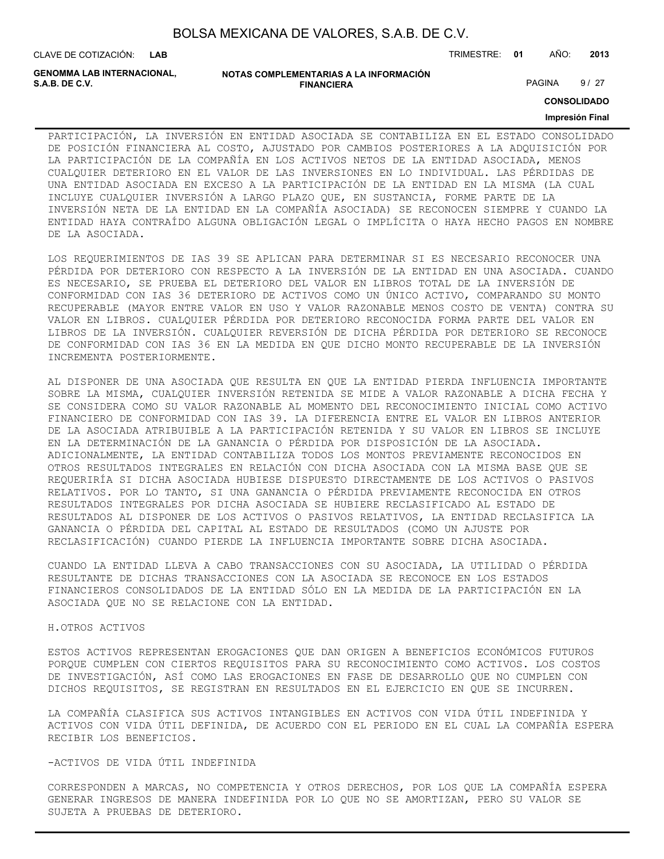| BOLSA MEXICANA DE VALORES, S.A.B. DE C.V. |  |  |
|-------------------------------------------|--|--|
|-------------------------------------------|--|--|

**GENOMMA LAB INTERNACIONAL,**

```
NOTAS COMPLEMENTARIAS A LA INFORMACIÓN
                       FINANCIERA
S.A.B. DE C.V. PAGINA 9/27
```
**CONSOLIDADO**

#### **Impresión Final**

PARTICIPACIÓN, LA INVERSIÓN EN ENTIDAD ASOCIADA SE CONTABILIZA EN EL ESTADO CONSOLIDADO DE POSICIÓN FINANCIERA AL COSTO, AJUSTADO POR CAMBIOS POSTERIORES A LA ADQUISICIÓN POR LA PARTICIPACIÓN DE LA COMPAÑÍA EN LOS ACTIVOS NETOS DE LA ENTIDAD ASOCIADA, MENOS CUALQUIER DETERIORO EN EL VALOR DE LAS INVERSIONES EN LO INDIVIDUAL. LAS PÉRDIDAS DE UNA ENTIDAD ASOCIADA EN EXCESO A LA PARTICIPACIÓN DE LA ENTIDAD EN LA MISMA (LA CUAL INCLUYE CUALQUIER INVERSIÓN A LARGO PLAZO QUE, EN SUSTANCIA, FORME PARTE DE LA INVERSIÓN NETA DE LA ENTIDAD EN LA COMPAÑÍA ASOCIADA) SE RECONOCEN SIEMPRE Y CUANDO LA ENTIDAD HAYA CONTRAÍDO ALGUNA OBLIGACIÓN LEGAL O IMPLÍCITA O HAYA HECHO PAGOS EN NOMBRE DE LA ASOCIADA.

LOS REQUERIMIENTOS DE IAS 39 SE APLICAN PARA DETERMINAR SI ES NECESARIO RECONOCER UNA PÉRDIDA POR DETERIORO CON RESPECTO A LA INVERSIÓN DE LA ENTIDAD EN UNA ASOCIADA. CUANDO ES NECESARIO, SE PRUEBA EL DETERIORO DEL VALOR EN LIBROS TOTAL DE LA INVERSIÓN DE CONFORMIDAD CON IAS 36 DETERIORO DE ACTIVOS COMO UN ÚNICO ACTIVO, COMPARANDO SU MONTO RECUPERABLE (MAYOR ENTRE VALOR EN USO Y VALOR RAZONABLE MENOS COSTO DE VENTA) CONTRA SU VALOR EN LIBROS. CUALQUIER PÉRDIDA POR DETERIORO RECONOCIDA FORMA PARTE DEL VALOR EN LIBROS DE LA INVERSIÓN. CUALQUIER REVERSIÓN DE DICHA PÉRDIDA POR DETERIORO SE RECONOCE DE CONFORMIDAD CON IAS 36 EN LA MEDIDA EN QUE DICHO MONTO RECUPERABLE DE LA INVERSIÓN INCREMENTA POSTERIORMENTE.

AL DISPONER DE UNA ASOCIADA QUE RESULTA EN QUE LA ENTIDAD PIERDA INFLUENCIA IMPORTANTE SOBRE LA MISMA, CUALQUIER INVERSIÓN RETENIDA SE MIDE A VALOR RAZONABLE A DICHA FECHA Y SE CONSIDERA COMO SU VALOR RAZONABLE AL MOMENTO DEL RECONOCIMIENTO INICIAL COMO ACTIVO FINANCIERO DE CONFORMIDAD CON IAS 39. LA DIFERENCIA ENTRE EL VALOR EN LIBROS ANTERIOR DE LA ASOCIADA ATRIBUIBLE A LA PARTICIPACIÓN RETENIDA Y SU VALOR EN LIBROS SE INCLUYE EN LA DETERMINACIÓN DE LA GANANCIA O PÉRDIDA POR DISPOSICIÓN DE LA ASOCIADA. ADICIONALMENTE, LA ENTIDAD CONTABILIZA TODOS LOS MONTOS PREVIAMENTE RECONOCIDOS EN OTROS RESULTADOS INTEGRALES EN RELACIÓN CON DICHA ASOCIADA CON LA MISMA BASE QUE SE REQUERIRÍA SI DICHA ASOCIADA HUBIESE DISPUESTO DIRECTAMENTE DE LOS ACTIVOS O PASIVOS RELATIVOS. POR LO TANTO, SI UNA GANANCIA O PÉRDIDA PREVIAMENTE RECONOCIDA EN OTROS RESULTADOS INTEGRALES POR DICHA ASOCIADA SE HUBIERE RECLASIFICADO AL ESTADO DE RESULTADOS AL DISPONER DE LOS ACTIVOS O PASIVOS RELATIVOS, LA ENTIDAD RECLASIFICA LA GANANCIA O PÉRDIDA DEL CAPITAL AL ESTADO DE RESULTADOS (COMO UN AJUSTE POR RECLASIFICACIÓN) CUANDO PIERDE LA INFLUENCIA IMPORTANTE SOBRE DICHA ASOCIADA.

CUANDO LA ENTIDAD LLEVA A CABO TRANSACCIONES CON SU ASOCIADA, LA UTILIDAD O PÉRDIDA RESULTANTE DE DICHAS TRANSACCIONES CON LA ASOCIADA SE RECONOCE EN LOS ESTADOS FINANCIEROS CONSOLIDADOS DE LA ENTIDAD SÓLO EN LA MEDIDA DE LA PARTICIPACIÓN EN LA ASOCIADA QUE NO SE RELACIONE CON LA ENTIDAD.

### H.OTROS ACTIVOS

ESTOS ACTIVOS REPRESENTAN EROGACIONES QUE DAN ORIGEN A BENEFICIOS ECONÓMICOS FUTUROS PORQUE CUMPLEN CON CIERTOS REQUISITOS PARA SU RECONOCIMIENTO COMO ACTIVOS. LOS COSTOS DE INVESTIGACIÓN, ASÍ COMO LAS EROGACIONES EN FASE DE DESARROLLO QUE NO CUMPLEN CON DICHOS REQUISITOS, SE REGISTRAN EN RESULTADOS EN EL EJERCICIO EN QUE SE INCURREN.

LA COMPAÑÍA CLASIFICA SUS ACTIVOS INTANGIBLES EN ACTIVOS CON VIDA ÚTIL INDEFINIDA Y ACTIVOS CON VIDA ÚTIL DEFINIDA, DE ACUERDO CON EL PERIODO EN EL CUAL LA COMPAÑÍA ESPERA RECIBIR LOS BENEFICIOS.

### -ACTIVOS DE VIDA ÚTIL INDEFINIDA

CORRESPONDEN A MARCAS, NO COMPETENCIA Y OTROS DERECHOS, POR LOS QUE LA COMPAÑÍA ESPERA GENERAR INGRESOS DE MANERA INDEFINIDA POR LO QUE NO SE AMORTIZAN, PERO SU VALOR SE SUJETA A PRUEBAS DE DETERIORO.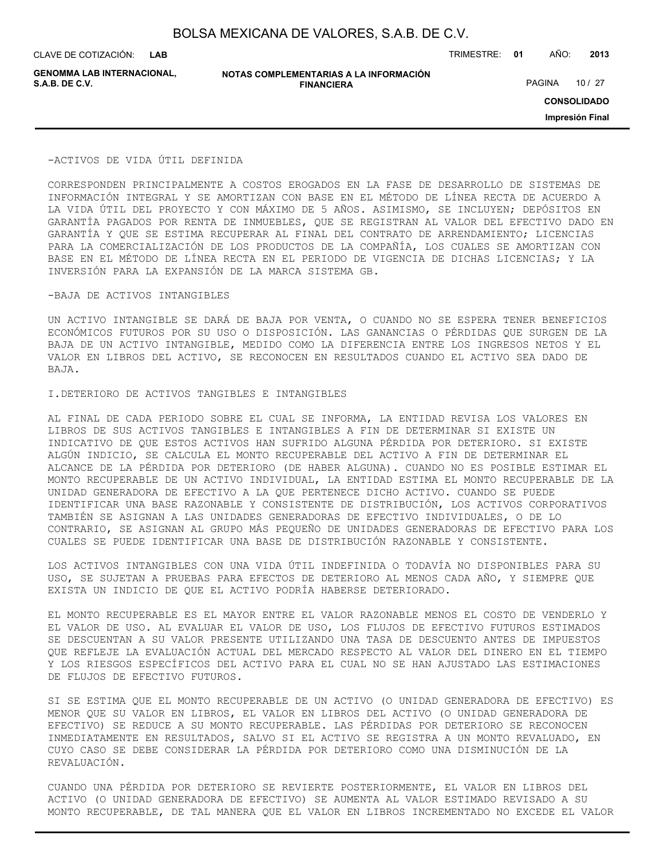**GENOMMA LAB INTERNACIONAL,**

**NOTAS COMPLEMENTARIAS A LA INFORMACIÓN FINANCIERA S.A.B. DE C.V.** PAGINA 10 / 27

CLAVE DE COTIZACIÓN: TRIMESTRE: **01** AÑO: **2013**

**CONSOLIDADO**

**Impresión Final**

#### -ACTIVOS DE VIDA ÚTIL DEFINIDA

CORRESPONDEN PRINCIPALMENTE A COSTOS EROGADOS EN LA FASE DE DESARROLLO DE SISTEMAS DE INFORMACIÓN INTEGRAL Y SE AMORTIZAN CON BASE EN EL MÉTODO DE LÍNEA RECTA DE ACUERDO A LA VIDA ÚTIL DEL PROYECTO Y CON MÁXIMO DE 5 AÑOS. ASIMISMO, SE INCLUYEN; DEPÓSITOS EN GARANTÍA PAGADOS POR RENTA DE INMUEBLES, QUE SE REGISTRAN AL VALOR DEL EFECTIVO DADO EN GARANTÍA Y QUE SE ESTIMA RECUPERAR AL FINAL DEL CONTRATO DE ARRENDAMIENTO; LICENCIAS PARA LA COMERCIALIZACIÓN DE LOS PRODUCTOS DE LA COMPAÑÍA, LOS CUALES SE AMORTIZAN CON BASE EN EL MÉTODO DE LÍNEA RECTA EN EL PERIODO DE VIGENCIA DE DICHAS LICENCIAS; Y LA INVERSIÓN PARA LA EXPANSIÓN DE LA MARCA SISTEMA GB.

### -BAJA DE ACTIVOS INTANGIBLES

UN ACTIVO INTANGIBLE SE DARÁ DE BAJA POR VENTA, O CUANDO NO SE ESPERA TENER BENEFICIOS ECONÓMICOS FUTUROS POR SU USO O DISPOSICIÓN. LAS GANANCIAS O PÉRDIDAS QUE SURGEN DE LA BAJA DE UN ACTIVO INTANGIBLE, MEDIDO COMO LA DIFERENCIA ENTRE LOS INGRESOS NETOS Y EL VALOR EN LIBROS DEL ACTIVO, SE RECONOCEN EN RESULTADOS CUANDO EL ACTIVO SEA DADO DE BAJA.

### I.DETERIORO DE ACTIVOS TANGIBLES E INTANGIBLES

AL FINAL DE CADA PERIODO SOBRE EL CUAL SE INFORMA, LA ENTIDAD REVISA LOS VALORES EN LIBROS DE SUS ACTIVOS TANGIBLES E INTANGIBLES A FIN DE DETERMINAR SI EXISTE UN INDICATIVO DE QUE ESTOS ACTIVOS HAN SUFRIDO ALGUNA PÉRDIDA POR DETERIORO. SI EXISTE ALGÚN INDICIO, SE CALCULA EL MONTO RECUPERABLE DEL ACTIVO A FIN DE DETERMINAR EL ALCANCE DE LA PÉRDIDA POR DETERIORO (DE HABER ALGUNA). CUANDO NO ES POSIBLE ESTIMAR EL MONTO RECUPERABLE DE UN ACTIVO INDIVIDUAL, LA ENTIDAD ESTIMA EL MONTO RECUPERABLE DE LA UNIDAD GENERADORA DE EFECTIVO A LA QUE PERTENECE DICHO ACTIVO. CUANDO SE PUEDE IDENTIFICAR UNA BASE RAZONABLE Y CONSISTENTE DE DISTRIBUCIÓN, LOS ACTIVOS CORPORATIVOS TAMBIÉN SE ASIGNAN A LAS UNIDADES GENERADORAS DE EFECTIVO INDIVIDUALES, O DE LO CONTRARIO, SE ASIGNAN AL GRUPO MÁS PEQUEÑO DE UNIDADES GENERADORAS DE EFECTIVO PARA LOS CUALES SE PUEDE IDENTIFICAR UNA BASE DE DISTRIBUCIÓN RAZONABLE Y CONSISTENTE.

LOS ACTIVOS INTANGIBLES CON UNA VIDA ÚTIL INDEFINIDA O TODAVÍA NO DISPONIBLES PARA SU USO, SE SUJETAN A PRUEBAS PARA EFECTOS DE DETERIORO AL MENOS CADA AÑO, Y SIEMPRE QUE EXISTA UN INDICIO DE QUE EL ACTIVO PODRÍA HABERSE DETERIORADO.

EL MONTO RECUPERABLE ES EL MAYOR ENTRE EL VALOR RAZONABLE MENOS EL COSTO DE VENDERLO Y EL VALOR DE USO. AL EVALUAR EL VALOR DE USO, LOS FLUJOS DE EFECTIVO FUTUROS ESTIMADOS SE DESCUENTAN A SU VALOR PRESENTE UTILIZANDO UNA TASA DE DESCUENTO ANTES DE IMPUESTOS QUE REFLEJE LA EVALUACIÓN ACTUAL DEL MERCADO RESPECTO AL VALOR DEL DINERO EN EL TIEMPO Y LOS RIESGOS ESPECÍFICOS DEL ACTIVO PARA EL CUAL NO SE HAN AJUSTADO LAS ESTIMACIONES DE FLUJOS DE EFECTIVO FUTUROS.

SI SE ESTIMA QUE EL MONTO RECUPERABLE DE UN ACTIVO (O UNIDAD GENERADORA DE EFECTIVO) ES MENOR QUE SU VALOR EN LIBROS, EL VALOR EN LIBROS DEL ACTIVO (O UNIDAD GENERADORA DE EFECTIVO) SE REDUCE A SU MONTO RECUPERABLE. LAS PÉRDIDAS POR DETERIORO SE RECONOCEN INMEDIATAMENTE EN RESULTADOS, SALVO SI EL ACTIVO SE REGISTRA A UN MONTO REVALUADO, EN CUYO CASO SE DEBE CONSIDERAR LA PÉRDIDA POR DETERIORO COMO UNA DISMINUCIÓN DE LA REVALUACIÓN.

CUANDO UNA PÉRDIDA POR DETERIORO SE REVIERTE POSTERIORMENTE, EL VALOR EN LIBROS DEL ACTIVO (O UNIDAD GENERADORA DE EFECTIVO) SE AUMENTA AL VALOR ESTIMADO REVISADO A SU MONTO RECUPERABLE, DE TAL MANERA QUE EL VALOR EN LIBROS INCREMENTADO NO EXCEDE EL VALOR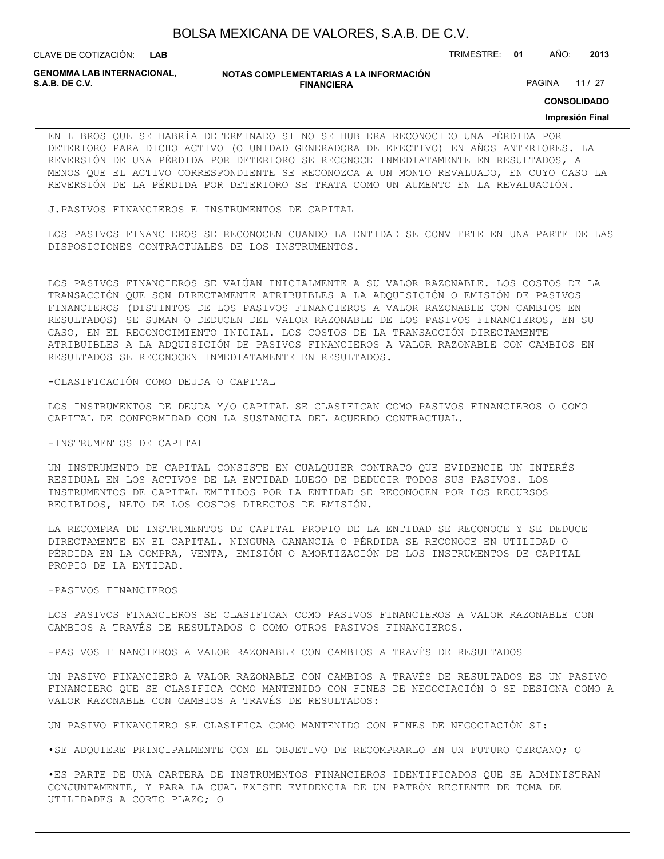**LAB**

CLAVE DE COTIZACIÓN: TRIMESTRE: **01** AÑO: **2013**

**GENOMMA LAB INTERNACIONAL,**

**NOTAS COMPLEMENTARIAS A LA INFORMACIÓN FINANCIERA**

PAGINA 11 / 27

**CONSOLIDADO**

#### **Impresión Final**

EN LIBROS QUE SE HABRÍA DETERMINADO SI NO SE HUBIERA RECONOCIDO UNA PÉRDIDA POR DETERIORO PARA DICHO ACTIVO (O UNIDAD GENERADORA DE EFECTIVO) EN AÑOS ANTERIORES. LA REVERSIÓN DE UNA PÉRDIDA POR DETERIORO SE RECONOCE INMEDIATAMENTE EN RESULTADOS, A MENOS QUE EL ACTIVO CORRESPONDIENTE SE RECONOZCA A UN MONTO REVALUADO, EN CUYO CASO LA REVERSIÓN DE LA PÉRDIDA POR DETERIORO SE TRATA COMO UN AUMENTO EN LA REVALUACIÓN.

J.PASIVOS FINANCIEROS E INSTRUMENTOS DE CAPITAL

LOS PASIVOS FINANCIEROS SE RECONOCEN CUANDO LA ENTIDAD SE CONVIERTE EN UNA PARTE DE LAS DISPOSICIONES CONTRACTUALES DE LOS INSTRUMENTOS.

LOS PASIVOS FINANCIEROS SE VALÚAN INICIALMENTE A SU VALOR RAZONABLE. LOS COSTOS DE LA TRANSACCIÓN QUE SON DIRECTAMENTE ATRIBUIBLES A LA ADQUISICIÓN O EMISIÓN DE PASIVOS FINANCIEROS (DISTINTOS DE LOS PASIVOS FINANCIEROS A VALOR RAZONABLE CON CAMBIOS EN RESULTADOS) SE SUMAN O DEDUCEN DEL VALOR RAZONABLE DE LOS PASIVOS FINANCIEROS, EN SU CASO, EN EL RECONOCIMIENTO INICIAL. LOS COSTOS DE LA TRANSACCIÓN DIRECTAMENTE ATRIBUIBLES A LA ADQUISICIÓN DE PASIVOS FINANCIEROS A VALOR RAZONABLE CON CAMBIOS EN RESULTADOS SE RECONOCEN INMEDIATAMENTE EN RESULTADOS.

-CLASIFICACIÓN COMO DEUDA O CAPITAL

LOS INSTRUMENTOS DE DEUDA Y/O CAPITAL SE CLASIFICAN COMO PASIVOS FINANCIEROS O COMO CAPITAL DE CONFORMIDAD CON LA SUSTANCIA DEL ACUERDO CONTRACTUAL.

#### -INSTRUMENTOS DE CAPITAL

UN INSTRUMENTO DE CAPITAL CONSISTE EN CUALQUIER CONTRATO QUE EVIDENCIE UN INTERÉS RESIDUAL EN LOS ACTIVOS DE LA ENTIDAD LUEGO DE DEDUCIR TODOS SUS PASIVOS. LOS INSTRUMENTOS DE CAPITAL EMITIDOS POR LA ENTIDAD SE RECONOCEN POR LOS RECURSOS RECIBIDOS, NETO DE LOS COSTOS DIRECTOS DE EMISIÓN.

LA RECOMPRA DE INSTRUMENTOS DE CAPITAL PROPIO DE LA ENTIDAD SE RECONOCE Y SE DEDUCE DIRECTAMENTE EN EL CAPITAL. NINGUNA GANANCIA O PÉRDIDA SE RECONOCE EN UTILIDAD O PÉRDIDA EN LA COMPRA, VENTA, EMISIÓN O AMORTIZACIÓN DE LOS INSTRUMENTOS DE CAPITAL PROPIO DE LA ENTIDAD.

#### -PASIVOS FINANCIEROS

LOS PASIVOS FINANCIEROS SE CLASIFICAN COMO PASIVOS FINANCIEROS A VALOR RAZONABLE CON CAMBIOS A TRAVÉS DE RESULTADOS O COMO OTROS PASIVOS FINANCIEROS.

-PASIVOS FINANCIEROS A VALOR RAZONABLE CON CAMBIOS A TRAVÉS DE RESULTADOS

UN PASIVO FINANCIERO A VALOR RAZONABLE CON CAMBIOS A TRAVÉS DE RESULTADOS ES UN PASIVO FINANCIERO QUE SE CLASIFICA COMO MANTENIDO CON FINES DE NEGOCIACIÓN O SE DESIGNA COMO A VALOR RAZONABLE CON CAMBIOS A TRAVÉS DE RESULTADOS:

UN PASIVO FINANCIERO SE CLASIFICA COMO MANTENIDO CON FINES DE NEGOCIACIÓN SI:

•SE ADQUIERE PRINCIPALMENTE CON EL OBJETIVO DE RECOMPRARLO EN UN FUTURO CERCANO; O

•ES PARTE DE UNA CARTERA DE INSTRUMENTOS FINANCIEROS IDENTIFICADOS QUE SE ADMINISTRAN CONJUNTAMENTE, Y PARA LA CUAL EXISTE EVIDENCIA DE UN PATRÓN RECIENTE DE TOMA DE UTILIDADES A CORTO PLAZO; O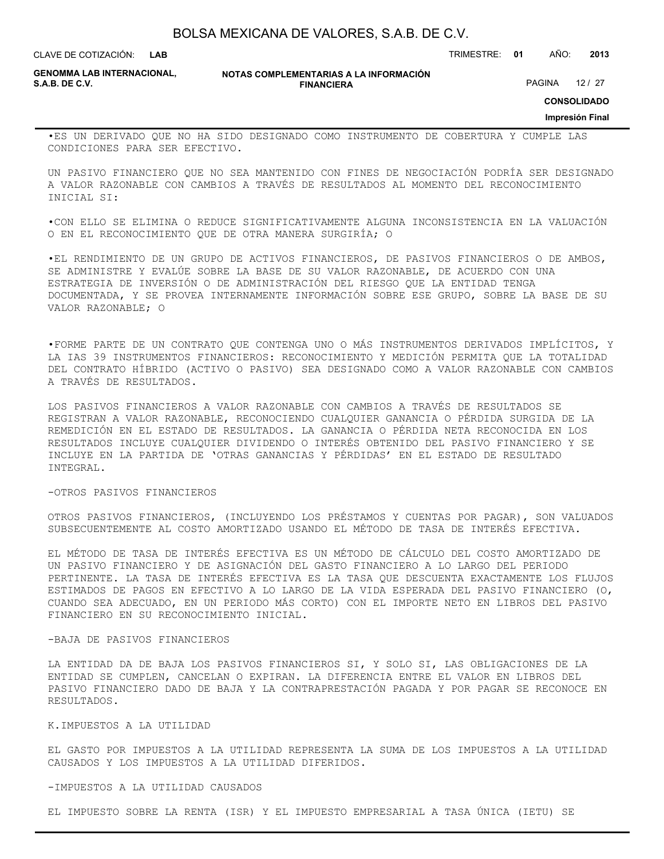**LAB**

CLAVE DE COTIZACIÓN: TRIMESTRE: **01** AÑO: **2013**

**GENOMMA LAB INTERNACIONAL,**

**NOTAS COMPLEMENTARIAS A LA INFORMACIÓN FINANCIERA**

PAGINA 12 / 27

**CONSOLIDADO**

**Impresión Final**

•ES UN DERIVADO QUE NO HA SIDO DESIGNADO COMO INSTRUMENTO DE COBERTURA Y CUMPLE LAS CONDICIONES PARA SER EFECTIVO.

UN PASIVO FINANCIERO QUE NO SEA MANTENIDO CON FINES DE NEGOCIACIÓN PODRÍA SER DESIGNADO A VALOR RAZONABLE CON CAMBIOS A TRAVÉS DE RESULTADOS AL MOMENTO DEL RECONOCIMIENTO INICIAL SI:

•CON ELLO SE ELIMINA O REDUCE SIGNIFICATIVAMENTE ALGUNA INCONSISTENCIA EN LA VALUACIÓN O EN EL RECONOCIMIENTO QUE DE OTRA MANERA SURGIRÍA; O

•EL RENDIMIENTO DE UN GRUPO DE ACTIVOS FINANCIEROS, DE PASIVOS FINANCIEROS O DE AMBOS, SE ADMINISTRE Y EVALÚE SOBRE LA BASE DE SU VALOR RAZONABLE, DE ACUERDO CON UNA ESTRATEGIA DE INVERSIÓN O DE ADMINISTRACIÓN DEL RIESGO QUE LA ENTIDAD TENGA DOCUMENTADA, Y SE PROVEA INTERNAMENTE INFORMACIÓN SOBRE ESE GRUPO, SOBRE LA BASE DE SU VALOR RAZONABLE; O

•FORME PARTE DE UN CONTRATO QUE CONTENGA UNO O MÁS INSTRUMENTOS DERIVADOS IMPLÍCITOS, Y LA IAS 39 INSTRUMENTOS FINANCIEROS: RECONOCIMIENTO Y MEDICIÓN PERMITA QUE LA TOTALIDAD DEL CONTRATO HÍBRIDO (ACTIVO O PASIVO) SEA DESIGNADO COMO A VALOR RAZONABLE CON CAMBIOS A TRAVÉS DE RESULTADOS.

LOS PASIVOS FINANCIEROS A VALOR RAZONABLE CON CAMBIOS A TRAVÉS DE RESULTADOS SE REGISTRAN A VALOR RAZONABLE, RECONOCIENDO CUALQUIER GANANCIA O PÉRDIDA SURGIDA DE LA REMEDICIÓN EN EL ESTADO DE RESULTADOS. LA GANANCIA O PÉRDIDA NETA RECONOCIDA EN LOS RESULTADOS INCLUYE CUALQUIER DIVIDENDO O INTERÉS OBTENIDO DEL PASIVO FINANCIERO Y SE INCLUYE EN LA PARTIDA DE 'OTRAS GANANCIAS Y PÉRDIDAS' EN EL ESTADO DE RESULTADO INTEGRAL.

#### -OTROS PASIVOS FINANCIEROS

OTROS PASIVOS FINANCIEROS, (INCLUYENDO LOS PRÉSTAMOS Y CUENTAS POR PAGAR), SON VALUADOS SUBSECUENTEMENTE AL COSTO AMORTIZADO USANDO EL MÉTODO DE TASA DE INTERÉS EFECTIVA.

EL MÉTODO DE TASA DE INTERÉS EFECTIVA ES UN MÉTODO DE CÁLCULO DEL COSTO AMORTIZADO DE UN PASIVO FINANCIERO Y DE ASIGNACIÓN DEL GASTO FINANCIERO A LO LARGO DEL PERIODO PERTINENTE. LA TASA DE INTERÉS EFECTIVA ES LA TASA QUE DESCUENTA EXACTAMENTE LOS FLUJOS ESTIMADOS DE PAGOS EN EFECTIVO A LO LARGO DE LA VIDA ESPERADA DEL PASIVO FINANCIERO (O, CUANDO SEA ADECUADO, EN UN PERIODO MÁS CORTO) CON EL IMPORTE NETO EN LIBROS DEL PASIVO FINANCIERO EN SU RECONOCIMIENTO INICIAL.

### -BAJA DE PASIVOS FINANCIEROS

LA ENTIDAD DA DE BAJA LOS PASIVOS FINANCIEROS SI, Y SOLO SI, LAS OBLIGACIONES DE LA ENTIDAD SE CUMPLEN, CANCELAN O EXPIRAN. LA DIFERENCIA ENTRE EL VALOR EN LIBROS DEL PASIVO FINANCIERO DADO DE BAJA Y LA CONTRAPRESTACIÓN PAGADA Y POR PAGAR SE RECONOCE EN RESULTADOS.

### K.IMPUESTOS A LA UTILIDAD

EL GASTO POR IMPUESTOS A LA UTILIDAD REPRESENTA LA SUMA DE LOS IMPUESTOS A LA UTILIDAD CAUSADOS Y LOS IMPUESTOS A LA UTILIDAD DIFERIDOS.

### -IMPUESTOS A LA UTILIDAD CAUSADOS

EL IMPUESTO SOBRE LA RENTA (ISR) Y EL IMPUESTO EMPRESARIAL A TASA ÚNICA (IETU) SE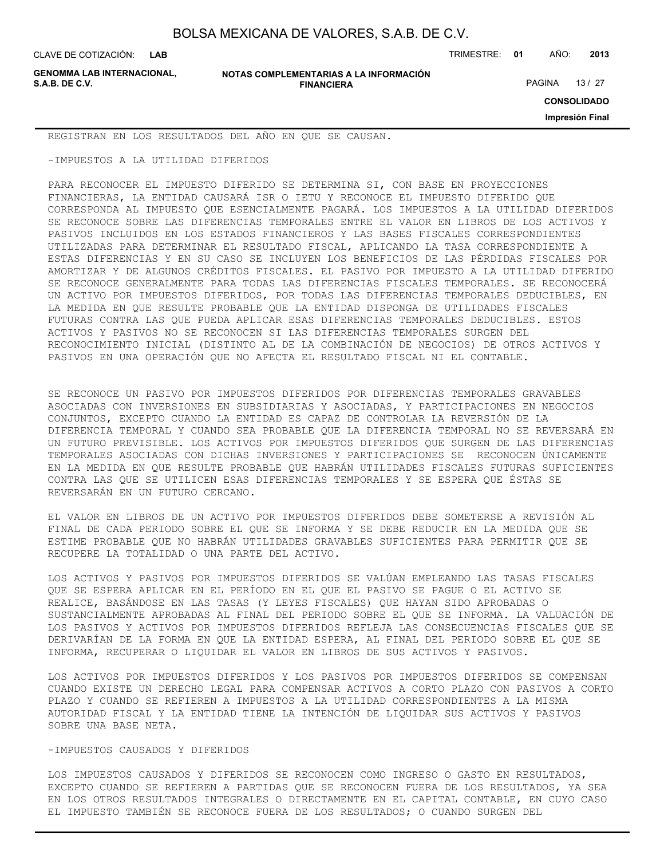**GENOMMA LAB INTERNACIONAL,**

CLAVE DE COTIZACIÓN: TRIMESTRE: **01** AÑO: **2013**

PAGINA 13 / 27

**CONSOLIDADO**

**Impresión Final**

REGISTRAN EN LOS RESULTADOS DEL AÑO EN QUE SE CAUSAN.

-IMPUESTOS A LA UTILIDAD DIFERIDOS

PARA RECONOCER EL IMPUESTO DIFERIDO SE DETERMINA SI, CON BASE EN PROYECCIONES FINANCIERAS, LA ENTIDAD CAUSARÁ ISR O IETU Y RECONOCE EL IMPUESTO DIFERIDO QUE CORRESPONDA AL IMPUESTO QUE ESENCIALMENTE PAGARÁ. LOS IMPUESTOS A LA UTILIDAD DIFERIDOS SE RECONOCE SOBRE LAS DIFERENCIAS TEMPORALES ENTRE EL VALOR EN LIBROS DE LOS ACTIVOS Y PASIVOS INCLUIDOS EN LOS ESTADOS FINANCIEROS Y LAS BASES FISCALES CORRESPONDIENTES UTILIZADAS PARA DETERMINAR EL RESULTADO FISCAL, APLICANDO LA TASA CORRESPONDIENTE A ESTAS DIFERENCIAS Y EN SU CASO SE INCLUYEN LOS BENEFICIOS DE LAS PÉRDIDAS FISCALES POR AMORTIZAR Y DE ALGUNOS CRÉDITOS FISCALES. EL PASIVO POR IMPUESTO A LA UTILIDAD DIFERIDO SE RECONOCE GENERALMENTE PARA TODAS LAS DIFERENCIAS FISCALES TEMPORALES. SE RECONOCERÁ UN ACTIVO POR IMPUESTOS DIFERIDOS, POR TODAS LAS DIFERENCIAS TEMPORALES DEDUCIBLES, EN LA MEDIDA EN QUE RESULTE PROBABLE QUE LA ENTIDAD DISPONGA DE UTILIDADES FISCALES FUTURAS CONTRA LAS QUE PUEDA APLICAR ESAS DIFERENCIAS TEMPORALES DEDUCIBLES. ESTOS ACTIVOS Y PASIVOS NO SE RECONOCEN SI LAS DIFERENCIAS TEMPORALES SURGEN DEL RECONOCIMIENTO INICIAL (DISTINTO AL DE LA COMBINACIÓN DE NEGOCIOS) DE OTROS ACTIVOS Y PASIVOS EN UNA OPERACIÓN QUE NO AFECTA EL RESULTADO FISCAL NI EL CONTABLE.

SE RECONOCE UN PASIVO POR IMPUESTOS DIFERIDOS POR DIFERENCIAS TEMPORALES GRAVABLES ASOCIADAS CON INVERSIONES EN SUBSIDIARIAS Y ASOCIADAS, Y PARTICIPACIONES EN NEGOCIOS CONJUNTOS, EXCEPTO CUANDO LA ENTIDAD ES CAPAZ DE CONTROLAR LA REVERSIÓN DE LA DIFERENCIA TEMPORAL Y CUANDO SEA PROBABLE QUE LA DIFERENCIA TEMPORAL NO SE REVERSARÁ EN UN FUTURO PREVISIBLE. LOS ACTIVOS POR IMPUESTOS DIFERIDOS QUE SURGEN DE LAS DIFERENCIAS TEMPORALES ASOCIADAS CON DICHAS INVERSIONES Y PARTICIPACIONES SE RECONOCEN ÚNICAMENTE EN LA MEDIDA EN QUE RESULTE PROBABLE QUE HABRÁN UTILIDADES FISCALES FUTURAS SUFICIENTES CONTRA LAS QUE SE UTILICEN ESAS DIFERENCIAS TEMPORALES Y SE ESPERA QUE ÉSTAS SE REVERSARÁN EN UN FUTURO CERCANO.

EL VALOR EN LIBROS DE UN ACTIVO POR IMPUESTOS DIFERIDOS DEBE SOMETERSE A REVISIÓN AL FINAL DE CADA PERIODO SOBRE EL QUE SE INFORMA Y SE DEBE REDUCIR EN LA MEDIDA QUE SE ESTIME PROBABLE QUE NO HABRÁN UTILIDADES GRAVABLES SUFICIENTES PARA PERMITIR QUE SE RECUPERE LA TOTALIDAD O UNA PARTE DEL ACTIVO.

LOS ACTIVOS Y PASIVOS POR IMPUESTOS DIFERIDOS SE VALÚAN EMPLEANDO LAS TASAS FISCALES QUE SE ESPERA APLICAR EN EL PERÍODO EN EL QUE EL PASIVO SE PAGUE O EL ACTIVO SE REALICE, BASÁNDOSE EN LAS TASAS (Y LEYES FISCALES) QUE HAYAN SIDO APROBADAS O SUSTANCIALMENTE APROBADAS AL FINAL DEL PERIODO SOBRE EL QUE SE INFORMA. LA VALUACIÓN DE LOS PASIVOS Y ACTIVOS POR IMPUESTOS DIFERIDOS REFLEJA LAS CONSECUENCIAS FISCALES QUE SE DERIVARÍAN DE LA FORMA EN QUE LA ENTIDAD ESPERA, AL FINAL DEL PERIODO SOBRE EL QUE SE INFORMA, RECUPERAR O LIQUIDAR EL VALOR EN LIBROS DE SUS ACTIVOS Y PASIVOS.

LOS ACTIVOS POR IMPUESTOS DIFERIDOS Y LOS PASIVOS POR IMPUESTOS DIFERIDOS SE COMPENSAN CUANDO EXISTE UN DERECHO LEGAL PARA COMPENSAR ACTIVOS A CORTO PLAZO CON PASIVOS A CORTO PLAZO Y CUANDO SE REFIEREN A IMPUESTOS A LA UTILIDAD CORRESPONDIENTES A LA MISMA AUTORIDAD FISCAL Y LA ENTIDAD TIENE LA INTENCIÓN DE LIQUIDAR SUS ACTIVOS Y PASIVOS SOBRE UNA BASE NETA.

### -IMPUESTOS CAUSADOS Y DIFERIDOS

LOS IMPUESTOS CAUSADOS Y DIFERIDOS SE RECONOCEN COMO INGRESO O GASTO EN RESULTADOS, EXCEPTO CUANDO SE REFIEREN A PARTIDAS QUE SE RECONOCEN FUERA DE LOS RESULTADOS, YA SEA EN LOS OTROS RESULTADOS INTEGRALES O DIRECTAMENTE EN EL CAPITAL CONTABLE, EN CUYO CASO EL IMPUESTO TAMBIÉN SE RECONOCE FUERA DE LOS RESULTADOS; O CUANDO SURGEN DEL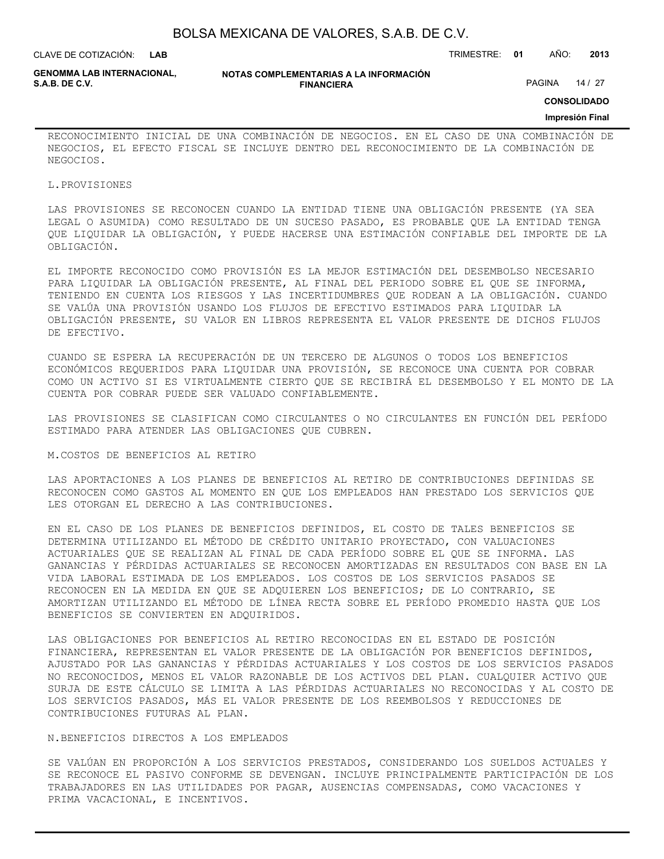| BOLSA MEXICANA DE VALORES, S.A.B. DE C.V. |  |  |
|-------------------------------------------|--|--|
|-------------------------------------------|--|--|

CLAVE DE COTIZACIÓN: TRIMESTRE: **01** AÑO: **2013**

**GENOMMA LAB INTERNACIONAL,**

**NOTAS COMPLEMENTARIAS A LA INFORMACIÓN FINANCIERA**

PAGINA 14 / 27

**CONSOLIDADO**

#### **Impresión Final**

RECONOCIMIENTO INICIAL DE UNA COMBINACIÓN DE NEGOCIOS. EN EL CASO DE UNA COMBINACIÓN DE NEGOCIOS, EL EFECTO FISCAL SE INCLUYE DENTRO DEL RECONOCIMIENTO DE LA COMBINACIÓN DE NEGOCIOS.

#### L.PROVISIONES

LAS PROVISIONES SE RECONOCEN CUANDO LA ENTIDAD TIENE UNA OBLIGACIÓN PRESENTE (YA SEA LEGAL O ASUMIDA) COMO RESULTADO DE UN SUCESO PASADO, ES PROBABLE QUE LA ENTIDAD TENGA QUE LIQUIDAR LA OBLIGACIÓN, Y PUEDE HACERSE UNA ESTIMACIÓN CONFIABLE DEL IMPORTE DE LA OBLIGACIÓN.

EL IMPORTE RECONOCIDO COMO PROVISIÓN ES LA MEJOR ESTIMACIÓN DEL DESEMBOLSO NECESARIO PARA LIQUIDAR LA OBLIGACIÓN PRESENTE, AL FINAL DEL PERIODO SOBRE EL QUE SE INFORMA, TENIENDO EN CUENTA LOS RIESGOS Y LAS INCERTIDUMBRES QUE RODEAN A LA OBLIGACIÓN. CUANDO SE VALÚA UNA PROVISIÓN USANDO LOS FLUJOS DE EFECTIVO ESTIMADOS PARA LIQUIDAR LA OBLIGACIÓN PRESENTE, SU VALOR EN LIBROS REPRESENTA EL VALOR PRESENTE DE DICHOS FLUJOS DE EFECTIVO.

CUANDO SE ESPERA LA RECUPERACIÓN DE UN TERCERO DE ALGUNOS O TODOS LOS BENEFICIOS ECONÓMICOS REQUERIDOS PARA LIQUIDAR UNA PROVISIÓN, SE RECONOCE UNA CUENTA POR COBRAR COMO UN ACTIVO SI ES VIRTUALMENTE CIERTO QUE SE RECIBIRÁ EL DESEMBOLSO Y EL MONTO DE LA CUENTA POR COBRAR PUEDE SER VALUADO CONFIABLEMENTE.

LAS PROVISIONES SE CLASIFICAN COMO CIRCULANTES O NO CIRCULANTES EN FUNCIÓN DEL PERÍODO ESTIMADO PARA ATENDER LAS OBLIGACIONES QUE CUBREN.

### M.COSTOS DE BENEFICIOS AL RETIRO

LAS APORTACIONES A LOS PLANES DE BENEFICIOS AL RETIRO DE CONTRIBUCIONES DEFINIDAS SE RECONOCEN COMO GASTOS AL MOMENTO EN QUE LOS EMPLEADOS HAN PRESTADO LOS SERVICIOS QUE LES OTORGAN EL DERECHO A LAS CONTRIBUCIONES.

EN EL CASO DE LOS PLANES DE BENEFICIOS DEFINIDOS, EL COSTO DE TALES BENEFICIOS SE DETERMINA UTILIZANDO EL MÉTODO DE CRÉDITO UNITARIO PROYECTADO, CON VALUACIONES ACTUARIALES QUE SE REALIZAN AL FINAL DE CADA PERÍODO SOBRE EL QUE SE INFORMA. LAS GANANCIAS Y PÉRDIDAS ACTUARIALES SE RECONOCEN AMORTIZADAS EN RESULTADOS CON BASE EN LA VIDA LABORAL ESTIMADA DE LOS EMPLEADOS. LOS COSTOS DE LOS SERVICIOS PASADOS SE RECONOCEN EN LA MEDIDA EN QUE SE ADQUIEREN LOS BENEFICIOS; DE LO CONTRARIO, SE AMORTIZAN UTILIZANDO EL MÉTODO DE LÍNEA RECTA SOBRE EL PERÍODO PROMEDIO HASTA QUE LOS BENEFICIOS SE CONVIERTEN EN ADQUIRIDOS.

LAS OBLIGACIONES POR BENEFICIOS AL RETIRO RECONOCIDAS EN EL ESTADO DE POSICIÓN FINANCIERA, REPRESENTAN EL VALOR PRESENTE DE LA OBLIGACIÓN POR BENEFICIOS DEFINIDOS, AJUSTADO POR LAS GANANCIAS Y PÉRDIDAS ACTUARIALES Y LOS COSTOS DE LOS SERVICIOS PASADOS NO RECONOCIDOS, MENOS EL VALOR RAZONABLE DE LOS ACTIVOS DEL PLAN. CUALQUIER ACTIVO QUE SURJA DE ESTE CÁLCULO SE LIMITA A LAS PÉRDIDAS ACTUARIALES NO RECONOCIDAS Y AL COSTO DE LOS SERVICIOS PASADOS, MÁS EL VALOR PRESENTE DE LOS REEMBOLSOS Y REDUCCIONES DE CONTRIBUCIONES FUTURAS AL PLAN.

#### N.BENEFICIOS DIRECTOS A LOS EMPLEADOS

SE VALÚAN EN PROPORCIÓN A LOS SERVICIOS PRESTADOS, CONSIDERANDO LOS SUELDOS ACTUALES Y SE RECONOCE EL PASIVO CONFORME SE DEVENGAN. INCLUYE PRINCIPALMENTE PARTICIPACIÓN DE LOS TRABAJADORES EN LAS UTILIDADES POR PAGAR, AUSENCIAS COMPENSADAS, COMO VACACIONES Y PRIMA VACACIONAL, E INCENTIVOS.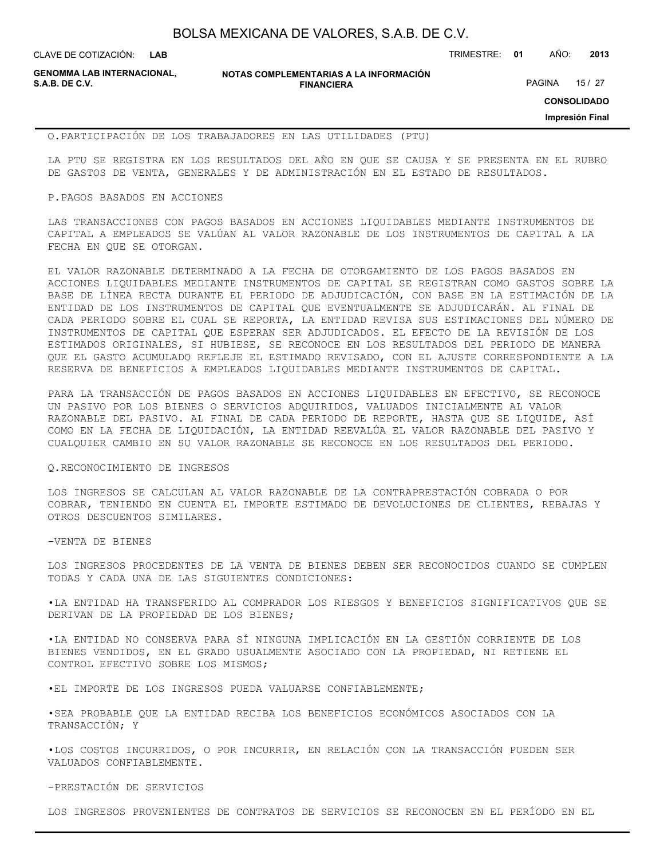CLAVE DE COTIZACIÓN: TRIMESTRE: **01** AÑO: **2013**

**GENOMMA LAB INTERNACIONAL,**

**NOTAS COMPLEMENTARIAS A LA INFORMACIÓN FINANCIERA**

PAGINA 15 / 27

**CONSOLIDADO**

**Impresión Final**

#### O.PARTICIPACIÓN DE LOS TRABAJADORES EN LAS UTILIDADES (PTU)

LA PTU SE REGISTRA EN LOS RESULTADOS DEL AÑO EN QUE SE CAUSA Y SE PRESENTA EN EL RUBRO DE GASTOS DE VENTA, GENERALES Y DE ADMINISTRACIÓN EN EL ESTADO DE RESULTADOS.

#### P.PAGOS BASADOS EN ACCIONES

LAS TRANSACCIONES CON PAGOS BASADOS EN ACCIONES LIQUIDABLES MEDIANTE INSTRUMENTOS DE CAPITAL A EMPLEADOS SE VALÚAN AL VALOR RAZONABLE DE LOS INSTRUMENTOS DE CAPITAL A LA FECHA EN QUE SE OTORGAN.

EL VALOR RAZONABLE DETERMINADO A LA FECHA DE OTORGAMIENTO DE LOS PAGOS BASADOS EN ACCIONES LIQUIDABLES MEDIANTE INSTRUMENTOS DE CAPITAL SE REGISTRAN COMO GASTOS SOBRE LA BASE DE LÍNEA RECTA DURANTE EL PERIODO DE ADJUDICACIÓN, CON BASE EN LA ESTIMACIÓN DE LA ENTIDAD DE LOS INSTRUMENTOS DE CAPITAL QUE EVENTUALMENTE SE ADJUDICARÁN. AL FINAL DE CADA PERIODO SOBRE EL CUAL SE REPORTA, LA ENTIDAD REVISA SUS ESTIMACIONES DEL NÚMERO DE INSTRUMENTOS DE CAPITAL QUE ESPERAN SER ADJUDICADOS. EL EFECTO DE LA REVISIÓN DE LOS ESTIMADOS ORIGINALES, SI HUBIESE, SE RECONOCE EN LOS RESULTADOS DEL PERIODO DE MANERA QUE EL GASTO ACUMULADO REFLEJE EL ESTIMADO REVISADO, CON EL AJUSTE CORRESPONDIENTE A LA RESERVA DE BENEFICIOS A EMPLEADOS LIQUIDABLES MEDIANTE INSTRUMENTOS DE CAPITAL.

PARA LA TRANSACCIÓN DE PAGOS BASADOS EN ACCIONES LIQUIDABLES EN EFECTIVO, SE RECONOCE UN PASIVO POR LOS BIENES O SERVICIOS ADQUIRIDOS, VALUADOS INICIALMENTE AL VALOR RAZONABLE DEL PASIVO. AL FINAL DE CADA PERIODO DE REPORTE, HASTA QUE SE LIQUIDE, ASÍ COMO EN LA FECHA DE LIQUIDACIÓN, LA ENTIDAD REEVALÚA EL VALOR RAZONABLE DEL PASIVO Y CUALQUIER CAMBIO EN SU VALOR RAZONABLE SE RECONOCE EN LOS RESULTADOS DEL PERIODO.

### Q.RECONOCIMIENTO DE INGRESOS

LOS INGRESOS SE CALCULAN AL VALOR RAZONABLE DE LA CONTRAPRESTACIÓN COBRADA O POR COBRAR, TENIENDO EN CUENTA EL IMPORTE ESTIMADO DE DEVOLUCIONES DE CLIENTES, REBAJAS Y OTROS DESCUENTOS SIMILARES.

-VENTA DE BIENES

LOS INGRESOS PROCEDENTES DE LA VENTA DE BIENES DEBEN SER RECONOCIDOS CUANDO SE CUMPLEN TODAS Y CADA UNA DE LAS SIGUIENTES CONDICIONES:

•LA ENTIDAD HA TRANSFERIDO AL COMPRADOR LOS RIESGOS Y BENEFICIOS SIGNIFICATIVOS QUE SE DERIVAN DE LA PROPIEDAD DE LOS BIENES;

•LA ENTIDAD NO CONSERVA PARA SÍ NINGUNA IMPLICACIÓN EN LA GESTIÓN CORRIENTE DE LOS BIENES VENDIDOS, EN EL GRADO USUALMENTE ASOCIADO CON LA PROPIEDAD, NI RETIENE EL CONTROL EFECTIVO SOBRE LOS MISMOS;

•EL IMPORTE DE LOS INGRESOS PUEDA VALUARSE CONFIABLEMENTE;

•SEA PROBABLE QUE LA ENTIDAD RECIBA LOS BENEFICIOS ECONÓMICOS ASOCIADOS CON LA TRANSACCIÓN; Y

•LOS COSTOS INCURRIDOS, O POR INCURRIR, EN RELACIÓN CON LA TRANSACCIÓN PUEDEN SER VALUADOS CONFIABLEMENTE.

-PRESTACIÓN DE SERVICIOS

LOS INGRESOS PROVENIENTES DE CONTRATOS DE SERVICIOS SE RECONOCEN EN EL PERÍODO EN EL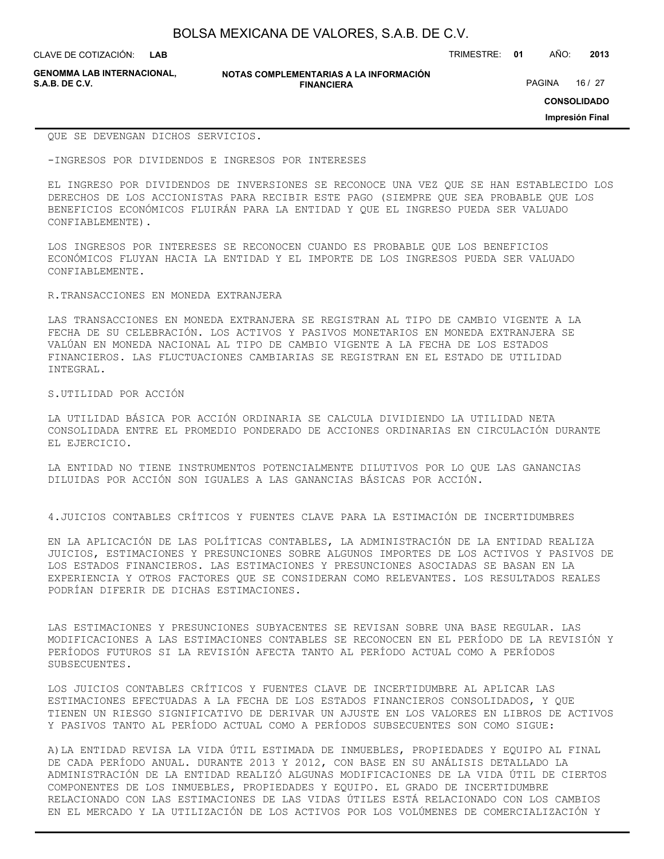**GENOMMA LAB INTERNACIONAL,**

**NOTAS COMPLEMENTARIAS A LA INFORMACIÓN FINANCIERA S.A.B. DE C.V.** PAGINA 16 / 27

**CONSOLIDADO**

**Impresión Final**

QUE SE DEVENGAN DICHOS SERVICIOS.

-INGRESOS POR DIVIDENDOS E INGRESOS POR INTERESES

EL INGRESO POR DIVIDENDOS DE INVERSIONES SE RECONOCE UNA VEZ QUE SE HAN ESTABLECIDO LOS DERECHOS DE LOS ACCIONISTAS PARA RECIBIR ESTE PAGO (SIEMPRE QUE SEA PROBABLE QUE LOS BENEFICIOS ECONÓMICOS FLUIRÁN PARA LA ENTIDAD Y QUE EL INGRESO PUEDA SER VALUADO CONFIABLEMENTE).

LOS INGRESOS POR INTERESES SE RECONOCEN CUANDO ES PROBABLE QUE LOS BENEFICIOS ECONÓMICOS FLUYAN HACIA LA ENTIDAD Y EL IMPORTE DE LOS INGRESOS PUEDA SER VALUADO CONFIABLEMENTE.

R.TRANSACCIONES EN MONEDA EXTRANJERA

LAS TRANSACCIONES EN MONEDA EXTRANJERA SE REGISTRAN AL TIPO DE CAMBIO VIGENTE A LA FECHA DE SU CELEBRACIÓN. LOS ACTIVOS Y PASIVOS MONETARIOS EN MONEDA EXTRANJERA SE VALÚAN EN MONEDA NACIONAL AL TIPO DE CAMBIO VIGENTE A LA FECHA DE LOS ESTADOS FINANCIEROS. LAS FLUCTUACIONES CAMBIARIAS SE REGISTRAN EN EL ESTADO DE UTILIDAD INTEGRAL.

S.UTILIDAD POR ACCIÓN

LA UTILIDAD BÁSICA POR ACCIÓN ORDINARIA SE CALCULA DIVIDIENDO LA UTILIDAD NETA CONSOLIDADA ENTRE EL PROMEDIO PONDERADO DE ACCIONES ORDINARIAS EN CIRCULACIÓN DURANTE EL EJERCICIO.

LA ENTIDAD NO TIENE INSTRUMENTOS POTENCIALMENTE DILUTIVOS POR LO QUE LAS GANANCIAS DILUIDAS POR ACCIÓN SON IGUALES A LAS GANANCIAS BÁSICAS POR ACCIÓN.

4.JUICIOS CONTABLES CRÍTICOS Y FUENTES CLAVE PARA LA ESTIMACIÓN DE INCERTIDUMBRES

EN LA APLICACIÓN DE LAS POLÍTICAS CONTABLES, LA ADMINISTRACIÓN DE LA ENTIDAD REALIZA JUICIOS, ESTIMACIONES Y PRESUNCIONES SOBRE ALGUNOS IMPORTES DE LOS ACTIVOS Y PASIVOS DE LOS ESTADOS FINANCIEROS. LAS ESTIMACIONES Y PRESUNCIONES ASOCIADAS SE BASAN EN LA EXPERIENCIA Y OTROS FACTORES QUE SE CONSIDERAN COMO RELEVANTES. LOS RESULTADOS REALES PODRÍAN DIFERIR DE DICHAS ESTIMACIONES.

LAS ESTIMACIONES Y PRESUNCIONES SUBYACENTES SE REVISAN SOBRE UNA BASE REGULAR. LAS MODIFICACIONES A LAS ESTIMACIONES CONTABLES SE RECONOCEN EN EL PERÍODO DE LA REVISIÓN Y PERÍODOS FUTUROS SI LA REVISIÓN AFECTA TANTO AL PERÍODO ACTUAL COMO A PERÍODOS SUBSECUENTES.

LOS JUICIOS CONTABLES CRÍTICOS Y FUENTES CLAVE DE INCERTIDUMBRE AL APLICAR LAS ESTIMACIONES EFECTUADAS A LA FECHA DE LOS ESTADOS FINANCIEROS CONSOLIDADOS, Y QUE TIENEN UN RIESGO SIGNIFICATIVO DE DERIVAR UN AJUSTE EN LOS VALORES EN LIBROS DE ACTIVOS Y PASIVOS TANTO AL PERÍODO ACTUAL COMO A PERÍODOS SUBSECUENTES SON COMO SIGUE:

A)LA ENTIDAD REVISA LA VIDA ÚTIL ESTIMADA DE INMUEBLES, PROPIEDADES Y EQUIPO AL FINAL DE CADA PERÍODO ANUAL. DURANTE 2013 Y 2012, CON BASE EN SU ANÁLISIS DETALLADO LA ADMINISTRACIÓN DE LA ENTIDAD REALIZÓ ALGUNAS MODIFICACIONES DE LA VIDA ÚTIL DE CIERTOS COMPONENTES DE LOS INMUEBLES, PROPIEDADES Y EQUIPO. EL GRADO DE INCERTIDUMBRE RELACIONADO CON LAS ESTIMACIONES DE LAS VIDAS ÚTILES ESTÁ RELACIONADO CON LOS CAMBIOS EN EL MERCADO Y LA UTILIZACIÓN DE LOS ACTIVOS POR LOS VOLÚMENES DE COMERCIALIZACIÓN Y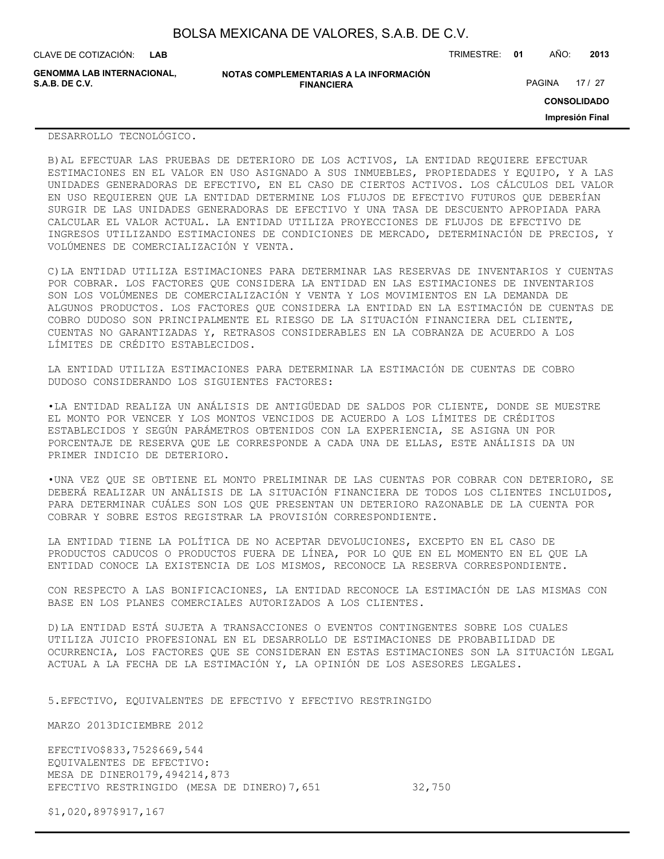| BOLSA MEXICANA DE VALORES, S.A.B. DE C.V. |  |  |
|-------------------------------------------|--|--|
|-------------------------------------------|--|--|

**GENOMMA LAB INTERNACIONAL,**

**NOTAS COMPLEMENTARIAS A LA INFORMACIÓN FINANCIERA**

PAGINA 17 / 27

**CONSOLIDADO**

**Impresión Final**

#### DESARROLLO TECNOLÓGICO.

B)AL EFECTUAR LAS PRUEBAS DE DETERIORO DE LOS ACTIVOS, LA ENTIDAD REQUIERE EFECTUAR ESTIMACIONES EN EL VALOR EN USO ASIGNADO A SUS INMUEBLES, PROPIEDADES Y EQUIPO, Y A LAS UNIDADES GENERADORAS DE EFECTIVO, EN EL CASO DE CIERTOS ACTIVOS. LOS CÁLCULOS DEL VALOR EN USO REQUIEREN QUE LA ENTIDAD DETERMINE LOS FLUJOS DE EFECTIVO FUTUROS QUE DEBERÍAN SURGIR DE LAS UNIDADES GENERADORAS DE EFECTIVO Y UNA TASA DE DESCUENTO APROPIADA PARA CALCULAR EL VALOR ACTUAL. LA ENTIDAD UTILIZA PROYECCIONES DE FLUJOS DE EFECTIVO DE INGRESOS UTILIZANDO ESTIMACIONES DE CONDICIONES DE MERCADO, DETERMINACIÓN DE PRECIOS, Y VOLÚMENES DE COMERCIALIZACIÓN Y VENTA.

C)LA ENTIDAD UTILIZA ESTIMACIONES PARA DETERMINAR LAS RESERVAS DE INVENTARIOS Y CUENTAS POR COBRAR. LOS FACTORES QUE CONSIDERA LA ENTIDAD EN LAS ESTIMACIONES DE INVENTARIOS SON LOS VOLÚMENES DE COMERCIALIZACIÓN Y VENTA Y LOS MOVIMIENTOS EN LA DEMANDA DE ALGUNOS PRODUCTOS. LOS FACTORES QUE CONSIDERA LA ENTIDAD EN LA ESTIMACIÓN DE CUENTAS DE COBRO DUDOSO SON PRINCIPALMENTE EL RIESGO DE LA SITUACIÓN FINANCIERA DEL CLIENTE, CUENTAS NO GARANTIZADAS Y, RETRASOS CONSIDERABLES EN LA COBRANZA DE ACUERDO A LOS LÍMITES DE CRÉDITO ESTABLECIDOS.

LA ENTIDAD UTILIZA ESTIMACIONES PARA DETERMINAR LA ESTIMACIÓN DE CUENTAS DE COBRO DUDOSO CONSIDERANDO LOS SIGUIENTES FACTORES:

•LA ENTIDAD REALIZA UN ANÁLISIS DE ANTIGÜEDAD DE SALDOS POR CLIENTE, DONDE SE MUESTRE EL MONTO POR VENCER Y LOS MONTOS VENCIDOS DE ACUERDO A LOS LÍMITES DE CRÉDITOS ESTABLECIDOS Y SEGÚN PARÁMETROS OBTENIDOS CON LA EXPERIENCIA, SE ASIGNA UN POR PORCENTAJE DE RESERVA QUE LE CORRESPONDE A CADA UNA DE ELLAS, ESTE ANÁLISIS DA UN PRIMER INDICIO DE DETERIORO.

•UNA VEZ QUE SE OBTIENE EL MONTO PRELIMINAR DE LAS CUENTAS POR COBRAR CON DETERIORO, SE DEBERÁ REALIZAR UN ANÁLISIS DE LA SITUACIÓN FINANCIERA DE TODOS LOS CLIENTES INCLUIDOS, PARA DETERMINAR CUÁLES SON LOS QUE PRESENTAN UN DETERIORO RAZONABLE DE LA CUENTA POR COBRAR Y SOBRE ESTOS REGISTRAR LA PROVISIÓN CORRESPONDIENTE.

LA ENTIDAD TIENE LA POLÍTICA DE NO ACEPTAR DEVOLUCIONES, EXCEPTO EN EL CASO DE PRODUCTOS CADUCOS O PRODUCTOS FUERA DE LÍNEA, POR LO QUE EN EL MOMENTO EN EL QUE LA ENTIDAD CONOCE LA EXISTENCIA DE LOS MISMOS, RECONOCE LA RESERVA CORRESPONDIENTE.

CON RESPECTO A LAS BONIFICACIONES, LA ENTIDAD RECONOCE LA ESTIMACIÓN DE LAS MISMAS CON BASE EN LOS PLANES COMERCIALES AUTORIZADOS A LOS CLIENTES.

D)LA ENTIDAD ESTÁ SUJETA A TRANSACCIONES O EVENTOS CONTINGENTES SOBRE LOS CUALES UTILIZA JUICIO PROFESIONAL EN EL DESARROLLO DE ESTIMACIONES DE PROBABILIDAD DE OCURRENCIA, LOS FACTORES QUE SE CONSIDERAN EN ESTAS ESTIMACIONES SON LA SITUACIÓN LEGAL ACTUAL A LA FECHA DE LA ESTIMACIÓN Y, LA OPINIÓN DE LOS ASESORES LEGALES.

5.EFECTIVO, EQUIVALENTES DE EFECTIVO Y EFECTIVO RESTRINGIDO

MARZO 2013DICIEMBRE 2012

EFECTIVO\$833,752\$669,544 EQUIVALENTES DE EFECTIVO: MESA DE DINERO179,494214,873 EFECTIVO RESTRINGIDO (MESA DE DINERO)7,651 32,750

\$1,020,897\$917,167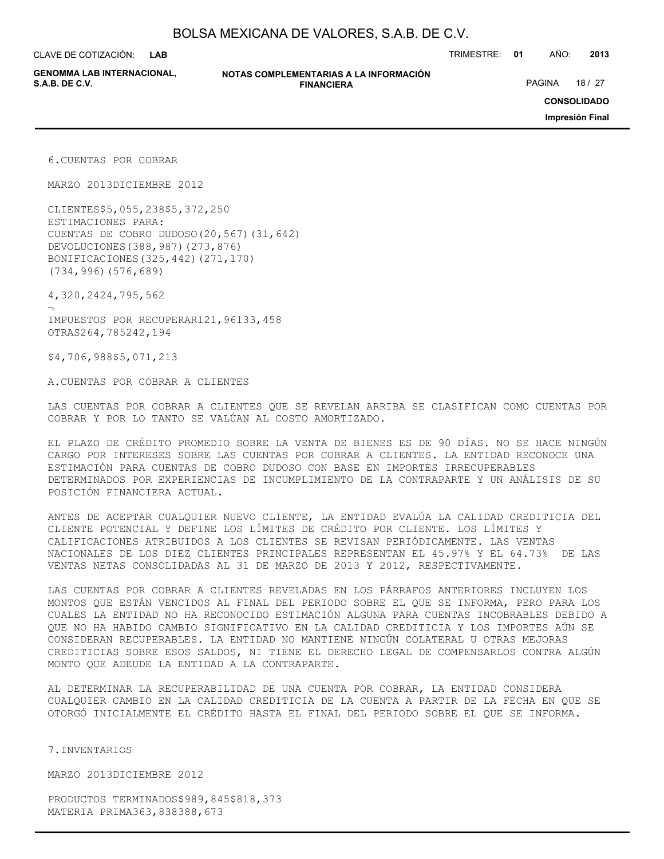**LAB**

CLAVE DE COTIZACIÓN: TRIMESTRE: **01** AÑO: **2013**

**GENOMMA LAB INTERNACIONAL,**

**NOTAS COMPLEMENTARIAS A LA INFORMACIÓN FINANCIERA S.A.B. DE C.V.** PAGINA 18 / 27

**CONSOLIDADO**

**Impresión Final**

6.CUENTAS POR COBRAR

MARZO 2013DICIEMBRE 2012

CLIENTES\$5,055,238\$5,372,250 ESTIMACIONES PARA: CUENTAS DE COBRO DUDOSO(20,567)(31,642) DEVOLUCIONES(388,987)(273,876) BONIFICACIONES(325,442)(271,170) (734,996)(576,689)

4,320,2424,795,562

¬ IMPUESTOS POR RECUPERAR121,96133,458 OTRAS264,785242,194

\$4,706,988\$5,071,213

A.CUENTAS POR COBRAR A CLIENTES

LAS CUENTAS POR COBRAR A CLIENTES QUE SE REVELAN ARRIBA SE CLASIFICAN COMO CUENTAS POR COBRAR Y POR LO TANTO SE VALÚAN AL COSTO AMORTIZADO.

EL PLAZO DE CRÉDITO PROMEDIO SOBRE LA VENTA DE BIENES ES DE 90 DÍAS. NO SE HACE NINGÚN CARGO POR INTERESES SOBRE LAS CUENTAS POR COBRAR A CLIENTES. LA ENTIDAD RECONOCE UNA ESTIMACIÓN PARA CUENTAS DE COBRO DUDOSO CON BASE EN IMPORTES IRRECUPERABLES DETERMINADOS POR EXPERIENCIAS DE INCUMPLIMIENTO DE LA CONTRAPARTE Y UN ANÁLISIS DE SU POSICIÓN FINANCIERA ACTUAL.

ANTES DE ACEPTAR CUALQUIER NUEVO CLIENTE, LA ENTIDAD EVALÚA LA CALIDAD CREDITICIA DEL CLIENTE POTENCIAL Y DEFINE LOS LÍMITES DE CRÉDITO POR CLIENTE. LOS LÍMITES Y CALIFICACIONES ATRIBUIDOS A LOS CLIENTES SE REVISAN PERIÓDICAMENTE. LAS VENTAS NACIONALES DE LOS DIEZ CLIENTES PRINCIPALES REPRESENTAN EL 45.97% Y EL 64.73% DE LAS VENTAS NETAS CONSOLIDADAS AL 31 DE MARZO DE 2013 Y 2012, RESPECTIVAMENTE.

LAS CUENTAS POR COBRAR A CLIENTES REVELADAS EN LOS PÁRRAFOS ANTERIORES INCLUYEN LOS MONTOS QUE ESTÁN VENCIDOS AL FINAL DEL PERIODO SOBRE EL QUE SE INFORMA, PERO PARA LOS CUALES LA ENTIDAD NO HA RECONOCIDO ESTIMACIÓN ALGUNA PARA CUENTAS INCOBRABLES DEBIDO A QUE NO HA HABIDO CAMBIO SIGNIFICATIVO EN LA CALIDAD CREDITICIA Y LOS IMPORTES AÚN SE CONSIDERAN RECUPERABLES. LA ENTIDAD NO MANTIENE NINGÚN COLATERAL U OTRAS MEJORAS CREDITICIAS SOBRE ESOS SALDOS, NI TIENE EL DERECHO LEGAL DE COMPENSARLOS CONTRA ALGÚN MONTO QUE ADEUDE LA ENTIDAD A LA CONTRAPARTE.

AL DETERMINAR LA RECUPERABILIDAD DE UNA CUENTA POR COBRAR, LA ENTIDAD CONSIDERA CUALQUIER CAMBIO EN LA CALIDAD CREDITICIA DE LA CUENTA A PARTIR DE LA FECHA EN QUE SE OTORGÓ INICIALMENTE EL CRÉDITO HASTA EL FINAL DEL PERIODO SOBRE EL QUE SE INFORMA.

7.INVENTARIOS

MARZO 2013DICIEMBRE 2012

PRODUCTOS TERMINADOS\$989,845\$818,373 MATERIA PRIMA363,838388,673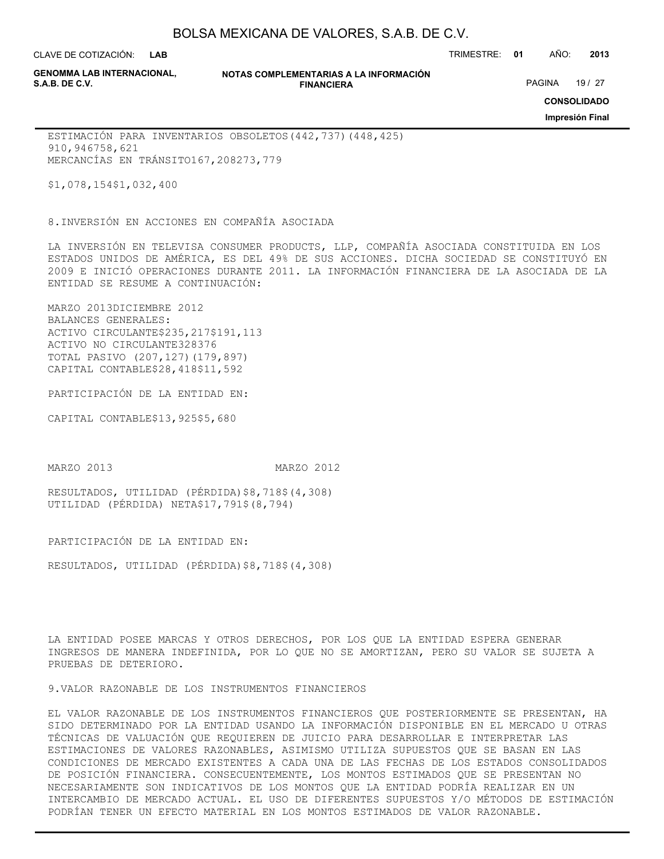**LAB**

CLAVE DE COTIZACIÓN: TRIMESTRE: **01** AÑO: **2013**

**GENOMMA LAB INTERNACIONAL,**

### **NOTAS COMPLEMENTARIAS A LA INFORMACIÓN FINANCIERA**

PAGINA 19 / 27

**CONSOLIDADO**

**Impresión Final**

ESTIMACIÓN PARA INVENTARIOS OBSOLETOS(442,737)(448,425) 910,946758,621 MERCANCÍAS EN TRÁNSITO167,208273,779

\$1,078,154\$1,032,400

8.INVERSIÓN EN ACCIONES EN COMPAÑÍA ASOCIADA

LA INVERSIÓN EN TELEVISA CONSUMER PRODUCTS, LLP, COMPAÑÍA ASOCIADA CONSTITUIDA EN LOS ESTADOS UNIDOS DE AMÉRICA, ES DEL 49% DE SUS ACCIONES. DICHA SOCIEDAD SE CONSTITUYÓ EN 2009 E INICIÓ OPERACIONES DURANTE 2011. LA INFORMACIÓN FINANCIERA DE LA ASOCIADA DE LA ENTIDAD SE RESUME A CONTINUACIÓN:

MARZO 2013DICIEMBRE 2012 BALANCES GENERALES: ACTIVO CIRCULANTE\$235,217\$191,113 ACTIVO NO CIRCULANTE328376 TOTAL PASIVO (207,127)(179,897) CAPITAL CONTABLE\$28,418\$11,592

PARTICIPACIÓN DE LA ENTIDAD EN:

CAPITAL CONTABLE\$13,925\$5,680

MARZO 2013 MARZO 2012

RESULTADOS, UTILIDAD (PÉRDIDA)\$8,718\$(4,308) UTILIDAD (PÉRDIDA) NETA\$17,791\$(8,794)

PARTICIPACIÓN DE LA ENTIDAD EN:

RESULTADOS, UTILIDAD (PÉRDIDA)\$8,718\$(4,308)

LA ENTIDAD POSEE MARCAS Y OTROS DERECHOS, POR LOS QUE LA ENTIDAD ESPERA GENERAR INGRESOS DE MANERA INDEFINIDA, POR LO QUE NO SE AMORTIZAN, PERO SU VALOR SE SUJETA A PRUEBAS DE DETERIORO.

9.VALOR RAZONABLE DE LOS INSTRUMENTOS FINANCIEROS

EL VALOR RAZONABLE DE LOS INSTRUMENTOS FINANCIEROS QUE POSTERIORMENTE SE PRESENTAN, HA SIDO DETERMINADO POR LA ENTIDAD USANDO LA INFORMACIÓN DISPONIBLE EN EL MERCADO U OTRAS TÉCNICAS DE VALUACIÓN QUE REQUIEREN DE JUICIO PARA DESARROLLAR E INTERPRETAR LAS ESTIMACIONES DE VALORES RAZONABLES, ASIMISMO UTILIZA SUPUESTOS QUE SE BASAN EN LAS CONDICIONES DE MERCADO EXISTENTES A CADA UNA DE LAS FECHAS DE LOS ESTADOS CONSOLIDADOS DE POSICIÓN FINANCIERA. CONSECUENTEMENTE, LOS MONTOS ESTIMADOS QUE SE PRESENTAN NO NECESARIAMENTE SON INDICATIVOS DE LOS MONTOS QUE LA ENTIDAD PODRÍA REALIZAR EN UN INTERCAMBIO DE MERCADO ACTUAL. EL USO DE DIFERENTES SUPUESTOS Y/O MÉTODOS DE ESTIMACIÓN PODRÍAN TENER UN EFECTO MATERIAL EN LOS MONTOS ESTIMADOS DE VALOR RAZONABLE.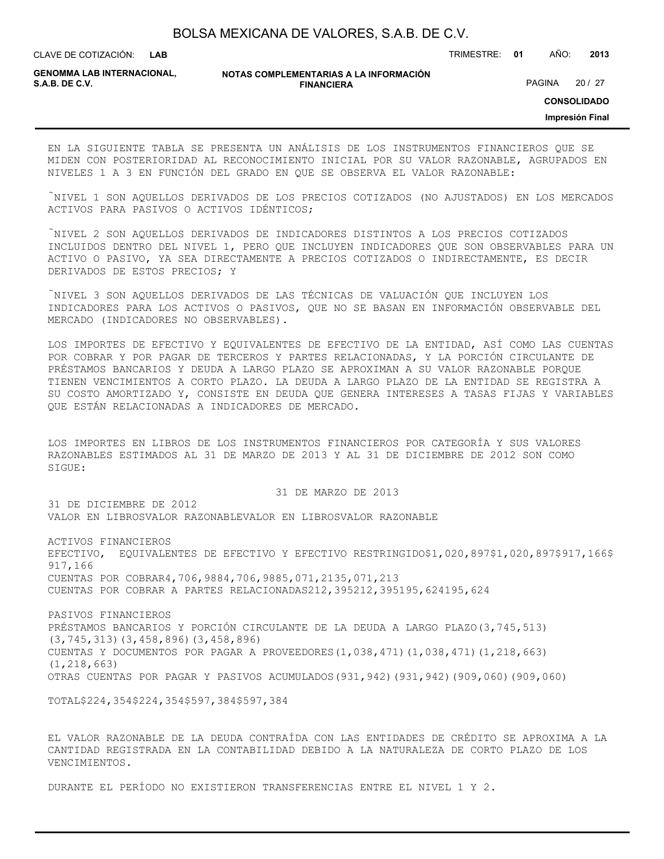**LAB**

CLAVE DE COTIZACIÓN: TRIMESTRE: **01** AÑO: **2013**

**GENOMMA LAB INTERNACIONAL, S.A.B. DE C.V.** PAGINA 20 / 27

**NOTAS COMPLEMENTARIAS A LA INFORMACIÓN FINANCIERA**

**CONSOLIDADO**

**Impresión Final**

EN LA SIGUIENTE TABLA SE PRESENTA UN ANÁLISIS DE LOS INSTRUMENTOS FINANCIEROS QUE SE MIDEN CON POSTERIORIDAD AL RECONOCIMIENTO INICIAL POR SU VALOR RAZONABLE, AGRUPADOS EN NIVELES 1 A 3 EN FUNCIÓN DEL GRADO EN QUE SE OBSERVA EL VALOR RAZONABLE:

NIVEL 1 SON AQUELLOS DERIVADOS DE LOS PRECIOS COTIZADOS (NO AJUSTADOS) EN LOS MERCADOS ACTIVOS PARA PASIVOS O ACTIVOS IDÉNTICOS;

NIVEL 2 SON AQUELLOS DERIVADOS DE INDICADORES DISTINTOS A LOS PRECIOS COTIZADOS INCLUIDOS DENTRO DEL NIVEL 1, PERO QUE INCLUYEN INDICADORES QUE SON OBSERVABLES PARA UN ACTIVO O PASIVO, YA SEA DIRECTAMENTE A PRECIOS COTIZADOS O INDIRECTAMENTE, ES DECIR DERIVADOS DE ESTOS PRECIOS; Y

NIVEL 3 SON AQUELLOS DERIVADOS DE LAS TÉCNICAS DE VALUACIÓN QUE INCLUYEN LOS INDICADORES PARA LOS ACTIVOS O PASIVOS, QUE NO SE BASAN EN INFORMACIÓN OBSERVABLE DEL MERCADO (INDICADORES NO OBSERVABLES).

LOS IMPORTES DE EFECTIVO Y EQUIVALENTES DE EFECTIVO DE LA ENTIDAD, ASÍ COMO LAS CUENTAS POR COBRAR Y POR PAGAR DE TERCEROS Y PARTES RELACIONADAS, Y LA PORCIÓN CIRCULANTE DE PRÉSTAMOS BANCARIOS Y DEUDA A LARGO PLAZO SE APROXIMAN A SU VALOR RAZONABLE PORQUE TIENEN VENCIMIENTOS A CORTO PLAZO. LA DEUDA A LARGO PLAZO DE LA ENTIDAD SE REGISTRA A SU COSTO AMORTIZADO Y, CONSISTE EN DEUDA QUE GENERA INTERESES A TASAS FIJAS Y VARIABLES QUE ESTÁN RELACIONADAS A INDICADORES DE MERCADO.

LOS IMPORTES EN LIBROS DE LOS INSTRUMENTOS FINANCIEROS POR CATEGORÍA Y SUS VALORES RAZONABLES ESTIMADOS AL 31 DE MARZO DE 2013 Y AL 31 DE DICIEMBRE DE 2012 SON COMO SIGUE:

 31 DE MARZO DE 2013 31 DE DICIEMBRE DE 2012 VALOR EN LIBROSVALOR RAZONABLEVALOR EN LIBROSVALOR RAZONABLE

ACTIVOS FINANCIEROS EFECTIVO, EQUIVALENTES DE EFECTIVO Y EFECTIVO RESTRINGIDO\$1,020,897\$1,020,897\$917,166\$ 917,166 CUENTAS POR COBRAR4,706,9884,706,9885,071,2135,071,213 CUENTAS POR COBRAR A PARTES RELACIONADAS212,395212,395195,624195,624

PASIVOS FINANCIEROS PRÉSTAMOS BANCARIOS Y PORCIÓN CIRCULANTE DE LA DEUDA A LARGO PLAZO(3,745,513) (3,745,313)(3,458,896)(3,458,896) CUENTAS Y DOCUMENTOS POR PAGAR A PROVEEDORES(1,038,471)(1,038,471)(1,218,663) (1,218,663) OTRAS CUENTAS POR PAGAR Y PASIVOS ACUMULADOS(931,942)(931,942)(909,060)(909,060)

TOTAL\$224,354\$224,354\$597,384\$597,384

EL VALOR RAZONABLE DE LA DEUDA CONTRAÍDA CON LAS ENTIDADES DE CRÉDITO SE APROXIMA A LA CANTIDAD REGISTRADA EN LA CONTABILIDAD DEBIDO A LA NATURALEZA DE CORTO PLAZO DE LOS VENCIMIENTOS.

DURANTE EL PERÍODO NO EXISTIERON TRANSFERENCIAS ENTRE EL NIVEL 1 Y 2.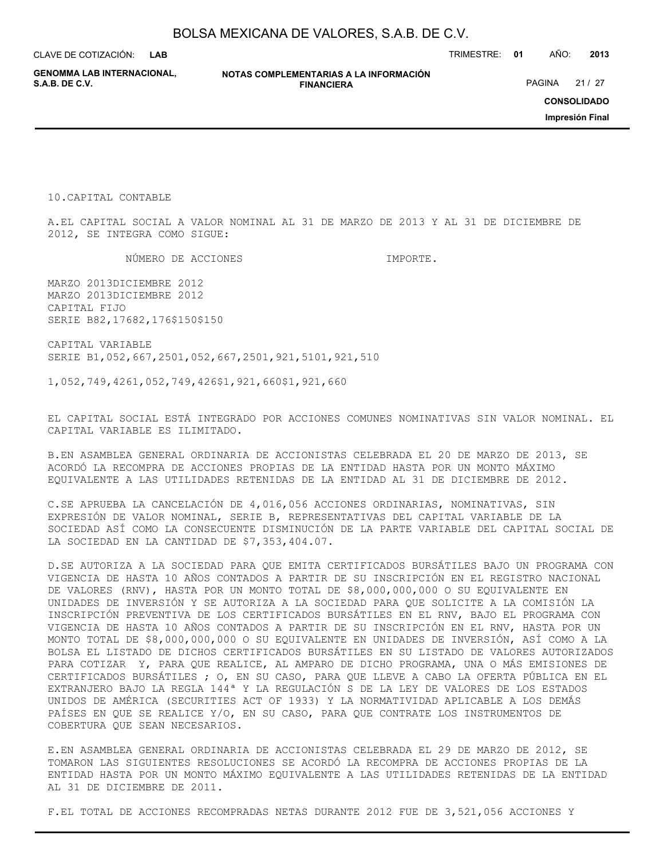**LAB**

CLAVE DE COTIZACIÓN: TRIMESTRE: **01** AÑO: **2013**

**GENOMMA LAB INTERNACIONAL,**

**NOTAS COMPLEMENTARIAS A LA INFORMACIÓN FINANCIERA**

PAGINA 21 / 27

**CONSOLIDADO**

**Impresión Final**

10.CAPITAL CONTABLE

A.EL CAPITAL SOCIAL A VALOR NOMINAL AL 31 DE MARZO DE 2013 Y AL 31 DE DICIEMBRE DE 2012, SE INTEGRA COMO SIGUE:

NÚMERO DE ACCIONES DE CONSTRUIT DE LA CONSTRUIT DE LA CONSTRUIT DE LA CONSTRUIT DE LA CONSTRUIT DE LA CONSTRU

MARZO 2013DICIEMBRE 2012 MARZO 2013DICIEMBRE 2012 CAPITAL FIJO SERIE B82,17682,176\$150\$150

CAPITAL VARIABLE SERIE B1,052,667,2501,052,667,2501,921,5101,921,510

1,052,749,4261,052,749,426\$1,921,660\$1,921,660

EL CAPITAL SOCIAL ESTÁ INTEGRADO POR ACCIONES COMUNES NOMINATIVAS SIN VALOR NOMINAL. EL CAPITAL VARIABLE ES ILIMITADO.

B.EN ASAMBLEA GENERAL ORDINARIA DE ACCIONISTAS CELEBRADA EL 20 DE MARZO DE 2013, SE ACORDÓ LA RECOMPRA DE ACCIONES PROPIAS DE LA ENTIDAD HASTA POR UN MONTO MÁXIMO EQUIVALENTE A LAS UTILIDADES RETENIDAS DE LA ENTIDAD AL 31 DE DICIEMBRE DE 2012.

C.SE APRUEBA LA CANCELACIÓN DE 4,016,056 ACCIONES ORDINARIAS, NOMINATIVAS, SIN EXPRESIÓN DE VALOR NOMINAL, SERIE B, REPRESENTATIVAS DEL CAPITAL VARIABLE DE LA SOCIEDAD ASÍ COMO LA CONSECUENTE DISMINUCIÓN DE LA PARTE VARIABLE DEL CAPITAL SOCIAL DE LA SOCIEDAD EN LA CANTIDAD DE \$7,353,404.07.

D.SE AUTORIZA A LA SOCIEDAD PARA QUE EMITA CERTIFICADOS BURSÁTILES BAJO UN PROGRAMA CON VIGENCIA DE HASTA 10 AÑOS CONTADOS A PARTIR DE SU INSCRIPCIÓN EN EL REGISTRO NACIONAL DE VALORES (RNV), HASTA POR UN MONTO TOTAL DE \$8,000,000,000 O SU EQUIVALENTE EN UNIDADES DE INVERSIÓN Y SE AUTORIZA A LA SOCIEDAD PARA QUE SOLICITE A LA COMISIÓN LA INSCRIPCIÓN PREVENTIVA DE LOS CERTIFICADOS BURSÁTILES EN EL RNV, BAJO EL PROGRAMA CON VIGENCIA DE HASTA 10 AÑOS CONTADOS A PARTIR DE SU INSCRIPCIÓN EN EL RNV, HASTA POR UN MONTO TOTAL DE \$8,000,000,000 O SU EQUIVALENTE EN UNIDADES DE INVERSIÓN, ASÍ COMO A LA BOLSA EL LISTADO DE DICHOS CERTIFICADOS BURSÁTILES EN SU LISTADO DE VALORES AUTORIZADOS PARA COTIZAR Y, PARA QUE REALICE, AL AMPARO DE DICHO PROGRAMA, UNA O MÁS EMISIONES DE CERTIFICADOS BURSÁTILES ; O, EN SU CASO, PARA QUE LLEVE A CABO LA OFERTA PÚBLICA EN EL EXTRANJERO BAJO LA REGLA 144ª Y LA REGULACIÓN S DE LA LEY DE VALORES DE LOS ESTADOS UNIDOS DE AMÉRICA (SECURITIES ACT OF 1933) Y LA NORMATIVIDAD APLICABLE A LOS DEMÁS PAÍSES EN QUE SE REALICE Y/O, EN SU CASO, PARA QUE CONTRATE LOS INSTRUMENTOS DE COBERTURA QUE SEAN NECESARIOS.

E.EN ASAMBLEA GENERAL ORDINARIA DE ACCIONISTAS CELEBRADA EL 29 DE MARZO DE 2012, SE TOMARON LAS SIGUIENTES RESOLUCIONES SE ACORDÓ LA RECOMPRA DE ACCIONES PROPIAS DE LA ENTIDAD HASTA POR UN MONTO MÁXIMO EQUIVALENTE A LAS UTILIDADES RETENIDAS DE LA ENTIDAD AL 31 DE DICIEMBRE DE 2011.

F.EL TOTAL DE ACCIONES RECOMPRADAS NETAS DURANTE 2012 FUE DE 3,521,056 ACCIONES Y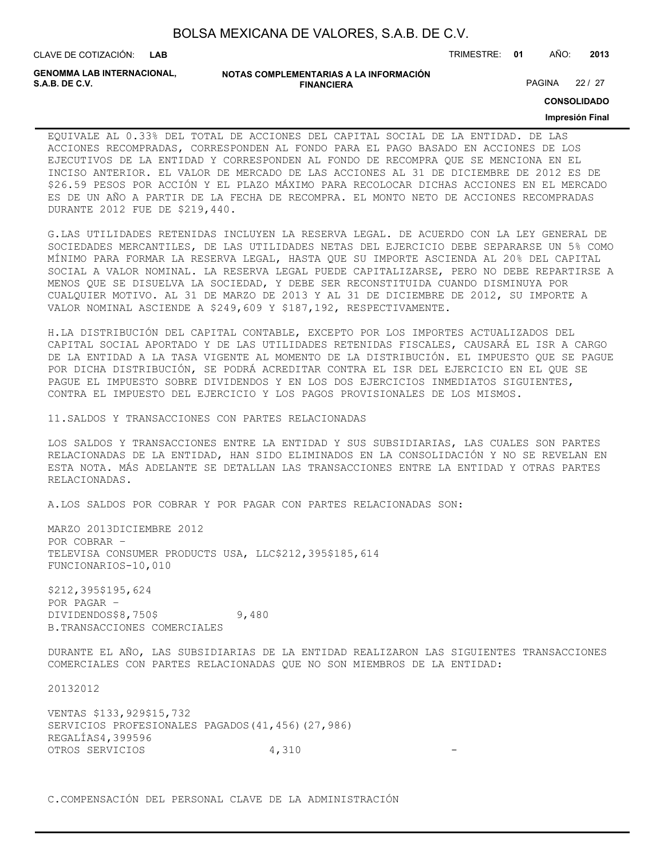| BOLSA MEXICANA DE VALORES, S.A.B. DE C.V. |  |  |
|-------------------------------------------|--|--|
|-------------------------------------------|--|--|

**GENOMMA LAB INTERNACIONAL,**

#### **NOTAS COMPLEMENTARIAS A LA INFORMACIÓN FINANCIERA**

PAGINA 22 / 27

**CONSOLIDADO**

#### **Impresión Final**

EQUIVALE AL 0.33% DEL TOTAL DE ACCIONES DEL CAPITAL SOCIAL DE LA ENTIDAD. DE LAS ACCIONES RECOMPRADAS, CORRESPONDEN AL FONDO PARA EL PAGO BASADO EN ACCIONES DE LOS EJECUTIVOS DE LA ENTIDAD Y CORRESPONDEN AL FONDO DE RECOMPRA QUE SE MENCIONA EN EL INCISO ANTERIOR. EL VALOR DE MERCADO DE LAS ACCIONES AL 31 DE DICIEMBRE DE 2012 ES DE \$26.59 PESOS POR ACCIÓN Y EL PLAZO MÁXIMO PARA RECOLOCAR DICHAS ACCIONES EN EL MERCADO ES DE UN AÑO A PARTIR DE LA FECHA DE RECOMPRA. EL MONTO NETO DE ACCIONES RECOMPRADAS DURANTE 2012 FUE DE \$219,440.

G.LAS UTILIDADES RETENIDAS INCLUYEN LA RESERVA LEGAL. DE ACUERDO CON LA LEY GENERAL DE SOCIEDADES MERCANTILES, DE LAS UTILIDADES NETAS DEL EJERCICIO DEBE SEPARARSE UN 5% COMO MÍNIMO PARA FORMAR LA RESERVA LEGAL, HASTA QUE SU IMPORTE ASCIENDA AL 20% DEL CAPITAL SOCIAL A VALOR NOMINAL. LA RESERVA LEGAL PUEDE CAPITALIZARSE, PERO NO DEBE REPARTIRSE A MENOS QUE SE DISUELVA LA SOCIEDAD, Y DEBE SER RECONSTITUIDA CUANDO DISMINUYA POR CUALQUIER MOTIVO. AL 31 DE MARZO DE 2013 Y AL 31 DE DICIEMBRE DE 2012, SU IMPORTE A VALOR NOMINAL ASCIENDE A \$249,609 Y \$187,192, RESPECTIVAMENTE.

H.LA DISTRIBUCIÓN DEL CAPITAL CONTABLE, EXCEPTO POR LOS IMPORTES ACTUALIZADOS DEL CAPITAL SOCIAL APORTADO Y DE LAS UTILIDADES RETENIDAS FISCALES, CAUSARÁ EL ISR A CARGO DE LA ENTIDAD A LA TASA VIGENTE AL MOMENTO DE LA DISTRIBUCIÓN. EL IMPUESTO QUE SE PAGUE POR DICHA DISTRIBUCIÓN, SE PODRÁ ACREDITAR CONTRA EL ISR DEL EJERCICIO EN EL QUE SE PAGUE EL IMPUESTO SOBRE DIVIDENDOS Y EN LOS DOS EJERCICIOS INMEDIATOS SIGUIENTES, CONTRA EL IMPUESTO DEL EJERCICIO Y LOS PAGOS PROVISIONALES DE LOS MISMOS.

11.SALDOS Y TRANSACCIONES CON PARTES RELACIONADAS

LOS SALDOS Y TRANSACCIONES ENTRE LA ENTIDAD Y SUS SUBSIDIARIAS, LAS CUALES SON PARTES RELACIONADAS DE LA ENTIDAD, HAN SIDO ELIMINADOS EN LA CONSOLIDACIÓN Y NO SE REVELAN EN ESTA NOTA. MÁS ADELANTE SE DETALLAN LAS TRANSACCIONES ENTRE LA ENTIDAD Y OTRAS PARTES RELACIONADAS.

A.LOS SALDOS POR COBRAR Y POR PAGAR CON PARTES RELACIONADAS SON:

MARZO 2013DICIEMBRE 2012 POR COBRAR – TELEVISA CONSUMER PRODUCTS USA, LLC\$212,395\$185,614 FUNCIONARIOS-10,010

\$212,395\$195,624 POR PAGAR – DIVIDENDOS\$8,750\$ 9,480 B.TRANSACCIONES COMERCIALES

DURANTE EL AÑO, LAS SUBSIDIARIAS DE LA ENTIDAD REALIZARON LAS SIGUIENTES TRANSACCIONES COMERCIALES CON PARTES RELACIONADAS QUE NO SON MIEMBROS DE LA ENTIDAD:

20132012

VENTAS \$133,929\$15,732 SERVICIOS PROFESIONALES PAGADOS(41,456)(27,986) REGALÍAS4,399596 OTROS SERVICIOS 4,310

C.COMPENSACIÓN DEL PERSONAL CLAVE DE LA ADMINISTRACIÓN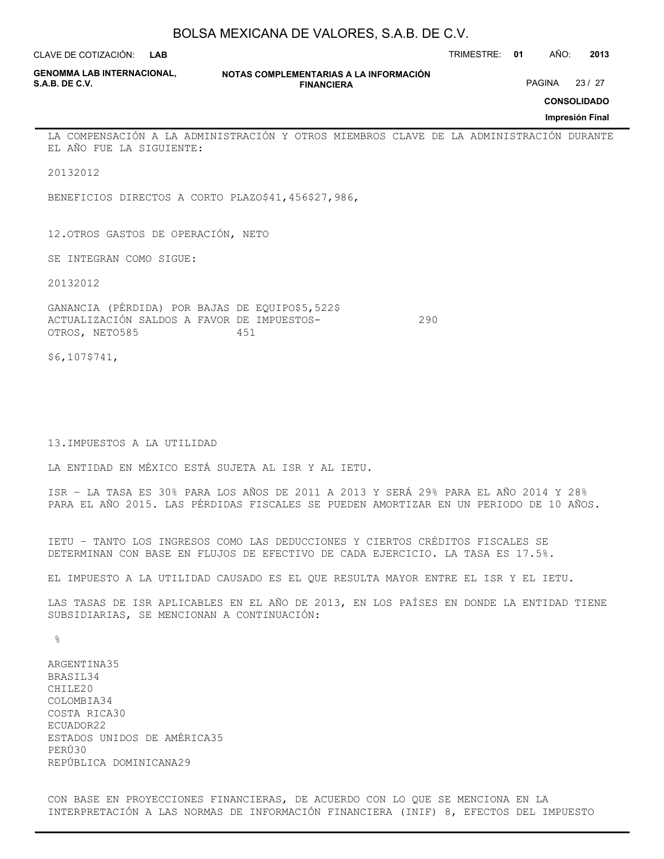**LAB**

CLAVE DE COTIZACIÓN: TRIMESTRE: **01** AÑO: **2013**

| <b>GENOMMA LAB INTERNACIONAL.</b> |  |
|-----------------------------------|--|
| <b>S.A.B. DE C.V.</b>             |  |

**NOTAS COMPLEMENTARIAS A LA INFORMACIÓN FINANCIERA**

PAGINA 23 / 27

**CONSOLIDADO**

**Impresión Final**

LA COMPENSACIÓN A LA ADMINISTRACIÓN Y OTROS MIEMBROS CLAVE DE LA ADMINISTRACIÓN DURANTE EL AÑO FUE LA SIGUIENTE:

20132012

BENEFICIOS DIRECTOS A CORTO PLAZO\$41,456\$27,986,

12.OTROS GASTOS DE OPERACIÓN, NETO

SE INTEGRAN COMO SIGUE:

20132012

GANANCIA (PÉRDIDA) POR BAJAS DE EQUIPO\$5,522\$ ACTUALIZACIÓN SALDOS A FAVOR DE IMPUESTOS- 290 OTROS, NETO585 451

\$6,107\$741,

13.IMPUESTOS A LA UTILIDAD

LA ENTIDAD EN MÉXICO ESTÁ SUJETA AL ISR Y AL IETU.

ISR – LA TASA ES 30% PARA LOS AÑOS DE 2011 A 2013 Y SERÁ 29% PARA EL AÑO 2014 Y 28% PARA EL AÑO 2015. LAS PÉRDIDAS FISCALES SE PUEDEN AMORTIZAR EN UN PERIODO DE 10 AÑOS.

IETU – TANTO LOS INGRESOS COMO LAS DEDUCCIONES Y CIERTOS CRÉDITOS FISCALES SE DETERMINAN CON BASE EN FLUJOS DE EFECTIVO DE CADA EJERCICIO. LA TASA ES 17.5%.

EL IMPUESTO A LA UTILIDAD CAUSADO ES EL QUE RESULTA MAYOR ENTRE EL ISR Y EL IETU.

LAS TASAS DE ISR APLICABLES EN EL AÑO DE 2013, EN LOS PAÍSES EN DONDE LA ENTIDAD TIENE SUBSIDIARIAS, SE MENCIONAN A CONTINUACIÓN:

 $\frac{6}{10}$ 

ARGENTINA35 BRASIL34 CHILE20 COLOMBIA34 COSTA RICA30 ECUADOR22 ESTADOS UNIDOS DE AMÉRICA35 PERÚ30 REPÚBLICA DOMINICANA29

CON BASE EN PROYECCIONES FINANCIERAS, DE ACUERDO CON LO QUE SE MENCIONA EN LA INTERPRETACIÓN A LAS NORMAS DE INFORMACIÓN FINANCIERA (INIF) 8, EFECTOS DEL IMPUESTO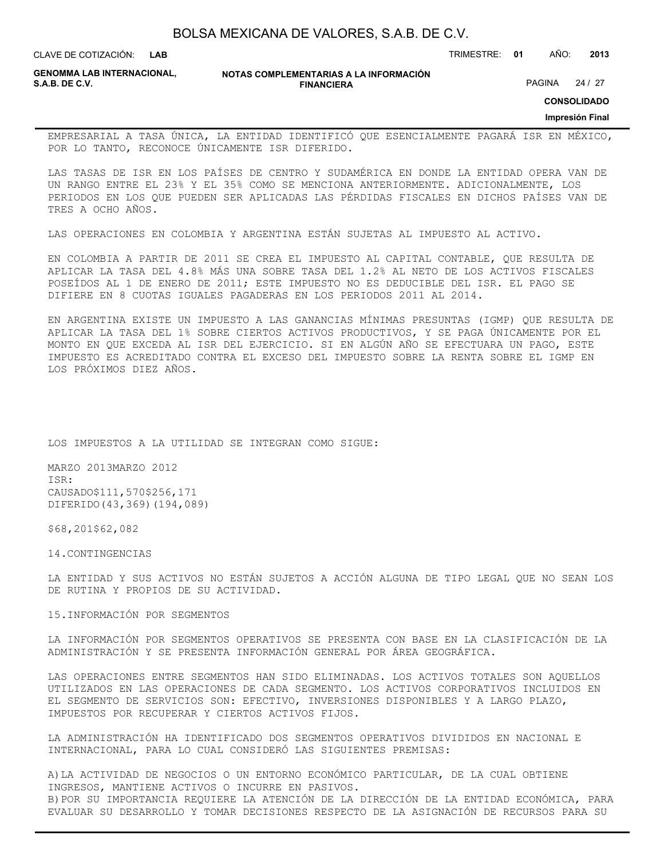**LAB**

CLAVE DE COTIZACIÓN: TRIMESTRE: **01** AÑO: **2013**

**GENOMMA LAB INTERNACIONAL,**

**NOTAS COMPLEMENTARIAS A LA INFORMACIÓN FINANCIERA**

PAGINA 24 / 27

**CONSOLIDADO**

**Impresión Final**

EMPRESARIAL A TASA ÚNICA, LA ENTIDAD IDENTIFICÓ QUE ESENCIALMENTE PAGARÁ ISR EN MÉXICO, POR LO TANTO, RECONOCE ÚNICAMENTE ISR DIFERIDO.

LAS TASAS DE ISR EN LOS PAÍSES DE CENTRO Y SUDAMÉRICA EN DONDE LA ENTIDAD OPERA VAN DE UN RANGO ENTRE EL 23% Y EL 35% COMO SE MENCIONA ANTERIORMENTE. ADICIONALMENTE, LOS PERIODOS EN LOS QUE PUEDEN SER APLICADAS LAS PÉRDIDAS FISCALES EN DICHOS PAÍSES VAN DE TRES A OCHO AÑOS.

LAS OPERACIONES EN COLOMBIA Y ARGENTINA ESTÁN SUJETAS AL IMPUESTO AL ACTIVO.

EN COLOMBIA A PARTIR DE 2011 SE CREA EL IMPUESTO AL CAPITAL CONTABLE, QUE RESULTA DE APLICAR LA TASA DEL 4.8% MÁS UNA SOBRE TASA DEL 1.2% AL NETO DE LOS ACTIVOS FISCALES POSEÍDOS AL 1 DE ENERO DE 2011; ESTE IMPUESTO NO ES DEDUCIBLE DEL ISR. EL PAGO SE DIFIERE EN 8 CUOTAS IGUALES PAGADERAS EN LOS PERIODOS 2011 AL 2014.

EN ARGENTINA EXISTE UN IMPUESTO A LAS GANANCIAS MÍNIMAS PRESUNTAS (IGMP) QUE RESULTA DE APLICAR LA TASA DEL 1% SOBRE CIERTOS ACTIVOS PRODUCTIVOS, Y SE PAGA ÚNICAMENTE POR EL MONTO EN QUE EXCEDA AL ISR DEL EJERCICIO. SI EN ALGÚN AÑO SE EFECTUARA UN PAGO, ESTE IMPUESTO ES ACREDITADO CONTRA EL EXCESO DEL IMPUESTO SOBRE LA RENTA SOBRE EL IGMP EN LOS PRÓXIMOS DIEZ AÑOS.

LOS IMPUESTOS A LA UTILIDAD SE INTEGRAN COMO SIGUE:

MARZO 2013MARZO 2012 ISR: CAUSADO\$111,570\$256,171 DIFERIDO(43,369)(194,089)

\$68,201\$62,082

14.CONTINGENCIAS

LA ENTIDAD Y SUS ACTIVOS NO ESTÁN SUJETOS A ACCIÓN ALGUNA DE TIPO LEGAL QUE NO SEAN LOS DE RUTINA Y PROPIOS DE SU ACTIVIDAD.

15.INFORMACIÓN POR SEGMENTOS

LA INFORMACIÓN POR SEGMENTOS OPERATIVOS SE PRESENTA CON BASE EN LA CLASIFICACIÓN DE LA ADMINISTRACIÓN Y SE PRESENTA INFORMACIÓN GENERAL POR ÁREA GEOGRÁFICA.

LAS OPERACIONES ENTRE SEGMENTOS HAN SIDO ELIMINADAS. LOS ACTIVOS TOTALES SON AQUELLOS UTILIZADOS EN LAS OPERACIONES DE CADA SEGMENTO. LOS ACTIVOS CORPORATIVOS INCLUIDOS EN EL SEGMENTO DE SERVICIOS SON: EFECTIVO, INVERSIONES DISPONIBLES Y A LARGO PLAZO, IMPUESTOS POR RECUPERAR Y CIERTOS ACTIVOS FIJOS.

LA ADMINISTRACIÓN HA IDENTIFICADO DOS SEGMENTOS OPERATIVOS DIVIDIDOS EN NACIONAL E INTERNACIONAL, PARA LO CUAL CONSIDERÓ LAS SIGUIENTES PREMISAS:

A)LA ACTIVIDAD DE NEGOCIOS O UN ENTORNO ECONÓMICO PARTICULAR, DE LA CUAL OBTIENE INGRESOS, MANTIENE ACTIVOS O INCURRE EN PASIVOS. B)POR SU IMPORTANCIA REQUIERE LA ATENCIÓN DE LA DIRECCIÓN DE LA ENTIDAD ECONÓMICA, PARA EVALUAR SU DESARROLLO Y TOMAR DECISIONES RESPECTO DE LA ASIGNACIÓN DE RECURSOS PARA SU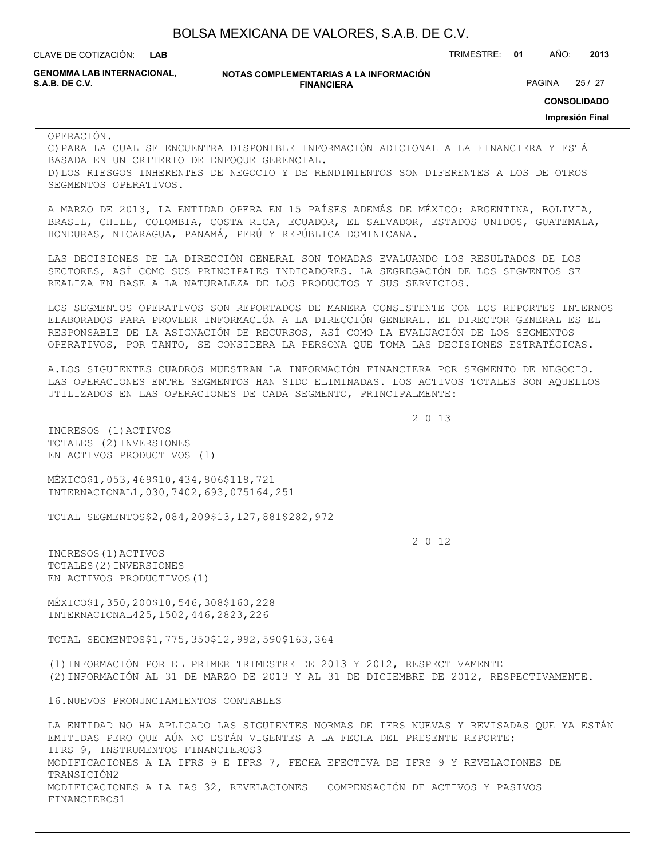| BOLSA MEXICANA DE VALORES, S.A.B. DE C.V. |  |  |  |
|-------------------------------------------|--|--|--|
|-------------------------------------------|--|--|--|

**GENOMMA LAB INTERNACIONAL,**

#### **NOTAS COMPLEMENTARIAS A LA INFORMACIÓN FINANCIERA**

**CONSOLIDADO** PAGINA 25 / 27

**Impresión Final**

#### OPERACIÓN.

C)PARA LA CUAL SE ENCUENTRA DISPONIBLE INFORMACIÓN ADICIONAL A LA FINANCIERA Y ESTÁ BASADA EN UN CRITERIO DE ENFOQUE GERENCIAL. D)LOS RIESGOS INHERENTES DE NEGOCIO Y DE RENDIMIENTOS SON DIFERENTES A LOS DE OTROS SEGMENTOS OPERATIVOS.

A MARZO DE 2013, LA ENTIDAD OPERA EN 15 PAÍSES ADEMÁS DE MÉXICO: ARGENTINA, BOLIVIA, BRASIL, CHILE, COLOMBIA, COSTA RICA, ECUADOR, EL SALVADOR, ESTADOS UNIDOS, GUATEMALA, HONDURAS, NICARAGUA, PANAMÁ, PERÚ Y REPÚBLICA DOMINICANA.

LAS DECISIONES DE LA DIRECCIÓN GENERAL SON TOMADAS EVALUANDO LOS RESULTADOS DE LOS SECTORES, ASÍ COMO SUS PRINCIPALES INDICADORES. LA SEGREGACIÓN DE LOS SEGMENTOS SE REALIZA EN BASE A LA NATURALEZA DE LOS PRODUCTOS Y SUS SERVICIOS.

LOS SEGMENTOS OPERATIVOS SON REPORTADOS DE MANERA CONSISTENTE CON LOS REPORTES INTERNOS ELABORADOS PARA PROVEER INFORMACIÓN A LA DIRECCIÓN GENERAL. EL DIRECTOR GENERAL ES EL RESPONSABLE DE LA ASIGNACIÓN DE RECURSOS, ASÍ COMO LA EVALUACIÓN DE LOS SEGMENTOS OPERATIVOS, POR TANTO, SE CONSIDERA LA PERSONA QUE TOMA LAS DECISIONES ESTRATÉGICAS.

A.LOS SIGUIENTES CUADROS MUESTRAN LA INFORMACIÓN FINANCIERA POR SEGMENTO DE NEGOCIO. LAS OPERACIONES ENTRE SEGMENTOS HAN SIDO ELIMINADAS. LOS ACTIVOS TOTALES SON AQUELLOS UTILIZADOS EN LAS OPERACIONES DE CADA SEGMENTO, PRINCIPALMENTE:

2 0 13

INGRESOS (1)ACTIVOS TOTALES (2)INVERSIONES EN ACTIVOS PRODUCTIVOS (1)

MÉXICO\$1,053,469\$10,434,806\$118,721 INTERNACIONAL1,030,7402,693,075164,251

TOTAL SEGMENTOS\$2,084,209\$13,127,881\$282,972

2 0 12

INGRESOS(1)ACTIVOS TOTALES(2)INVERSIONES EN ACTIVOS PRODUCTIVOS(1)

MÉXICO\$1,350,200\$10,546,308\$160,228 INTERNACIONAL425,1502,446,2823,226

TOTAL SEGMENTOS\$1,775,350\$12,992,590\$163,364

(1)INFORMACIÓN POR EL PRIMER TRIMESTRE DE 2013 Y 2012, RESPECTIVAMENTE (2)INFORMACIÓN AL 31 DE MARZO DE 2013 Y AL 31 DE DICIEMBRE DE 2012, RESPECTIVAMENTE.

16.NUEVOS PRONUNCIAMIENTOS CONTABLES

LA ENTIDAD NO HA APLICADO LAS SIGUIENTES NORMAS DE IFRS NUEVAS Y REVISADAS QUE YA ESTÁN EMITIDAS PERO QUE AÚN NO ESTÁN VIGENTES A LA FECHA DEL PRESENTE REPORTE: IFRS 9, INSTRUMENTOS FINANCIEROS3 MODIFICACIONES A LA IFRS 9 E IFRS 7, FECHA EFECTIVA DE IFRS 9 Y REVELACIONES DE TRANSICIÓN2 MODIFICACIONES A LA IAS 32, REVELACIONES – COMPENSACIÓN DE ACTIVOS Y PASIVOS FINANCIEROS1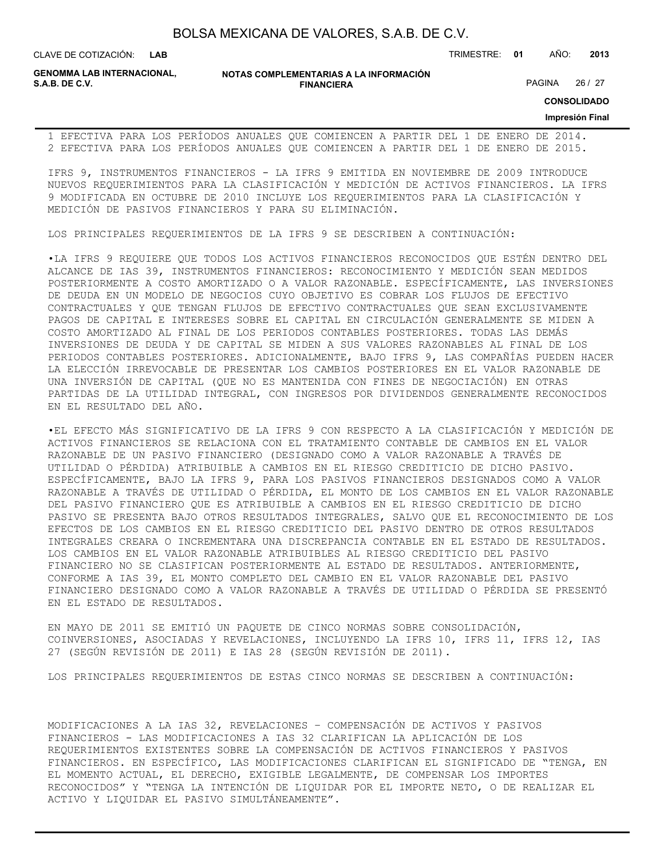**LAB**

CLAVE DE COTIZACIÓN: TRIMESTRE: **01** AÑO: **2013**

**GENOMMA LAB INTERNACIONAL,**

**NOTAS COMPLEMENTARIAS A LA INFORMACIÓN FINANCIERA**

PAGINA 26 / 27

**CONSOLIDADO**

### **Impresión Final**

1 EFECTIVA PARA LOS PERÍODOS ANUALES QUE COMIENCEN A PARTIR DEL 1 DE ENERO DE 2014. 2 EFECTIVA PARA LOS PERÍODOS ANUALES QUE COMIENCEN A PARTIR DEL 1 DE ENERO DE 2015.

IFRS 9, INSTRUMENTOS FINANCIEROS - LA IFRS 9 EMITIDA EN NOVIEMBRE DE 2009 INTRODUCE NUEVOS REQUERIMIENTOS PARA LA CLASIFICACIÓN Y MEDICIÓN DE ACTIVOS FINANCIEROS. LA IFRS 9 MODIFICADA EN OCTUBRE DE 2010 INCLUYE LOS REQUERIMIENTOS PARA LA CLASIFICACIÓN Y MEDICIÓN DE PASIVOS FINANCIEROS Y PARA SU ELIMINACIÓN.

LOS PRINCIPALES REQUERIMIENTOS DE LA IFRS 9 SE DESCRIBEN A CONTINUACIÓN:

•LA IFRS 9 REQUIERE QUE TODOS LOS ACTIVOS FINANCIEROS RECONOCIDOS QUE ESTÉN DENTRO DEL ALCANCE DE IAS 39, INSTRUMENTOS FINANCIEROS: RECONOCIMIENTO Y MEDICIÓN SEAN MEDIDOS POSTERIORMENTE A COSTO AMORTIZADO O A VALOR RAZONABLE. ESPECÍFICAMENTE, LAS INVERSIONES DE DEUDA EN UN MODELO DE NEGOCIOS CUYO OBJETIVO ES COBRAR LOS FLUJOS DE EFECTIVO CONTRACTUALES Y QUE TENGAN FLUJOS DE EFECTIVO CONTRACTUALES QUE SEAN EXCLUSIVAMENTE PAGOS DE CAPITAL E INTERESES SOBRE EL CAPITAL EN CIRCULACIÓN GENERALMENTE SE MIDEN A COSTO AMORTIZADO AL FINAL DE LOS PERIODOS CONTABLES POSTERIORES. TODAS LAS DEMÁS INVERSIONES DE DEUDA Y DE CAPITAL SE MIDEN A SUS VALORES RAZONABLES AL FINAL DE LOS PERIODOS CONTABLES POSTERIORES. ADICIONALMENTE, BAJO IFRS 9, LAS COMPAÑÍAS PUEDEN HACER LA ELECCIÓN IRREVOCABLE DE PRESENTAR LOS CAMBIOS POSTERIORES EN EL VALOR RAZONABLE DE UNA INVERSIÓN DE CAPITAL (QUE NO ES MANTENIDA CON FINES DE NEGOCIACIÓN) EN OTRAS PARTIDAS DE LA UTILIDAD INTEGRAL, CON INGRESOS POR DIVIDENDOS GENERALMENTE RECONOCIDOS EN EL RESULTADO DEL AÑO.

•EL EFECTO MÁS SIGNIFICATIVO DE LA IFRS 9 CON RESPECTO A LA CLASIFICACIÓN Y MEDICIÓN DE ACTIVOS FINANCIEROS SE RELACIONA CON EL TRATAMIENTO CONTABLE DE CAMBIOS EN EL VALOR RAZONABLE DE UN PASIVO FINANCIERO (DESIGNADO COMO A VALOR RAZONABLE A TRAVÉS DE UTILIDAD O PÉRDIDA) ATRIBUIBLE A CAMBIOS EN EL RIESGO CREDITICIO DE DICHO PASIVO. ESPECÍFICAMENTE, BAJO LA IFRS 9, PARA LOS PASIVOS FINANCIEROS DESIGNADOS COMO A VALOR RAZONABLE A TRAVÉS DE UTILIDAD O PÉRDIDA, EL MONTO DE LOS CAMBIOS EN EL VALOR RAZONABLE DEL PASIVO FINANCIERO QUE ES ATRIBUIBLE A CAMBIOS EN EL RIESGO CREDITICIO DE DICHO PASIVO SE PRESENTA BAJO OTROS RESULTADOS INTEGRALES, SALVO QUE EL RECONOCIMIENTO DE LOS EFECTOS DE LOS CAMBIOS EN EL RIESGO CREDITICIO DEL PASIVO DENTRO DE OTROS RESULTADOS INTEGRALES CREARA O INCREMENTARA UNA DISCREPANCIA CONTABLE EN EL ESTADO DE RESULTADOS. LOS CAMBIOS EN EL VALOR RAZONABLE ATRIBUIBLES AL RIESGO CREDITICIO DEL PASIVO FINANCIERO NO SE CLASIFICAN POSTERIORMENTE AL ESTADO DE RESULTADOS. ANTERIORMENTE, CONFORME A IAS 39, EL MONTO COMPLETO DEL CAMBIO EN EL VALOR RAZONABLE DEL PASIVO FINANCIERO DESIGNADO COMO A VALOR RAZONABLE A TRAVÉS DE UTILIDAD O PÉRDIDA SE PRESENTÓ EN EL ESTADO DE RESULTADOS.

EN MAYO DE 2011 SE EMITIÓ UN PAQUETE DE CINCO NORMAS SOBRE CONSOLIDACIÓN, COINVERSIONES, ASOCIADAS Y REVELACIONES, INCLUYENDO LA IFRS 10, IFRS 11, IFRS 12, IAS 27 (SEGÚN REVISIÓN DE 2011) E IAS 28 (SEGÚN REVISIÓN DE 2011).

LOS PRINCIPALES REQUERIMIENTOS DE ESTAS CINCO NORMAS SE DESCRIBEN A CONTINUACIÓN:

MODIFICACIONES A LA IAS 32, REVELACIONES – COMPENSACIÓN DE ACTIVOS Y PASIVOS FINANCIEROS - LAS MODIFICACIONES A IAS 32 CLARIFICAN LA APLICACIÓN DE LOS REQUERIMIENTOS EXISTENTES SOBRE LA COMPENSACIÓN DE ACTIVOS FINANCIEROS Y PASIVOS FINANCIEROS. EN ESPECÍFICO, LAS MODIFICACIONES CLARIFICAN EL SIGNIFICADO DE "TENGA, EN EL MOMENTO ACTUAL, EL DERECHO, EXIGIBLE LEGALMENTE, DE COMPENSAR LOS IMPORTES RECONOCIDOS" Y "TENGA LA INTENCIÓN DE LIQUIDAR POR EL IMPORTE NETO, O DE REALIZAR EL ACTIVO Y LIQUIDAR EL PASIVO SIMULTÁNEAMENTE".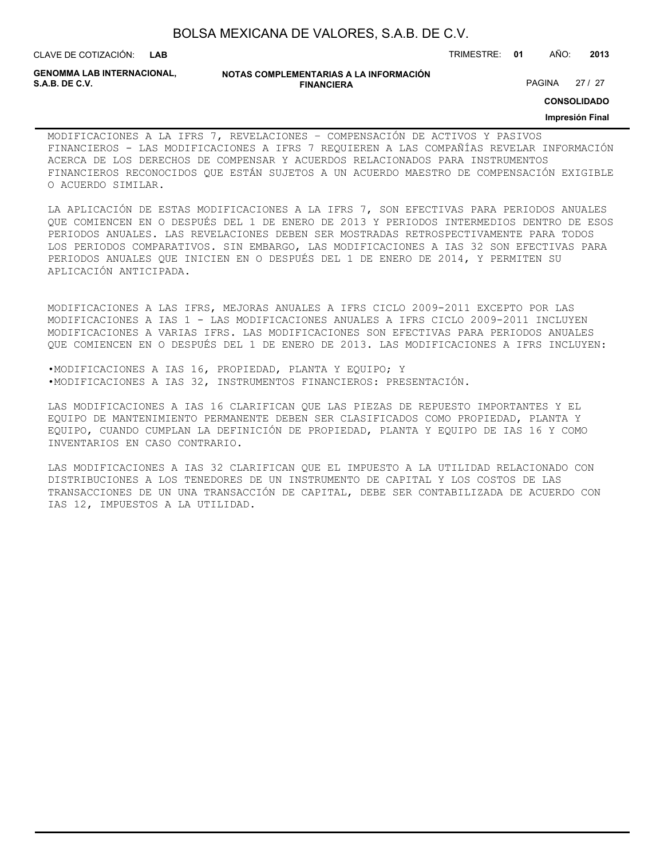| BOLSA MEXICANA DE VALORES, S.A.B. DE C.V. |  |  |  |
|-------------------------------------------|--|--|--|
|-------------------------------------------|--|--|--|

CLAVE DE COTIZACIÓN: TRIMESTRE: **01** AÑO: **2013**

**GENOMMA LAB INTERNACIONAL,**

### **NOTAS COMPLEMENTARIAS A LA INFORMACIÓN FINANCIERA**

PAGINA 27 / 27

**CONSOLIDADO**

### **Impresión Final**

MODIFICACIONES A LA IFRS 7, REVELACIONES – COMPENSACIÓN DE ACTIVOS Y PASIVOS FINANCIEROS - LAS MODIFICACIONES A IFRS 7 REQUIEREN A LAS COMPAÑÍAS REVELAR INFORMACIÓN ACERCA DE LOS DERECHOS DE COMPENSAR Y ACUERDOS RELACIONADOS PARA INSTRUMENTOS FINANCIEROS RECONOCIDOS QUE ESTÁN SUJETOS A UN ACUERDO MAESTRO DE COMPENSACIÓN EXIGIBLE O ACUERDO SIMILAR.

LA APLICACIÓN DE ESTAS MODIFICACIONES A LA IFRS 7, SON EFECTIVAS PARA PERIODOS ANUALES QUE COMIENCEN EN O DESPUÉS DEL 1 DE ENERO DE 2013 Y PERIODOS INTERMEDIOS DENTRO DE ESOS PERIODOS ANUALES. LAS REVELACIONES DEBEN SER MOSTRADAS RETROSPECTIVAMENTE PARA TODOS LOS PERIODOS COMPARATIVOS. SIN EMBARGO, LAS MODIFICACIONES A IAS 32 SON EFECTIVAS PARA PERIODOS ANUALES QUE INICIEN EN O DESPUÉS DEL 1 DE ENERO DE 2014, Y PERMITEN SU APLICACIÓN ANTICIPADA.

MODIFICACIONES A LAS IFRS, MEJORAS ANUALES A IFRS CICLO 2009-2011 EXCEPTO POR LAS MODIFICACIONES A IAS 1 - LAS MODIFICACIONES ANUALES A IFRS CICLO 2009-2011 INCLUYEN MODIFICACIONES A VARIAS IFRS. LAS MODIFICACIONES SON EFECTIVAS PARA PERIODOS ANUALES QUE COMIENCEN EN O DESPUÉS DEL 1 DE ENERO DE 2013. LAS MODIFICACIONES A IFRS INCLUYEN:

•MODIFICACIONES A IAS 16, PROPIEDAD, PLANTA Y EQUIPO; Y •MODIFICACIONES A IAS 32, INSTRUMENTOS FINANCIEROS: PRESENTACIÓN.

LAS MODIFICACIONES A IAS 16 CLARIFICAN QUE LAS PIEZAS DE REPUESTO IMPORTANTES Y EL EQUIPO DE MANTENIMIENTO PERMANENTE DEBEN SER CLASIFICADOS COMO PROPIEDAD, PLANTA Y EQUIPO, CUANDO CUMPLAN LA DEFINICIÓN DE PROPIEDAD, PLANTA Y EQUIPO DE IAS 16 Y COMO INVENTARIOS EN CASO CONTRARIO.

LAS MODIFICACIONES A IAS 32 CLARIFICAN QUE EL IMPUESTO A LA UTILIDAD RELACIONADO CON DISTRIBUCIONES A LOS TENEDORES DE UN INSTRUMENTO DE CAPITAL Y LOS COSTOS DE LAS TRANSACCIONES DE UN UNA TRANSACCIÓN DE CAPITAL, DEBE SER CONTABILIZADA DE ACUERDO CON IAS 12, IMPUESTOS A LA UTILIDAD.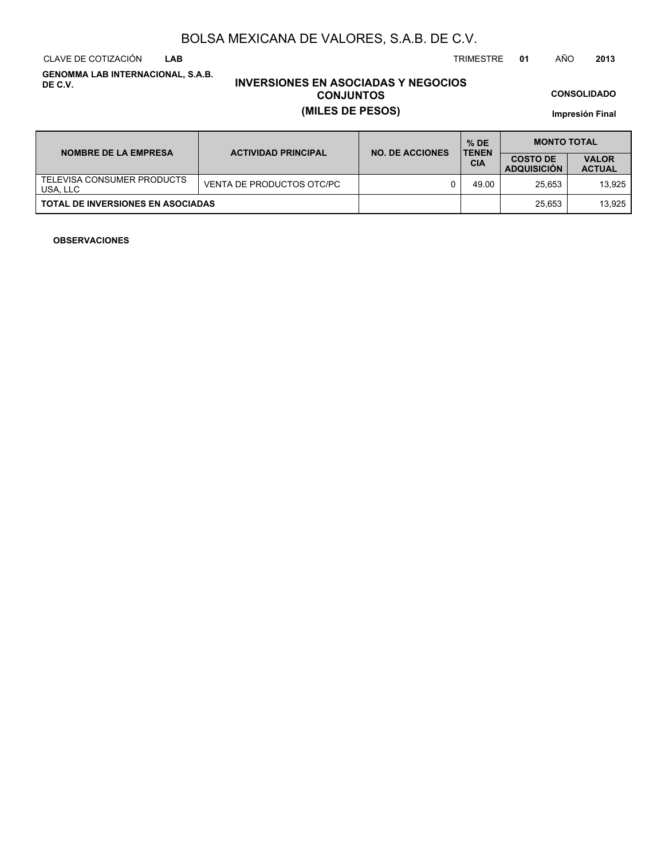CLAVE DE COTIZACIÓN TRIMESTRE **01** AÑO **2013 LAB**

**GENOMMA LAB INTERNACIONAL, S.A.B. DE C.V.**

### **INVERSIONES EN ASOCIADAS Y NEGOCIOS CONJUNTOS (MILES DE PESOS)**

**CONSOLIDADO**

**Impresión Final**

| <b>NOMBRE DE LA EMPRESA</b>              | <b>ACTIVIDAD PRINCIPAL</b> | <b>NO. DE ACCIONES</b> | $%$ DE<br><b>TENEN</b> | <b>MONTO TOTAL</b>                    |                               |  |
|------------------------------------------|----------------------------|------------------------|------------------------|---------------------------------------|-------------------------------|--|
|                                          |                            |                        | <b>CIA</b>             | <b>COSTO DE</b><br><b>ADQUISICION</b> | <b>VALOR</b><br><b>ACTUAL</b> |  |
| TELEVISA CONSUMER PRODUCTS<br>USA, LLC   | VENTA DE PRODUCTOS OTC/PC  |                        | 49.00                  | 25.653                                | 13.925                        |  |
| <b>TOTAL DE INVERSIONES EN ASOCIADAS</b> |                            |                        |                        | 25.653                                | 13.925                        |  |

### **OBSERVACIONES**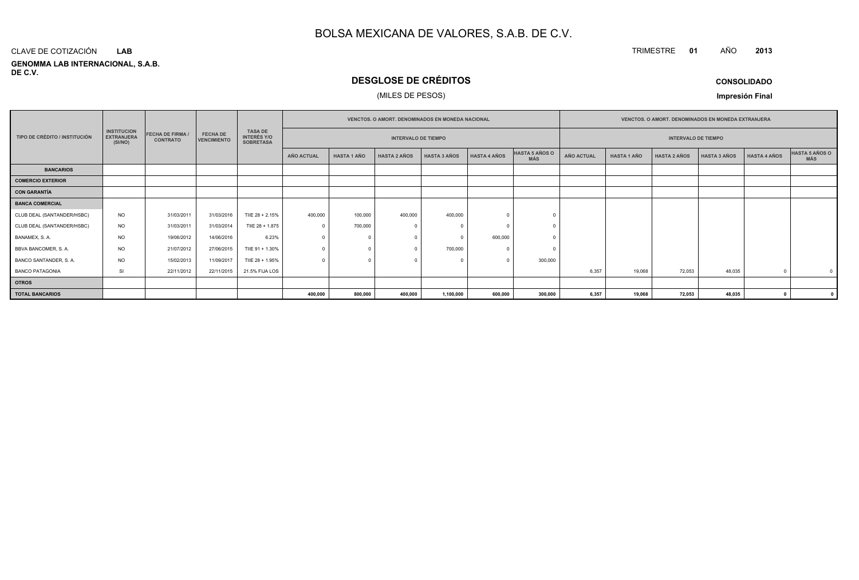#### **GENOMMA LAB INTERNACIONAL, S.A.B. DE C.V.**CLAVE DE COTIZACIÓN**LAB**

### **DESGLOSE DE CRÉDITOS**

### (MILES DE PESOS)

**CONSOLIDADO**

**<sup>2013</sup>**

TRIMESTRE **<sup>01</sup>** AÑO

**Impresión Final**

|                               |                                                    |                                          |                                       |                                                          |                                                          |                    |                     | <b>VENCTOS, O AMORT, DENOMINADOS EN MONEDA NACIONAL</b> |                     |                              |            |                    | <b>VENCTOS, O AMORT, DENOMINADOS EN MONEDA EXTRANJERA</b> |                     |                     |                              |
|-------------------------------|----------------------------------------------------|------------------------------------------|---------------------------------------|----------------------------------------------------------|----------------------------------------------------------|--------------------|---------------------|---------------------------------------------------------|---------------------|------------------------------|------------|--------------------|-----------------------------------------------------------|---------------------|---------------------|------------------------------|
| TIPO DE CRÉDITO / INSTITUCIÓN | <b>INSTITUCION</b><br><b>EXTRANJERA</b><br>(SI/NO) | <b>FECHA DE FIRMA</b><br><b>CONTRATO</b> | <b>FECHA DE</b><br><b>VENCIMIENTO</b> | <b>TASA DE</b><br><b>INTERÉS Y/O</b><br><b>SOBRETASA</b> | <b>INTERVALO DE TIEMPO</b><br><b>INTERVALO DE TIEMPO</b> |                    |                     |                                                         |                     |                              |            |                    |                                                           |                     |                     |                              |
|                               |                                                    |                                          |                                       |                                                          | <b>AÑO ACTUAL</b>                                        | <b>HASTA 1 AÑO</b> | <b>HASTA 2 AÑOS</b> | <b>HASTA 3 AÑOS</b>                                     | <b>HASTA 4 AÑOS</b> | HASTA 5 AÑOS O<br><b>MÁS</b> | AÑO ACTUAL | <b>HASTA 1 AÑO</b> | <b>HASTA 2 AÑOS</b>                                       | <b>HASTA 3 AÑOS</b> | <b>HASTA 4 AÑOS</b> | HASTA 5 AÑOS O<br><b>MÁS</b> |
| <b>BANCARIOS</b>              |                                                    |                                          |                                       |                                                          |                                                          |                    |                     |                                                         |                     |                              |            |                    |                                                           |                     |                     |                              |
| <b>COMERCIO EXTERIOR</b>      |                                                    |                                          |                                       |                                                          |                                                          |                    |                     |                                                         |                     |                              |            |                    |                                                           |                     |                     |                              |
| <b>CON GARANTÍA</b>           |                                                    |                                          |                                       |                                                          |                                                          |                    |                     |                                                         |                     |                              |            |                    |                                                           |                     |                     |                              |
| <b>BANCA COMERCIAL</b>        |                                                    |                                          |                                       |                                                          |                                                          |                    |                     |                                                         |                     |                              |            |                    |                                                           |                     |                     |                              |
| CLUB DEAL (SANTANDER/HSBC)    | NO.                                                | 31/03/2011                               | 31/03/2016                            | TIIE 28 + 2.15%                                          | 400,000                                                  | 100,000            | 400,000             | 400,000                                                 |                     |                              |            |                    |                                                           |                     |                     |                              |
| CLUB DEAL (SANTANDER/HSBC)    | <b>NO</b>                                          | 31/03/2011                               | 31/03/2014                            | TIIE 28 + 1.875                                          | $\Omega$                                                 | 700,000            |                     |                                                         |                     |                              |            |                    |                                                           |                     |                     |                              |
| BANAMEX, S. A.                | NO.                                                | 19/06/2012                               | 14/06/2016                            | 6.23%                                                    | $\Omega$                                                 | $\Omega$           |                     |                                                         | 600,000             |                              |            |                    |                                                           |                     |                     |                              |
| BBVA BANCOMER, S. A.          | <b>NO</b>                                          | 21/07/2012                               | 27/06/2015                            | TIIE 91 + 1.30%                                          |                                                          |                    |                     | 700,000                                                 |                     |                              |            |                    |                                                           |                     |                     |                              |
| BANCO SANTANDER, S.A.         | NO.                                                | 15/02/2013                               | 11/09/2017                            | TIIE 28 + 1.95%                                          | $\Omega$                                                 | $\Omega$           |                     |                                                         |                     | 300,000                      |            |                    |                                                           |                     |                     |                              |
| <b>BANCO PATAGONIA</b>        | SI                                                 | 22/11/2012                               | 22/11/2015                            | 21.5% FIJA LOS                                           |                                                          |                    |                     |                                                         |                     |                              | 6,357      | 19,068             | 72,053                                                    | 48,035              |                     | $^{\circ}$                   |
| <b>OTROS</b>                  |                                                    |                                          |                                       |                                                          |                                                          |                    |                     |                                                         |                     |                              |            |                    |                                                           |                     |                     |                              |
| <b>TOTAL BANCARIOS</b>        |                                                    |                                          |                                       |                                                          | 400,000                                                  | 800,000            | 400,000             | 1,100,000                                               | 600,000             | 300,000                      | 6,357      | 19,068             | 72,053                                                    | 48,035              |                     |                              |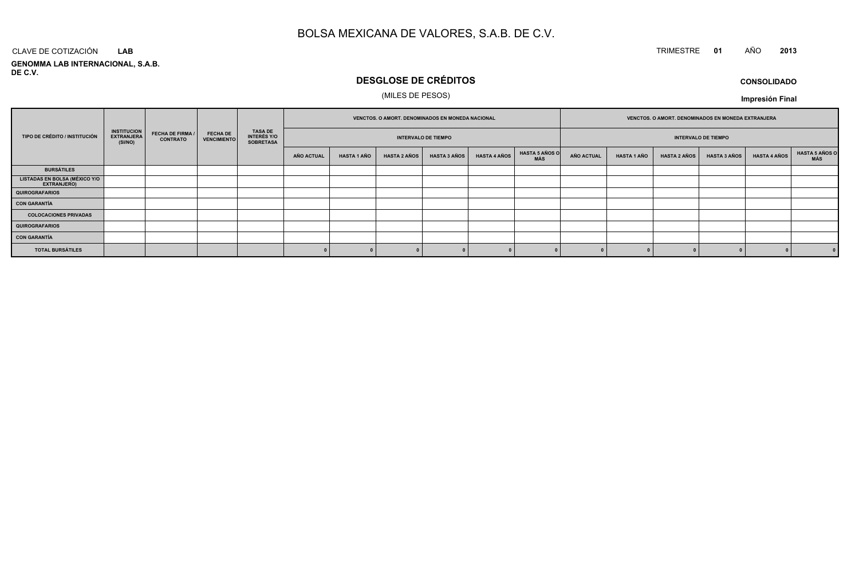### TRIMESTRE **<sup>01</sup>** AÑO **<sup>2013</sup>**

**GENOMMA LAB INTERNACIONAL, S.A.B. DE C.V.**CLAVE DE COTIZACIÓN**LAB**

### **DESGLOSE DE CRÉDITOS**

### (MILES DE PESOS)

**CONSOLIDADOImpresión Final**

| TIPO DE CRÉDITO / INSTITUCIÓN                |                                                    | <b>FECHA DE FIRMA /</b><br><b>CONTRATO</b> |                                       |                                                          | VENCTOS. O AMORT. DENOMINADOS EN MONEDA NACIONAL<br><b>INTERVALO DE TIEMPO</b> |                    |                     |                     | VENCTOS. O AMORT. DENOMINADOS EN MONEDA EXTRANJERA |                              |                   |                    |                     |                     |                     |                       |
|----------------------------------------------|----------------------------------------------------|--------------------------------------------|---------------------------------------|----------------------------------------------------------|--------------------------------------------------------------------------------|--------------------|---------------------|---------------------|----------------------------------------------------|------------------------------|-------------------|--------------------|---------------------|---------------------|---------------------|-----------------------|
|                                              | <b>INSTITUCION</b><br><b>EXTRANJERA</b><br>(SI/NO) |                                            | <b>FECHA DE</b><br><b>VENCIMIENTO</b> | <b>TASA DE</b><br><b>INTERÉS Y/O</b><br><b>SOBRETASA</b> |                                                                                |                    |                     |                     |                                                    | <b>INTERVALO DE TIEMPO</b>   |                   |                    |                     |                     |                     |                       |
|                                              |                                                    |                                            |                                       |                                                          | AÑO ACTUAL                                                                     | <b>HASTA 1 AÑO</b> | <b>HASTA 2 AÑOS</b> | <b>HASTA 3 AÑOS</b> | <b>HASTA 4 AÑOS</b>                                | <b>HASTA 5 AÑOS O</b><br>MÁS | <b>AÑO ACTUAL</b> | <b>HASTA 1 AÑO</b> | <b>HASTA 2 AÑOS</b> | <b>HASTA 3 AÑOS</b> | <b>HASTA 4 AÑOS</b> | HASTA 5 AÑOS C<br>MÁS |
| <b>BURSÁTILES</b>                            |                                                    |                                            |                                       |                                                          |                                                                                |                    |                     |                     |                                                    |                              |                   |                    |                     |                     |                     |                       |
| LISTADAS EN BOLSA (MÉXICO Y/O<br>EXTRANJERO) |                                                    |                                            |                                       |                                                          |                                                                                |                    |                     |                     |                                                    |                              |                   |                    |                     |                     |                     |                       |
| <b>QUIROGRAFARIOS</b>                        |                                                    |                                            |                                       |                                                          |                                                                                |                    |                     |                     |                                                    |                              |                   |                    |                     |                     |                     |                       |
| <b>CON GARANTÍA</b>                          |                                                    |                                            |                                       |                                                          |                                                                                |                    |                     |                     |                                                    |                              |                   |                    |                     |                     |                     |                       |
| <b>COLOCACIONES PRIVADAS</b>                 |                                                    |                                            |                                       |                                                          |                                                                                |                    |                     |                     |                                                    |                              |                   |                    |                     |                     |                     |                       |
| <b>QUIROGRAFARIOS</b>                        |                                                    |                                            |                                       |                                                          |                                                                                |                    |                     |                     |                                                    |                              |                   |                    |                     |                     |                     |                       |
| <b>CON GARANTÍA</b>                          |                                                    |                                            |                                       |                                                          |                                                                                |                    |                     |                     |                                                    |                              |                   |                    |                     |                     |                     |                       |
| <b>TOTAL BURSÁTILES</b>                      |                                                    |                                            |                                       |                                                          |                                                                                |                    |                     |                     |                                                    |                              |                   |                    |                     |                     |                     | 0                     |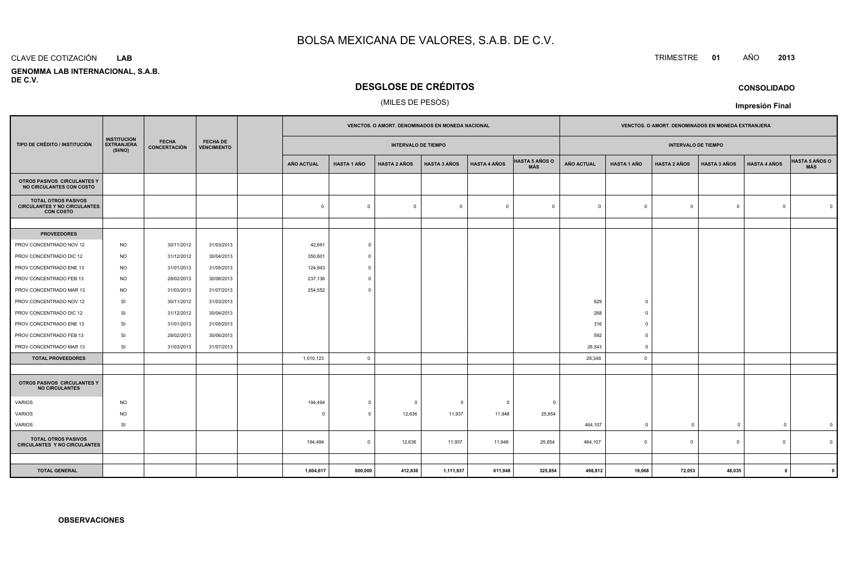#### CLAVE DE COTIZACIÓN**LAB**

 **GENOMMA LAB INTERNACIONAL, S.A.B.DE C.V.**

### **DESGLOSE DE CRÉDITOS**

### (MILES DE PESOS)

|                                                                                       |                                                    | <b>FECHA</b><br><b>FECHA DE</b><br><b>CONCERTACIÓN</b><br><b>VENCIMIENTO</b> |            |                            |                         |                     |                         | VENCTOS. O AMORT. DENOMINADOS EN MONEDA NACIONAL |                              |                            |                    |                     |                     |                     | VENCTOS. O AMORT. DENOMINADOS EN MONEDA EXTRANJERA |  |  |
|---------------------------------------------------------------------------------------|----------------------------------------------------|------------------------------------------------------------------------------|------------|----------------------------|-------------------------|---------------------|-------------------------|--------------------------------------------------|------------------------------|----------------------------|--------------------|---------------------|---------------------|---------------------|----------------------------------------------------|--|--|
| TIPO DE CRÉDITO / INSTITUCIÓN                                                         | <b>INSTITUCION</b><br><b>EXTRANJERA</b><br>(SI/NO) |                                                                              |            | <b>INTERVALO DE TIEMPO</b> |                         |                     |                         |                                                  |                              | <b>INTERVALO DE TIEMPO</b> |                    |                     |                     |                     |                                                    |  |  |
|                                                                                       |                                                    |                                                                              |            | <b>AÑO ACTUAL</b>          | <b>HASTA 1 AÑO</b>      | <b>HASTA 2 AÑOS</b> | <b>HASTA 3 AÑOS</b>     | <b>HASTA 4 AÑOS</b>                              | <b>HASTA 5 AÑOS O</b><br>MÁS | AÑO ACTUAL                 | <b>HASTA 1 AÑO</b> | <b>HASTA 2 AÑOS</b> | <b>HASTA 3 AÑOS</b> | <b>HASTA 4 AÑOS</b> | HASTA 5 AÑOS O                                     |  |  |
| OTROS PASIVOS CIRCULANTES Y<br>NO CIRCULANTES CON COSTO                               |                                                    |                                                                              |            |                            |                         |                     |                         |                                                  |                              |                            |                    |                     |                     |                     |                                                    |  |  |
| <b>TOTAL OTROS PASIVOS</b><br><b>CIRCULANTES Y NO CIRCULANTES</b><br><b>CON COSTO</b> |                                                    |                                                                              |            | $\mathbf 0$                | $\Omega$                | $\mathbf 0$         | $\overline{0}$          | $\overline{0}$                                   | $\overline{0}$               | $\Omega$                   | $\overline{0}$     | $\Omega$            | $\mathsf 0$         | $\Omega$            | $\Omega$                                           |  |  |
|                                                                                       |                                                    |                                                                              |            |                            |                         |                     |                         |                                                  |                              |                            |                    |                     |                     |                     |                                                    |  |  |
| <b>PROVEEDORES</b>                                                                    |                                                    |                                                                              |            |                            |                         |                     |                         |                                                  |                              |                            |                    |                     |                     |                     |                                                    |  |  |
| PROV CONCENTRADO NOV 12                                                               | <b>NO</b>                                          | 30/11/2012                                                                   | 31/03/2013 | 42,691                     | $\circ$                 |                     |                         |                                                  |                              |                            |                    |                     |                     |                     |                                                    |  |  |
| PROV CONCENTRADO DIC 12                                                               | <b>NO</b>                                          | 31/12/2012                                                                   | 30/04/2013 | 350,801                    | $\Omega$                |                     |                         |                                                  |                              |                            |                    |                     |                     |                     |                                                    |  |  |
| PROV CONCENTRADO ENE 13                                                               | <b>NO</b>                                          | 31/01/2013                                                                   | 31/05/2013 | 124,943                    | $\Omega$                |                     |                         |                                                  |                              |                            |                    |                     |                     |                     |                                                    |  |  |
| PROV CONCENTRADO FEB 13                                                               | <b>NO</b>                                          | 28/02/2013                                                                   | 30/06/2013 | 237,136                    | $\Omega$                |                     |                         |                                                  |                              |                            |                    |                     |                     |                     |                                                    |  |  |
| PROV CONCENTRADO MAR 13                                                               | <b>NO</b>                                          | 31/03/2013                                                                   | 31/07/2013 | 254,552                    | $\Omega$                |                     |                         |                                                  |                              |                            |                    |                     |                     |                     |                                                    |  |  |
| PROV CONCENTRADO NOV 12                                                               | SI                                                 | 30/11/2012                                                                   | 31/03/2013 |                            |                         |                     |                         |                                                  |                              | 629                        | $\Omega$           |                     |                     |                     |                                                    |  |  |
| PROV CONCENTRADO DIC 12                                                               | SI                                                 | 31/12/2012                                                                   | 30/04/2013 |                            |                         |                     |                         |                                                  |                              | 268                        | $\overline{0}$     |                     |                     |                     |                                                    |  |  |
| PROV CONCENTRADO ENE 13                                                               | SI                                                 | 31/01/2013                                                                   | 31/05/2013 |                            |                         |                     |                         |                                                  |                              | 316                        | $\Omega$           |                     |                     |                     |                                                    |  |  |
| PROV CONCENTRADO FEB 13                                                               | <b>SI</b>                                          | 28/02/2013                                                                   | 30/06/2013 |                            |                         |                     |                         |                                                  |                              | 592                        | $\overline{0}$     |                     |                     |                     |                                                    |  |  |
| PROV CONCENTRADO MAR 13                                                               | SI                                                 | 31/03/2013                                                                   | 31/07/2013 |                            |                         |                     |                         |                                                  |                              | 26,543                     | $\Omega$           |                     |                     |                     |                                                    |  |  |
| <b>TOTAL PROVEEDORES</b>                                                              |                                                    |                                                                              |            | 1,010,123                  | $\Omega$                |                     |                         |                                                  |                              | 28,348                     | $\circ$            |                     |                     |                     |                                                    |  |  |
|                                                                                       |                                                    |                                                                              |            |                            |                         |                     |                         |                                                  |                              |                            |                    |                     |                     |                     |                                                    |  |  |
| OTROS PASIVOS CIRCULANTES Y<br><b>NO CIRCULANTES</b>                                  |                                                    |                                                                              |            |                            |                         |                     |                         |                                                  |                              |                            |                    |                     |                     |                     |                                                    |  |  |
| VARIOS                                                                                | <b>NO</b>                                          |                                                                              |            | 194,494                    | $\mathbf 0$             | $\overline{0}$      | $\overline{\mathbf{0}}$ | $^{\circ}$                                       | $\Omega$                     |                            |                    |                     |                     |                     |                                                    |  |  |
| <b>VARIOS</b>                                                                         | <b>NO</b>                                          |                                                                              |            | $\Omega$                   | $\Omega$                | 12,636              | 11,937                  | 11,948                                           | 25,854                       |                            |                    |                     |                     |                     |                                                    |  |  |
| VARIOS                                                                                | SI                                                 |                                                                              |            |                            |                         |                     |                         |                                                  |                              | 464,107                    | $\overline{0}$     | $\overline{0}$      | $\mathbf 0$         | $\overline{0}$      | $\mathbf 0$                                        |  |  |
| <b>TOTAL OTROS PASIVOS</b><br><b>CIRCULANTES Y NO CIRCULANTES</b>                     |                                                    |                                                                              |            | 194,494                    | $\overline{\mathbf{0}}$ | 12,636              | 11,937                  | 11,948                                           | 25,854                       | 464,107                    | $\mathbf 0$        | $\Omega$            | $\mathbf 0$         | $\mathbf 0$         | $\Omega$                                           |  |  |
|                                                                                       |                                                    |                                                                              |            |                            |                         |                     |                         |                                                  |                              |                            |                    |                     |                     |                     |                                                    |  |  |
| <b>TOTAL GENERAL</b>                                                                  |                                                    |                                                                              |            | 1,604,617                  | 800,000                 | 412,636             | 1,111,937               | 611,948                                          | 325,854                      | 498,812                    | 19,068             | 72,053              | 48,035              | $\mathbf{0}$        |                                                    |  |  |

### TRIMESTRE **<sup>01</sup>** AÑO **<sup>2013</sup>**

**CONSOLIDADO**

**Impresión Final**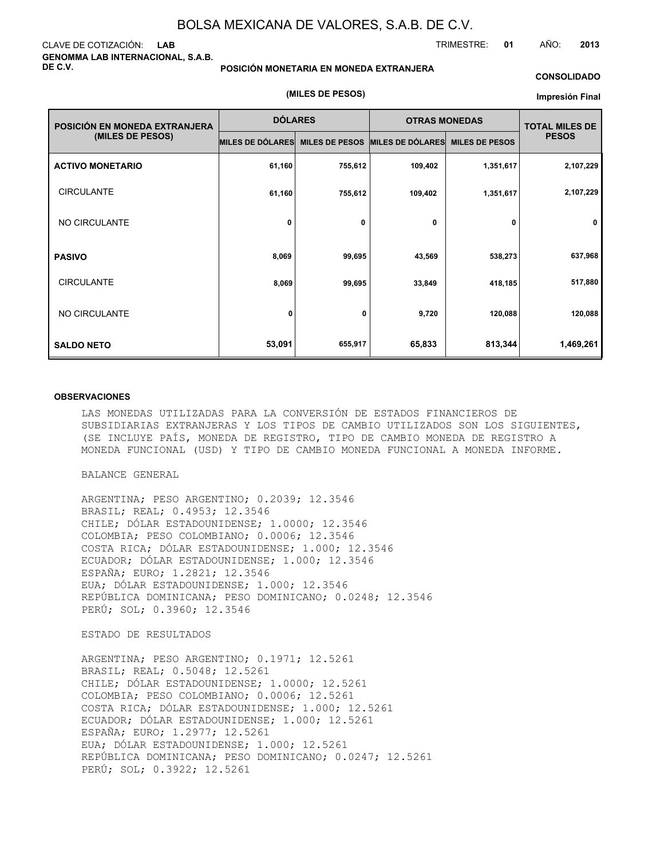### CLAVE DE COTIZACIÓN: **LAB GENOMMA LAB INTERNACIONAL, S.A.B. DE C.V.**

**POSICIÓN MONETARIA EN MONEDA EXTRANJERA**

### **CONSOLIDADO**

### **(MILES DE PESOS)**

#### **Impresión Final**

| POSICIÓN EN MONEDA EXTRANJERA | <b>DÓLARES</b>   |                       | <b>OTRAS MONEDAS</b> | <b>TOTAL MILES DE</b> |              |
|-------------------------------|------------------|-----------------------|----------------------|-----------------------|--------------|
| (MILES DE PESOS)              | MILES DE DÓLARES | <b>MILES DE PESOS</b> | MILES DE DÓLARES     | <b>MILES DE PESOS</b> | <b>PESOS</b> |
| <b>ACTIVO MONETARIO</b>       | 61,160           | 755,612               | 109,402              | 1,351,617             | 2,107,229    |
| <b>CIRCULANTE</b>             | 61,160           | 755,612               | 109,402              | 1,351,617             | 2,107,229    |
| NO CIRCULANTE                 | 0                | 0                     | 0                    | 0                     | $\mathbf 0$  |
| <b>PASIVO</b>                 | 8,069            | 99,695                | 43,569               | 538,273               | 637,968      |
| <b>CIRCULANTE</b>             | 8,069            | 99,695                | 33,849               | 418,185               | 517,880      |
| NO CIRCULANTE                 | 0                | 0                     | 9,720                | 120,088               | 120,088      |
| <b>SALDO NETO</b>             | 53,091           | 655,917               | 65,833               | 813,344               | 1,469,261    |

#### **OBSERVACIONES**

LAS MONEDAS UTILIZADAS PARA LA CONVERSIÓN DE ESTADOS FINANCIEROS DE SUBSIDIARIAS EXTRANJERAS Y LOS TIPOS DE CAMBIO UTILIZADOS SON LOS SIGUIENTES, (SE INCLUYE PAÍS, MONEDA DE REGISTRO, TIPO DE CAMBIO MONEDA DE REGISTRO A MONEDA FUNCIONAL (USD) Y TIPO DE CAMBIO MONEDA FUNCIONAL A MONEDA INFORME.

### BALANCE GENERAL

ARGENTINA; PESO ARGENTINO; 0.2039; 12.3546 BRASIL; REAL; 0.4953; 12.3546 CHILE; DÓLAR ESTADOUNIDENSE; 1.0000; 12.3546 COLOMBIA; PESO COLOMBIANO; 0.0006; 12.3546 COSTA RICA; DÓLAR ESTADOUNIDENSE; 1.000; 12.3546 ECUADOR; DÓLAR ESTADOUNIDENSE; 1.000; 12.3546 ESPAÑA; EURO; 1.2821; 12.3546 EUA; DÓLAR ESTADOUNIDENSE; 1.000; 12.3546 REPÚBLICA DOMINICANA; PESO DOMINICANO; 0.0248; 12.3546 PERÚ; SOL; 0.3960; 12.3546

### ESTADO DE RESULTADOS

ARGENTINA; PESO ARGENTINO; 0.1971; 12.5261 BRASIL; REAL; 0.5048; 12.5261 CHILE; DÓLAR ESTADOUNIDENSE; 1.0000; 12.5261 COLOMBIA; PESO COLOMBIANO; 0.0006; 12.5261 COSTA RICA; DÓLAR ESTADOUNIDENSE; 1.000; 12.5261 ECUADOR; DÓLAR ESTADOUNIDENSE; 1.000; 12.5261 ESPAÑA; EURO; 1.2977; 12.5261 EUA; DÓLAR ESTADOUNIDENSE; 1.000; 12.5261 REPÚBLICA DOMINICANA; PESO DOMINICANO; 0.0247; 12.5261 PERÚ; SOL; 0.3922; 12.5261

TRIMESTRE: **01** AÑO: **2013**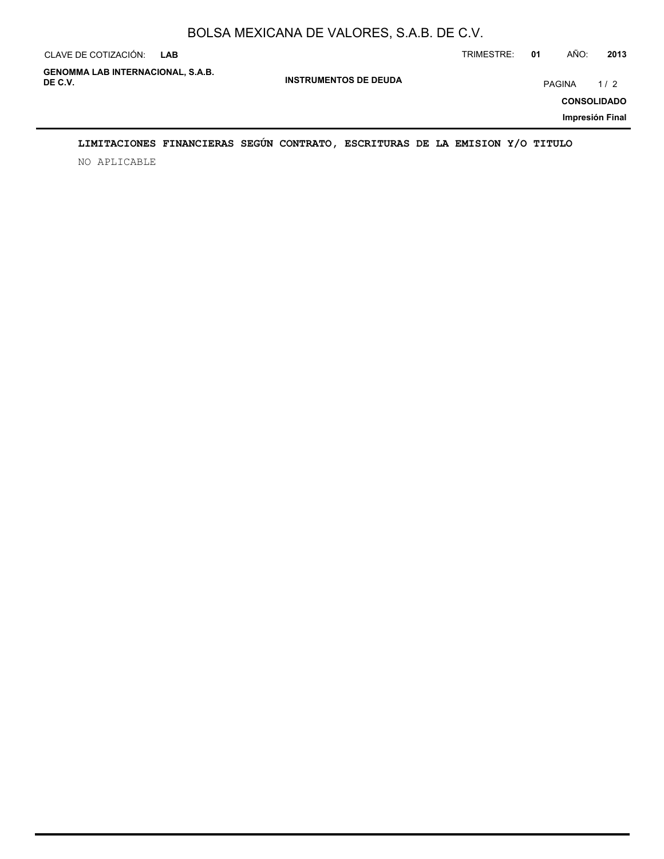| CLAVE DE COTIZACIÓN:                                | <b>LAB</b> |                              | TRIMESTRE: | 01     | AÑO: | 2013                      |
|-----------------------------------------------------|------------|------------------------------|------------|--------|------|---------------------------|
| <b>GENOMMA LAB INTERNACIONAL, S.A.B.</b><br>DE C.V. |            | <b>INSTRUMENTOS DE DEUDA</b> |            | PAGINA |      | 1/2<br><b>CONSOLIDADO</b> |
|                                                     |            |                              |            |        |      | Impresión Final           |

### **LIMITACIONES FINANCIERAS SEGÚN CONTRATO, ESCRITURAS DE LA EMISION Y/O TITULO**

NO APLICABLE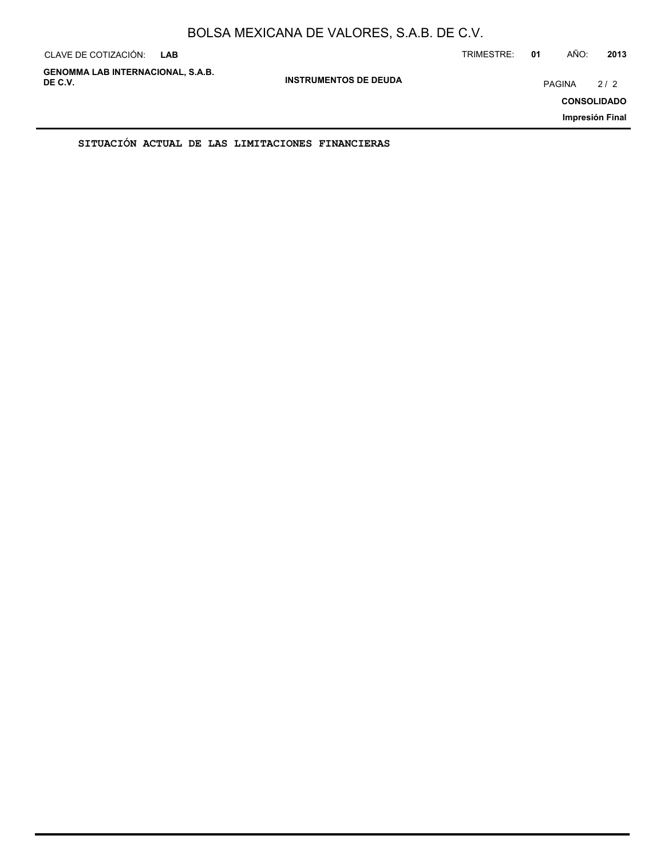| CLAVE DE COTIZACIÓN:                                | <b>LAB</b> |                              | TRIMESTRE: | 01            | AÑO: | 2013                                         |
|-----------------------------------------------------|------------|------------------------------|------------|---------------|------|----------------------------------------------|
| <b>GENOMMA LAB INTERNACIONAL, S.A.B.</b><br>DE C.V. |            | <b>INSTRUMENTOS DE DEUDA</b> |            | <b>PAGINA</b> |      | 2/2<br><b>CONSOLIDADO</b><br>Impresión Final |
|                                                     |            |                              |            |               |      |                                              |

**SITUACIÓN ACTUAL DE LAS LIMITACIONES FINANCIERAS**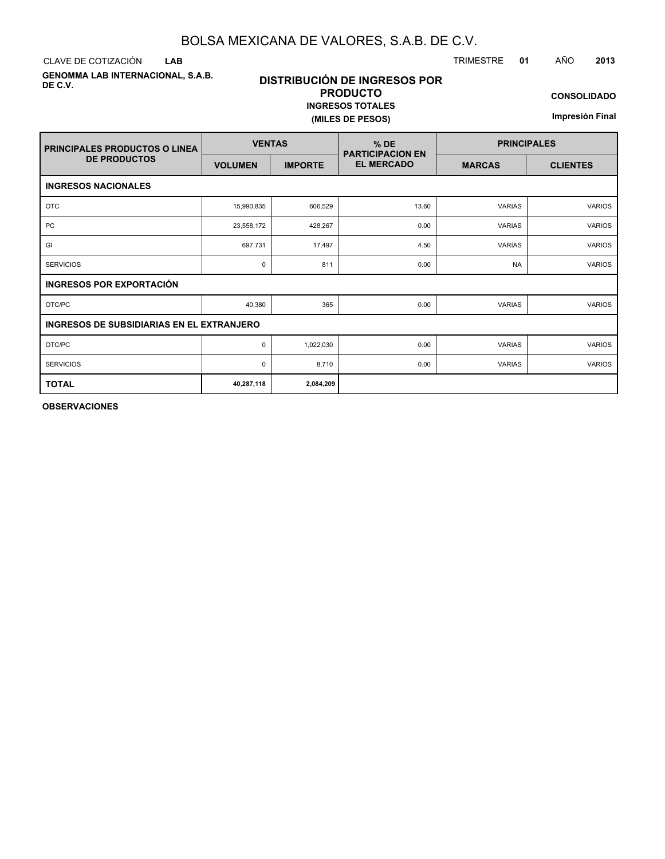**LAB**

**GENOMMA LAB INTERNACIONAL, S.A.B. DE C.V.**

### **DISTRIBUCIÓN DE INGRESOS POR PRODUCTO INGRESOS TOTALES (MILES DE PESOS)**

**CONSOLIDADO**

**Impresión Final**

| <b>PRINCIPALES PRODUCTOS O LINEA</b>             | <b>VENTAS</b>  |                                                                         | $%$ DE<br><b>PARTICIPACION EN</b> | <b>PRINCIPALES</b> |               |  |  |  |  |  |  |
|--------------------------------------------------|----------------|-------------------------------------------------------------------------|-----------------------------------|--------------------|---------------|--|--|--|--|--|--|
| <b>DE PRODUCTOS</b>                              | <b>VOLUMEN</b> | <b>EL MERCADO</b><br><b>IMPORTE</b><br><b>CLIENTES</b><br><b>MARCAS</b> |                                   |                    |               |  |  |  |  |  |  |
| <b>INGRESOS NACIONALES</b>                       |                |                                                                         |                                   |                    |               |  |  |  |  |  |  |
| <b>OTC</b>                                       | 15,990,835     | 606,529                                                                 | 13.60                             | <b>VARIAS</b>      | <b>VARIOS</b> |  |  |  |  |  |  |
| PC                                               | 23,558,172     | 428,267                                                                 | 0.00                              | <b>VARIAS</b>      | <b>VARIOS</b> |  |  |  |  |  |  |
| GI                                               | 697,731        | 17,497                                                                  | 4.50                              | <b>VARIAS</b>      | <b>VARIOS</b> |  |  |  |  |  |  |
| <b>SERVICIOS</b>                                 | 0              | 811                                                                     | 0.00                              | <b>NA</b>          | <b>VARIOS</b> |  |  |  |  |  |  |
| <b>INGRESOS POR EXPORTACIÓN</b>                  |                |                                                                         |                                   |                    |               |  |  |  |  |  |  |
| OTC/PC                                           | 40,380         | 365                                                                     | 0.00                              | <b>VARIAS</b>      | <b>VARIOS</b> |  |  |  |  |  |  |
| <b>INGRESOS DE SUBSIDIARIAS EN EL EXTRANJERO</b> |                |                                                                         |                                   |                    |               |  |  |  |  |  |  |
| OTC/PC                                           | $\mathbf 0$    | 1,022,030                                                               | 0.00                              | <b>VARIAS</b>      | <b>VARIOS</b> |  |  |  |  |  |  |
| <b>SERVICIOS</b>                                 | $\mathbf 0$    | 8,710                                                                   | 0.00                              | <b>VARIAS</b>      | <b>VARIOS</b> |  |  |  |  |  |  |
| <b>TOTAL</b>                                     | 40,287,118     | 2,084,209                                                               |                                   |                    |               |  |  |  |  |  |  |

**OBSERVACIONES**

CLAVE DE COTIZACIÓN TRIMESTRE **01** AÑO **2013**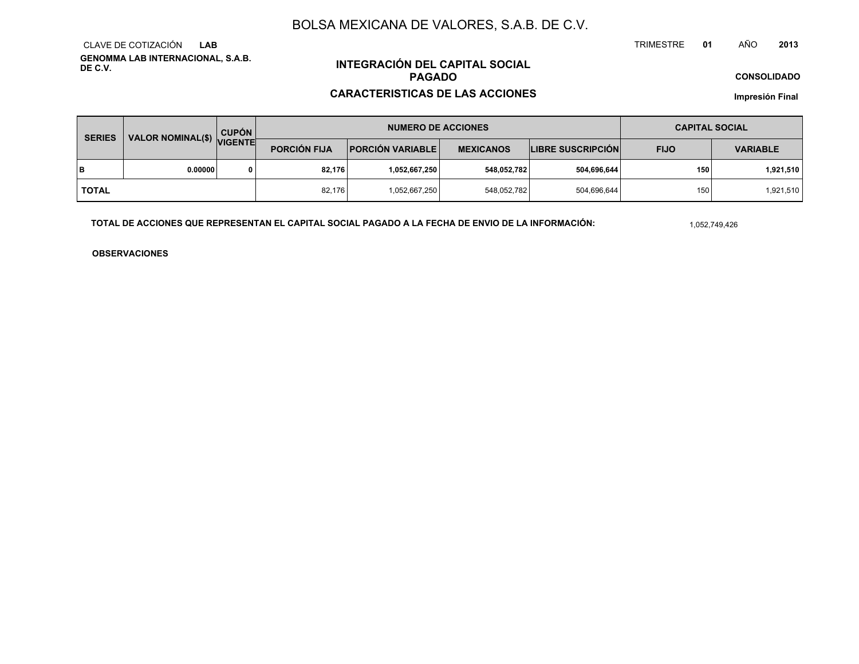**GENOMMA LAB INTERNACIONAL, S.A.B. DE C.V.**CLAVE DE COTIZACIÓN**LAB**

## **INTEGRACIÓN DEL CAPITAL SOCIALPAGADO**

### **CARACTERISTICAS DE LAS ACCIONES**

**CONSOLIDADO**

**Impresión Final**

| VALOR NOMINAL(\$) VIGENTE<br><b>SERIES</b> |         | <b>CUPÓN</b> |                     | <b>NUMERO DE ACCIONES</b> | <b>CAPITAL SOCIAL</b> |                          |             |                 |
|--------------------------------------------|---------|--------------|---------------------|---------------------------|-----------------------|--------------------------|-------------|-----------------|
|                                            |         |              | <b>PORCIÓN FIJA</b> | <b>PORCIÓN VARIABLE</b>   | <b>MEXICANOS</b>      | <b>LIBRE SUSCRIPCIÓN</b> | <b>FIJO</b> | <b>VARIABLE</b> |
| lв                                         | 0.00000 |              | 82.176              | ا 1,052,667,250.          | 548,052,782           | 504,696,644              | 150         | 1,921,510       |
| I TOTAL                                    |         |              | 82.176              | 1,052,667,250             | 548,052,782           | 504,696,644              | 150         | 1,921,510       |

**TOTAL DE ACCIONES QUE REPRESENTAN EL CAPITAL SOCIAL PAGADO A LA FECHA DE ENVIO DE LA INFORMACIÓN:**

1,052,749,426

TRIMESTRE

**OBSERVACIONES**

 **<sup>01</sup>** AÑO**<sup>2013</sup>**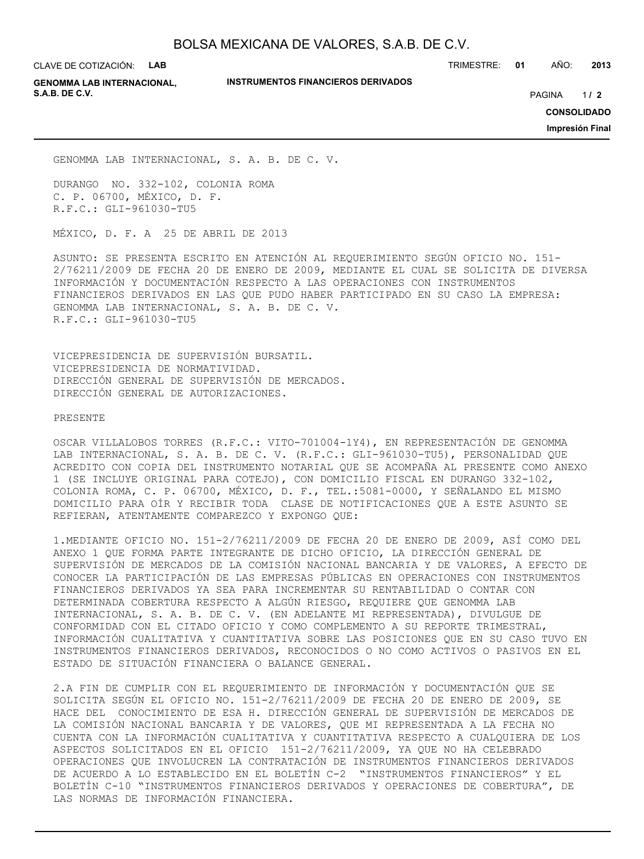CLAVE DE COTIZACIÓN: **LAB**

**INSTRUMENTOS FINANCIEROS DERIVADOS**

TRIMESTRE: **01** AÑO: **2013**

**GENOMMA LAB INTERNACIONAL, S.A.B. DE C.V.** PAGINA **/ 2**

 $1/2$ 

**CONSOLIDADO**

**Impresión Final**

GENOMMA LAB INTERNACIONAL, S. A. B. DE C. V.

DURANGO NO. 332-102, COLONIA ROMA C. P. 06700, MÉXICO, D. F. R.F.C.: GLI-961030-TU5

MÉXICO, D. F. A 25 DE ABRIL DE 2013

ASUNTO: SE PRESENTA ESCRITO EN ATENCIÓN AL REQUERIMIENTO SEGÚN OFICIO NO. 151- 2/76211/2009 DE FECHA 20 DE ENERO DE 2009, MEDIANTE EL CUAL SE SOLICITA DE DIVERSA INFORMACIÓN Y DOCUMENTACIÓN RESPECTO A LAS OPERACIONES CON INSTRUMENTOS FINANCIEROS DERIVADOS EN LAS QUE PUDO HABER PARTICIPADO EN SU CASO LA EMPRESA: GENOMMA LAB INTERNACIONAL, S. A. B. DE C. V. R.F.C.: GLI-961030-TU5

VICEPRESIDENCIA DE SUPERVISIÓN BURSATIL. VICEPRESIDENCIA DE NORMATIVIDAD. DIRECCIÓN GENERAL DE SUPERVISIÓN DE MERCADOS. DIRECCIÓN GENERAL DE AUTORIZACIONES.

PRESENTE

OSCAR VILLALOBOS TORRES (R.F.C.: VITO-701004-1Y4), EN REPRESENTACIÓN DE GENOMMA LAB INTERNACIONAL, S. A. B. DE C. V. (R.F.C.: GLI-961030-TU5), PERSONALIDAD QUE ACREDITO CON COPIA DEL INSTRUMENTO NOTARIAL QUE SE ACOMPAÑA AL PRESENTE COMO ANEXO 1 (SE INCLUYE ORIGINAL PARA COTEJO), CON DOMICILIO FISCAL EN DURANGO 332-102, COLONIA ROMA, C. P. 06700, MÉXICO, D. F., TEL.:5081-0000, Y SEÑALANDO EL MISMO DOMICILIO PARA OÍR Y RECIBIR TODA CLASE DE NOTIFICACIONES QUE A ESTE ASUNTO SE REFIERAN, ATENTAMENTE COMPAREZCO Y EXPONGO QUE:

1.MEDIANTE OFICIO NO. 151-2/76211/2009 DE FECHA 20 DE ENERO DE 2009, ASÍ COMO DEL ANEXO 1 QUE FORMA PARTE INTEGRANTE DE DICHO OFICIO, LA DIRECCIÓN GENERAL DE SUPERVISIÓN DE MERCADOS DE LA COMISIÓN NACIONAL BANCARIA Y DE VALORES, A EFECTO DE CONOCER LA PARTICIPACIÓN DE LAS EMPRESAS PÚBLICAS EN OPERACIONES CON INSTRUMENTOS FINANCIEROS DERIVADOS YA SEA PARA INCREMENTAR SU RENTABILIDAD O CONTAR CON DETERMINADA COBERTURA RESPECTO A ALGÚN RIESGO, REQUIERE QUE GENOMMA LAB INTERNACIONAL, S. A. B. DE C. V. (EN ADELANTE MI REPRESENTADA), DIVULGUE DE CONFORMIDAD CON EL CITADO OFICIO Y COMO COMPLEMENTO A SU REPORTE TRIMESTRAL, INFORMACIÓN CUALITATIVA Y CUANTITATIVA SOBRE LAS POSICIONES QUE EN SU CASO TUVO EN INSTRUMENTOS FINANCIEROS DERIVADOS, RECONOCIDOS O NO COMO ACTIVOS O PASIVOS EN EL ESTADO DE SITUACIÓN FINANCIERA O BALANCE GENERAL.

2.A FIN DE CUMPLIR CON EL REQUERIMIENTO DE INFORMACIÓN Y DOCUMENTACIÓN QUE SE SOLICITA SEGÚN EL OFICIO NO. 151-2/76211/2009 DE FECHA 20 DE ENERO DE 2009, SE HACE DEL CONOCIMIENTO DE ESA H. DIRECCIÓN GENERAL DE SUPERVISIÓN DE MERCADOS DE LA COMISIÓN NACIONAL BANCARIA Y DE VALORES, QUE MI REPRESENTADA A LA FECHA NO CUENTA CON LA INFORMACIÓN CUALITATIVA Y CUANTITATIVA RESPECTO A CUALQUIERA DE LOS ASPECTOS SOLICITADOS EN EL OFICIO 151-2/76211/2009, YA QUE NO HA CELEBRADO OPERACIONES QUE INVOLUCREN LA CONTRATACIÓN DE INSTRUMENTOS FINANCIEROS DERIVADOS DE ACUERDO A LO ESTABLECIDO EN EL BOLETÍN C-2 "INSTRUMENTOS FINANCIEROS" Y EL BOLETÍN C-10 "INSTRUMENTOS FINANCIEROS DERIVADOS Y OPERACIONES DE COBERTURA", DE LAS NORMAS DE INFORMACIÓN FINANCIERA.